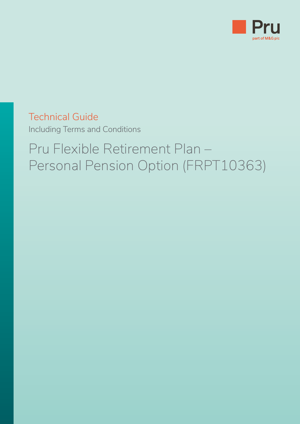

Technical Guide Including Terms and Conditions

## Pru Flexible Retirement Plan – Personal Pension Option (FRPT10363)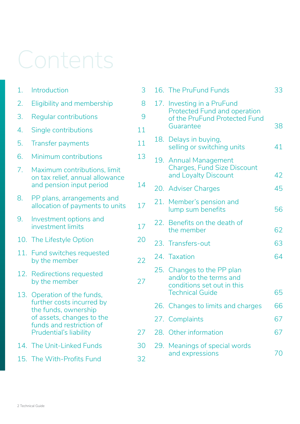# Contents

| 1.  | Introduction                                                                                | 3         | 16. |
|-----|---------------------------------------------------------------------------------------------|-----------|-----|
| 2.  | Eligibility and membership                                                                  | 17.<br>8  |     |
| 3.  | Regular contributions                                                                       | 9         |     |
| 4.  | Single contributions                                                                        | 11        |     |
| 5.  | <b>Transfer payments</b>                                                                    | 11        | 18. |
| 6.  | Minimum contributions                                                                       | 13        | 19. |
| 7.  | Maximum contributions, limit<br>on tax relief, annual allowance<br>and pension input period | 14        | 20. |
| 8.  | PP plans, arrangements and<br>allocation of payments to units                               | 21.<br>17 |     |
| 9.  | Investment options and<br>investment limits                                                 | 17        | 22. |
|     | 10. The Lifestyle Option                                                                    | 20        | 23. |
| 11. | Fund switches requested<br>by the member                                                    | 24.<br>22 |     |
|     | 12. Redirections requested<br>by the member                                                 | 27        | 25. |
| 13. | Operation of the funds,<br>further costs incurred by                                        |           | 26. |
|     | the funds, ownership<br>of assets, changes to the                                           |           | 27. |
|     | funds and restriction of<br>Prudential's liability                                          | 27        | 28. |
|     | 14. The Unit-Linked Funds                                                                   | 30        | 29. |
|     | 15. The With-Profits Fund                                                                   | 32        |     |

|     | 16. The PruFund Funds                                                                                           | 33 |
|-----|-----------------------------------------------------------------------------------------------------------------|----|
|     | 17. Investing in a PruFund<br><b>Protected Fund and operation</b><br>of the PruFund Protected Fund<br>Guarantee | 38 |
|     | 18. Delays in buying,<br>selling or switching units                                                             | 41 |
|     | 19. Annual Management<br><b>Charges, Fund Size Discount</b><br>and Loyalty Discount                             | 42 |
|     | 20. Adviser Charges                                                                                             | 45 |
|     | 21. Member's pension and<br>lump sum benefits                                                                   | 56 |
|     | 22. Benefits on the death of<br>the member                                                                      | 62 |
|     | 23. Transfers-out                                                                                               | 63 |
|     | 24. Taxation                                                                                                    | 64 |
|     | 25. Changes to the PP plan<br>and/or to the terms and<br>conditions set out in this<br><b>Technical Guide</b>   | 65 |
|     | 26. Changes to limits and charges                                                                               | 66 |
|     | 27. Complaints                                                                                                  | 67 |
| 28. | Other information                                                                                               | 67 |
|     | 29. Meanings of special words<br>and expressions                                                                | 70 |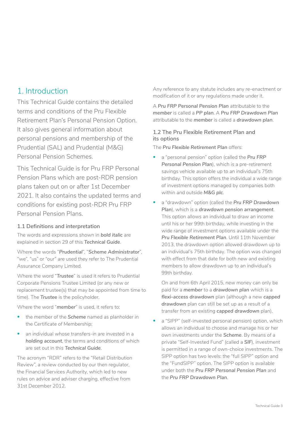## <span id="page-2-0"></span>1 Introduction

This Technical Guide contains the detailed terms and conditions of the Pru Flexible Retirement Plan's Personal Pension Option. It also gives general information about personal pensions and membership of the Prudential (SAL) and Prudential (M&G) Personal Pension Schemes.

This Technical Guide is for Pru FRP Personal Pension Plans which are post-RDR pension plans taken out on or after 1st December 2021. It also contains the updated terms and conditions for existing post-RDR Pru FRP Personal Pension Plans.

#### **1.1 Definitions and interpretation**

The words and expressions shown in *bold italic* are explained in section 29 of this *Technical Guide*.

Where the words "*Prudential*", "*Scheme Administrator*", "we", "us" or "our" are used they refer to The Prudential Assurance Company Limited.

Where the word "*Trustee*" is used it refers to Prudential Corporate Pensions Trustee Limited (or any new or replacement trustee(s) that may be appointed from time to time). The *Trustee* is the policyholder.

Where the word "*member*" is used, it refers to:

- the member of the *Scheme* named as planholder in the Certificate of Membership;
- an individual whose transfers-in are invested in a *holding account*, the terms and conditions of which are set out in this *Technical Guide*.

The acronym "RDR" refers to the "Retail Distribution Review", a review conducted by our then regulator, the Financial Services Authority, which led to new rules on advice and adviser charging, effective from 31st December 2012.

Any reference to any statute includes any re-enactment or modification of it or any regulations made under it.

A *Pru FRP Personal Pension Plan* attributable to the *member* is called a *PP plan*. A *Pru FRP Drawdown Plan*  attributable to the *member* is called a *drawdown plan*.

#### **1.2 The Pru Flexible Retirement Plan and its options**

The *Pru Flexible Retirement Plan* offers:

- a "personal pension" option (called the *Pru FRP Personal Pension Plan*), which is a pre-retirement savings vehicle available up to an individual's 75th birthday. This option offers the individual a wide range of investment options managed by companies both within and outside *M&G plc*.
- a "drawdown" option (called the *Pru FRP Drawdown Plan*), which is a *drawdown pension arrangement*. This option allows an individual to draw an income until his or her 99th birthday, while investing in the wide range of investment options available under the *Pru Flexible Retirement Plan*. Until 11th November 2013, the drawdown option allowed drawdown up to an individual's 75th birthday. The option was changed with effect from that date for both new and existing members to allow drawdown up to an individual's 99th birthday.

On and from 6th April 2015, new money can only be paid for a *member* to a *drawdown plan* which is a *flexi-access drawdown* plan (although a new *capped drawdown* plan can still be set up as a result of a transfer from an existing *capped drawdown* plan).

a "SIPP" (self-invested personal pension) option, which allows an individual to choose and manage his or her own investments under the *Scheme*. By means of a private "Self-Invested Fund" (called a *SIF*), investment is permitted in a range of own-choice investments. The SIPP option has two levels: the "full SIPP" option and the "FundSIPP" option. The SIPP option is available under both the *Pru FRP Personal Pension Plan* and the *Pru FRP Drawdown Plan*.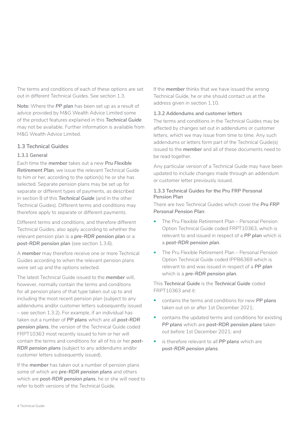The terms and conditions of each of these options are set out in different Technical Guides. See section 1.3.

**Note***:* Where the *PP plan* has been set up as a result of advice provided by M&G Wealth Advice Limited some of the product features explained in this *Technical Guide*  may not be available. Further information is available from M&G Wealth Advice Limited.

#### **1.3 Technical Guides**

#### **1.3.1 General**

Each time the *member* takes out a new *Pru Flexible Retirement Plan*, we issue the relevant Technical Guide to him or her, according to the option(s) he or she has selected. Separate pension plans may be set up for separate or different types of payments, as described in section 8 of this *Technical Guide* (and in the other Technical Guides). Different terms and conditions may therefore apply to separate or different payments.

Different terms and conditions, and therefore different Technical Guides, also apply according to whether the relevant pension plan is a *pre-RDR pension plan* or a *post-RDR pension plan* (see section 1.3.6).

A *member* may therefore receive one or more Technical Guides according to when the relevant pension plans were set up and the options selected.

The latest Technical Guide issued to the *member* will, however, normally contain the terms and conditions for all pension plans of that type taken out up to and including the most recent pension plan (subject to any addendums and/or customer letters subsequently issued – see section 1.3.2). For example, if an individual has taken out a number of *PP plans* which are all *post-RDR pension plans*, the version of the Technical Guide coded FRPT10363 most recently issued to him or her will contain the terms and conditions for all of his or her *post-RDR pension plans* (subject to any addendums and/or customer letters subsequently issued).

If the *member* has taken out a number of pension plans some of which are *pre-RDR pension plans* and others which are *post-RDR pension plans*, he or she will need to refer to both versions of the Technical Guide.

If the *member* thinks that we have issued the wrong Technical Guide, he or she should contact us at the address given in section 1.10.

#### **1.3.2 Addendums and customer letters**

The terms and conditions in the Technical Guides may be affected by changes set out in addendums or customer letters, which we may issue from time to time. Any such addendums or letters form part of the Technical Guide(s) issued to the *member* and all of these documents need to be read together.

Any particular version of a Technical Guide may have been updated to include changes made through an addendum or customer letter previously issued.

#### **1.3.3 Technical Guides for the Pru FRP Personal Pension Plan**

There are two Technical Guides which cover the *Pru FRP Personal Pension Plan*:

- The Pru Flexible Retirement Plan Personal Pension Option Technical Guide coded FRPT10363, which is relevant to and issued in respect of a *PP plan* which is a *post-RDR pension plan*.
- The Pru Flexible Retirement Plan Personal Pension Option Technical Guide coded IPPB6369 which is relevant to and was issued in respect of a *PP plan*  which is a *pre-RDR pension plan*.

This *Technical Guide* is the *Technical Guide* coded FRPT10363 and it:

- contains the terms and conditions for new *PP plans*  taken out on or after 1st December 2021;
- contains the updated terms and conditions for existing *PP plans* which are *post-RDR pension plans* taken out before 1st December 2021; and
- is therefore relevant to all *PP plans* which are *post-RDR pension plans*.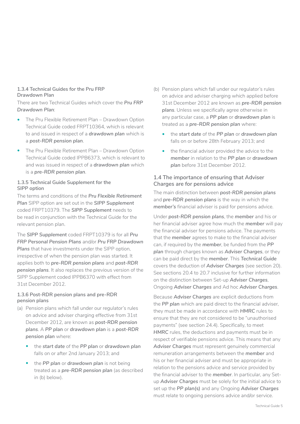#### **1.3.4 Technical Guides for the Pru FRP Drawdown Plan**

There are two Technical Guides which cover the *Pru FRP Drawdown Plan*:

- The Pru Flexible Retirement Plan Drawdown Option Technical Guide coded FRPT10364, which is relevant to and issued in respect of a *drawdown plan* which is a *post-RDR pension plan*.
- The Pru Flexible Retirement Plan Drawdown Option Technical Guide coded IPPB6373, which is relevant to and was issued in respect of a *drawdown plan* which is a *pre-RDR pension plan*.

#### **1.3.5 Technical Guide Supplement for the SIPP option**

The terms and conditions of the *Pru Flexible Retirement Plan* SIPP option are set out in the *SIPP Supplement*  coded FRPT10379. The *SIPP Supplement* needs to be read in conjunction with the Technical Guide for the relevant pension plan.

The *SIPP Supplement* coded FRPT10379 is for all *Pru FRP Personal Pension Plans* and/or *Pru FRP Drawdown Plans* that have investments under the SIPP option, irrespective of when the pension plan was started. It applies both to *pre-RDR pension plans* and *post-RDR pension plans*. It also replaces the previous version of the SIPP Supplement coded IPPB6370 with effect from 31st December 2012.

#### **1.3.6 Post-RDR pension plans and pre-RDR pension plans**

- (a) Pension plans which fall under our regulator's rules on advice and adviser charging effective from 31st December 2012, are known as *post-RDR pension plans*. A *PP plan* or *drawdown plan* is a *post-RDR pension plan* where:
	- the *start date* of the *PP plan* or *drawdown plan*  falls on or after 2nd January 2013; and
	- the *PP plan* or *drawdown plan* is not being treated as a *pre-RDR pension plan* (as described in (b) below).
- (b) Pension plans which fall under our regulator's rules on advice and adviser charging which applied before 31st December 2012 are known as *pre-RDR pension plans*. Unless we specifically agree otherwise in any particular case, a *PP plan* or *drawdown plan* is treated as a *pre-RDR pension plan* where:
	- the *start date* of the *PP plan* or *drawdown plan*  falls on or before 28th February 2013; and
	- the financial adviser provided the advice to the *member* in relation to the *PP plan* or *drawdown plan* before 31st December 2012.

#### **1.4 The importance of ensuring that Adviser Charges are for pensions advice**

The main distinction between *post-RDR pension plans*  and *pre-RDR pension plans* is the way in which the *member's* financial adviser is paid for pensions advice.

Under *post-RDR pension plans*, the *member* and his or her financial adviser agree how much the *member* will pay the financial adviser for pensions advice. The payments that the *member* agrees to make to the financial adviser can, if required by the *member*, be funded from the *PP plan* through charges known as *Adviser Charges*, or they can be paid direct by the *member*. This *Technical Guide*  covers the deduction of *Adviser Charges* (see section 20). See sections 20.4 to 20.7 inclusive for further information on the distinction between Set-up *Adviser Charges*, Ongoing *Adviser Charges* and Ad hoc *Adviser Charges*.

Because *Adviser Charges* are explicit deductions from the *PP plan* which are paid direct to the financial adviser, they must be made in accordance with *HMRC* rules to ensure that they are not considered to be "unauthorised payments" (see section 24.4). Specifically, to meet *HMRC* rules, the deductions and payments must be in respect of verifiable pensions advice. This means that any *Adviser Charges* must represent genuinely commercial remuneration arrangements between the *member* and his or her financial adviser and must be appropriate in relation to the pensions advice and service provided by the financial adviser to the *member*. In particular, any Setup *Adviser Charges* must be solely for the initial advice to set up the *PP plan(s)* and any Ongoing *Adviser Charges*  must relate to ongoing pensions advice and/or service.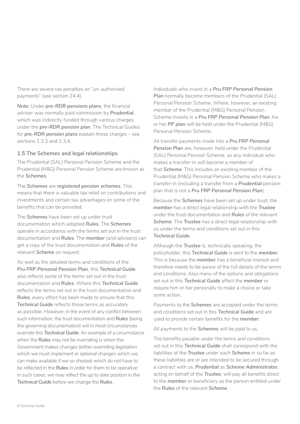There are severe tax penalties on "un-authorised payments" (see section 24.4).

*Note:* Under *pre-RDR pensions plans*, the financial adviser was normally paid commission by *Prudential*, which was indirectly funded through various charges under the *pre-RDR pension plan*. The Technical Guides for *pre-RDR pension plans* explain these charges – see sections 1.3.3 and 1.3.4.

#### **1.5 The Schemes and legal relationships**

The Prudential (SAL) Personal Pension Scheme and the Prudential (M&G) Personal Pension Scheme are known as the *Schemes*.

The *Schemes* are *registered pension schemes*. This means that there is valuable tax relief on contributions and investments and certain tax advantages on some of the benefits that can be provided.

The *Schemes* have been set up under trust documentation which adopted *Rules*. The *Schemes*  operate in accordance with the terms set out in the trust documentation and *Rules*. The *member* (and advisers) can get a copy of the trust documentation and *Rules* of the relevant *Scheme* on request.

As well as the detailed terms and conditions of the *Pru FRP Personal Pension Plan*, this *Technical Guide*  also reflects some of the terms set out in the trust documentation and *Rules*. Where this *Technical Guide*  reflects the terms set out in the trust documentation and *Rules*, every effort has been made to ensure that this *Technical Guide* reflects those terms as accurately as possible. However, in the event of any conflict between such information, the trust documentation and *Rules* (being the governing documentation) will in most circumstances override this *Technical Guide*. An example of a circumstance when the *Rules* may not be overriding is when the Government makes changes (either overriding legislation which we must implement or optional changes which we can make available if we so choose) which do not have to be reflected in the *Rules* in order for them to be operative: in such cases, we may reflect the up to date position in the *Technical Guide* before we change the *Rules*.

Individuals who invest in a *Pru FRP Personal Pension*  **Plan** normally become members of the Prudential (SAL) Personal Pension Scheme. Where, however, an existing member of the Prudential (M&G) Personal Pension Scheme invests in a *Pru FRP Personal Pension Plan*, his or her *PP plan* will be held under the Prudential (M&G) Personal Pension Scheme.

All transfer payments made into a *Pru FRP Personal Pension Plan* are, however, held under the Prudential (SAL) Personal Pension Scheme, so any individual who makes a transfer-in will become a member of that *Scheme*. This includes an existing member of the Prudential (M&G) Personal Pension Scheme who makes a transfer-in (including a transfer from a *Prudential* pension plan that is not a *Pru FRP Personal Pension Plan*).

Because the *Schemes* have been set up under trust, the *member* has a direct legal relationship with the *Trustee*  under the trust documentation and *Rules* of the relevant *Scheme*. The *Trustee* has a direct legal relationship with us under the terms and conditions set out in this *Technical Guide*.

Although the *Trustee* is, technically speaking, the policyholder, this *Technical Guide* is sent to the *member*. This is because the *member* has a beneficial interest and therefore needs to be aware of the full details of the terms and conditions. Also many of the options and obligations set out in this *Technical Guide* affect the *member* or require him or her personally to make a choice or take some action.

Payments to the *Schemes* are accepted under the terms and conditions set out in this *Technical Guide* and are used to provide certain benefits for the *member*.

All payments to the *Schemes* will be paid to us.

The benefits payable under the terms and conditions set out in this *Technical Guide* shall correspond with the liabilities of the *Trustee* under each *Scheme* in so far as these liabilities are or are intended to be secured through a contract with us. *Prudential* as *Scheme Administrator*, acting on behalf of the *Trustee*, will pay all benefits direct to the *member* or beneficiary as the person entitled under the *Rules* of the relevant *Scheme*.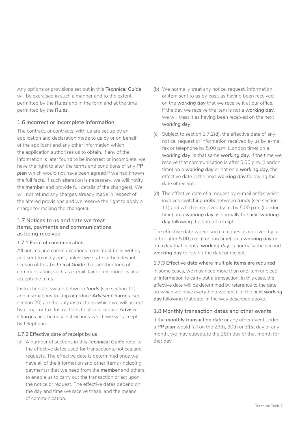Any options or provisions set out in this *Technical Guide*  will be exercised in such a manner and to the extent permitted by the *Rules* and in the form and at the time permitted by the *Rules*.

#### **1.6 Incorrect or incomplete information**

The contract, or contracts, with us are set up by an application and declaration made to us by or on behalf of the applicant and any other information which the application authorises us to obtain. If any of the information is later found to be incorrect or incomplete, we have the right to alter the terms and conditions of any *PP plan* which would not have been agreed if we had known the full facts. If such alteration is necessary, we will notify the *member* and provide full details of the change(s). We will not refund any charges already made in respect of the altered provisions and we reserve the right to apply a charge for making the change(s).

#### **1.7 Notices to us and date we treat items, payments and communications as being received**

#### **1.7.1 Form of communication**

All notices and communications to us must be in writing and sent to us by post, unless we state in the relevant section of this *Technical Guide* that another form of communication, such as e-mail, fax or telephone, is also acceptable to us.

Instructions to switch between *funds* (see section 11) and instructions to stop or reduce *Adviser Charges* (see section 20) are the only instructions which we will accept by e-mail or fax. Instructions to stop or reduce *Adviser Charges* are the only instructions which we will accept by telephone.

#### **1.7.2 Effective date of receipt by us**

(a) A number of sections in this *Technical Guide* refer to the effective dates used for transactions, notices and requests. The effective date is determined once we have all of the information and other items (including payments) that we need from the *member* and others, to enable us to carry out the transaction or act upon the notice or request. The effective dates depend on the day and time we receive these, and the means of communication.

- (b) We normally treat any notice, request, information or item sent to us by post, as having been received on the *working day* that we receive it at our office. If the day we receive the item is not a *working day*, we will treat it as having been received on the next *working day*.
- (c) Subject to section  $1.7.2$ (d), the effective date of any notice, request or information received by us by e-mail, fax or telephone by 5.00 p.m. (London time) on a *working day*, is that same *working day*. If the time we receive that communication is after 5.00 p.m. (London time) on a *working day* or not on a *working day*, the effective date is the next *working day* following the date of receipt.
- (d) The effective date of a request by e-mail or fax which involves switching *units* between *funds* (see section 11) and which is received by us by 5.00 p.m. (London time) on a *working day*, is normally the next *working day* following the date of receipt.

The effective date where such a request is received by us either after 5.00 p.m. (London time) on a *working day* or on a day that is not a *working day*, is normally the second *working day* following the date of receipt.

#### **1.7.3 Effective date where multiple items are required**

In some cases, we may need more than one item or piece of information to carry out a transaction. In this case, the effective date will be determined by reference to the date on which we have everything we need, or the next *working*  day following that date, in the way described above.

#### **1.8 Monthly transaction dates and other events**

If the *monthly transaction date* or any other event under a *PP plan* would fall on the 29th, 30th or 31st day of any month, we may substitute the 28th day of that month for that day.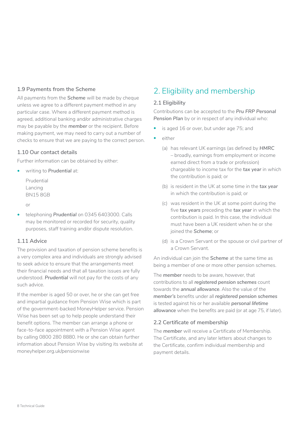#### <span id="page-7-0"></span>**1.9 Payments from the Scheme**

All payments from the *Scheme* will be made by cheque unless we agree to a different payment method in any particular case. Where a different payment method is agreed, additional banking and/or administrative charges may be payable by the *member* or the recipient. Before making payment, we may need to carry out a number of checks to ensure that we are paying to the correct person.

#### **1.10 Our contact details**

Further information can be obtained by either:

• writing to *Prudential* at:

Prudential Lancing BN15 8GB

or

• telephoning *Prudential* on 0345 6403000. Calls may be monitored or recorded for security, quality purposes, staff training and/or dispute resolution.

#### **1.11 Advice**

The provision and taxation of pension scheme benefits is a very complex area and individuals are strongly advised to seek advice to ensure that the arrangements meet their financial needs and that all taxation issues are fully understood. *Prudential* will not pay for the costs of any such advice.

If the member is aged 50 or over, he or she can get free and impartial guidance from Pension Wise which is part of the government-backed MoneyHelper service. Pension Wise has been set up to help people understand their benefit options. The member can arrange a phone or face-to-face appointment with a Pension Wise agent by calling 0800 280 8880. He or she can obtain further information about Pension Wise by visiting its website at [moneyhelper.org.uk/pensionwise](http://www.moneyhelper.org.uk/pensionwise)

## 2. Eligibility and membership

#### **2.1 Eligibility**

Contributions can be accepted to the *Pru FRP Personal Pension Plan* by or in respect of any individual who:

- is aged 16 or over, but under age 75; and
- either
	- (a) has relevant UK earnings (as defined by *HMRC*  – broadly, earnings from employment or income earned direct from a trade or profession) chargeable to income tax for the *tax year* in which the contribution is paid; or
	- (b) is resident in the UK at some time in the **tax year** in which the contribution is paid; or
	- (c) was resident in the UK at some point during the five *tax years* preceding the *tax year* in which the contribution is paid. In this case, the individual must have been a UK resident when he or she joined the *Scheme*; or
	- (d) is a Crown Servant or the spouse or civil partner of a Crown Servant.

An individual can join the *Scheme* at the same time as being a member of one or more other pension schemes.

The *member* needs to be aware, however, that contributions to all *registered pension schemes* count towards the *annual allowance*. Also the value of the *member's* benefits under all *registered pension schemes*  is tested against his or her available *personal lifetime allowance* when the benefits are paid (or at age 75, if later).

#### **2.2 Certificate of membership**

The *member* will receive a Certificate of Membership. The Certificate, and any later letters about changes to the Certificate, confirm individual membership and payment details.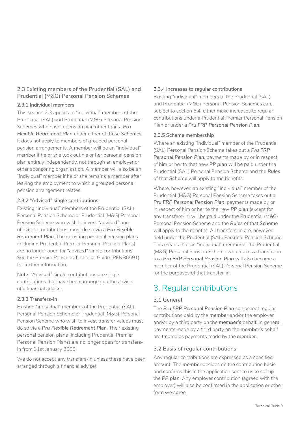#### <span id="page-8-0"></span>**2.3 Existing members of the Prudential (SAL) and Prudential (M&G) Personal Pension Schemes**

#### **2.3.1 Individual members**

This section 2.3 applies to "individual" members of the Prudential (SAL) and Prudential (M&G) Personal Pension Schemes who have a pension plan other than a *Pru Flexible Retirement Plan* under either of those *Schemes*. It does not apply to members of grouped personal pension arrangements. A member will be an "individual" member if he or she took out his or her personal pension plan entirely independently, not through an employer or other sponsoring organisation. A member will also be an "individual" member if he or she remains a member after leaving the employment to which a grouped personal pension arrangement relates.

#### **2.3.2 "Advised" single contributions**

Existing "individual" members of the Prudential (SAL) Personal Pension Scheme or Prudential (M&G) Personal Pension Scheme who wish to invest "advised" oneoff single contributions, must do so via a *Pru Flexible Retirement Plan*. Their existing personal pension plans (including Prudential Premier Personal Pension Plans) are no longer open for "advised" single contributions. See the Premier Pensions Technical Guide (PENB6591) for further information.

**Note**: "Advised" single contributions are single contributions that have been arranged on the advice of a financial adviser.

#### **2.3.3 Transfers-in**

Existing "individual" members of the Prudential (SAL) Personal Pension Scheme or Prudential (M&G) Personal Pension Scheme who wish to invest transfer values must do so via a *Pru Flexible Retirement Plan*. Their existing personal pension plans (including Prudential Premier Personal Pension Plans) are no longer open for transfersin from 31st January 2006.

We do not accept any transfers-in unless these have been arranged through a financial adviser.

#### **2.3.4 Increases to regular contributions**

Existing "individual" members of the Prudential (SAL) and Prudential (M&G) Personal Pension Schemes can, subject to section 6.4, either make increases to regular contributions under a Prudential Premier Personal Pension Plan or under a *Pru FRP Personal Pension Plan*.

#### **2.3.5 Scheme membership**

Where an existing "individual" member of the Prudential (SAL) Personal Pension Scheme takes out a *Pru FRP Personal Pension Plan*, payments made by or in respect of him or her to that new *PP plan* will be paid under the Prudential (SAL) Personal Pension Scheme and the *Rules*  of that *Scheme* will apply to the benefits.

Where, however, an existing "individual" member of the Prudential (M&G) Personal Pension Scheme takes out a *Pru FRP Personal Pension Plan*, payments made by or in respect of him or her to the new *PP plan* (except for any transfers-in) will be paid under the Prudential (M&G) Personal Pension Scheme and the *Rules* of that *Scheme*  will apply to the benefits. All transfers-in are, however, held under the Prudential (SAL) Personal Pension Scheme. This means that an "individual" member of the Prudential (M&G) Personal Pension Scheme who makes a transfer-in to a *Pru FRP Personal Pension Plan* will also become a member of the Prudential (SAL) Personal Pension Scheme for the purposes of that transfer-in.

## 3. Regular contributions

#### **3.1 General**

The *Pru FRP Personal Pension Plan* can accept regular contributions paid by the *member* and/or the employer and/or by a third party on the *member's* behalf. In general, payments made by a third party on the *member's* behalf are treated as payments made by the *member*.

#### **3.2 Basis of regular contributions**

Any regular contributions are expressed as a specified amount. The *member* decides on the contribution basis and confirms this in the application sent to us to set up the *PP plan*. Any employer contribution (agreed with the employer) will also be confirmed in the application or other form we agree.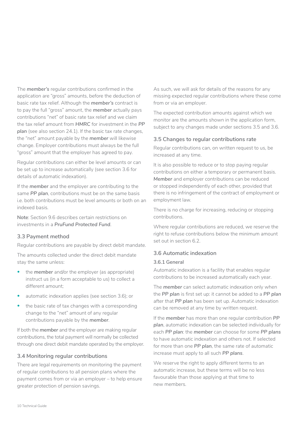The *member's* regular contributions confirmed in the application are "gross" amounts, before the deduction of basic rate tax relief. Although the *member's* contract is to pay the full "gross" amount, the *member* actually pays contributions "net" of basic rate tax relief and we claim the tax relief amount from *HMRC* for investment in the *PP plan* (see also section 24.1). If the basic tax rate changes, the "net" amount payable by the *member* will likewise change. Employer contributions must always be the full "gross" amount that the employer has agreed to pay.

Regular contributions can either be level amounts or can be set up to increase automatically (see section 3.6 for details of automatic indexation).

If the *member* and the employer are contributing to the same *PP plan*, contributions must be on the same basis i.e. both contributions must be level amounts or both on an indexed basis.

**Note**: Section 9.6 describes certain restrictions on investments in a *PruFund Protected Fund*.

#### **3.3 Payment method**

Regular contributions are payable by direct debit mandate.

The amounts collected under the direct debit mandate stay the same unless:

- the **member** and/or the employer (as appropriate) instruct us (in a form acceptable to us) to collect a different amount;
- automatic indexation applies (see section 3.6); or
- the basic rate of tax changes with a corresponding change to the "net" amount of any regular contributions payable by the *member*.

If both the *member* and the employer are making regular contributions, the total payment will normally be collected through one direct debit mandate operated by the employer.

#### **3.4 Monitoring regular contributions**

There are legal requirements on monitoring the payment of regular contributions to all pension plans where the payment comes from or via an employer – to help ensure greater protection of pension savings.

As such, we will ask for details of the reasons for any missing expected regular contributions where these come from or via an employer.

The expected contribution amounts against which we monitor are the amounts shown in the application form, subject to any changes made under sections 3.5 and 3.6.

#### **3.5 Changes to regular contributions rate**

Regular contributions can, on written request to us, be increased at any time.

It is also possible to reduce or to stop paying regular contributions on either a temporary or permanent basis. *Member* and employer contributions can be reduced or stopped independently of each other, provided that there is no infringement of the contract of employment or employment law.

There is no charge for increasing, reducing or stopping contributions.

Where regular contributions are reduced, we reserve the right to refuse contributions below the minimum amount set out in section 6.2.

#### **3.6 Automatic indexation**

#### **3.6.1 General**

Automatic indexation is a facility that enables regular contributions to be increased automatically each year.

The *member* can select automatic indexation only when the *PP plan* is first set up: it cannot be added to a *PP plan*  after that *PP plan* has been set up. Automatic indexation can be removed at any time by written request.

If the *member* has more than one regular contribution *PP plan*, automatic indexation can be selected individually for each *PP plan*: the *member* can choose for some *PP plans*  to have automatic indexation and others not. If selected for more than one *PP plan*, the same rate of automatic increase must apply to all such *PP plans*.

We reserve the right to apply different terms to an automatic increase, but these terms will be no less favourable than those applying at that time to new members.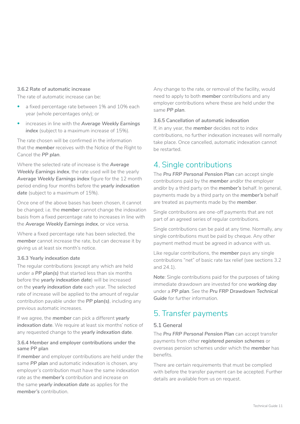#### <span id="page-10-0"></span>**3.6.2 Rate of automatic increase**

The rate of automatic increase can be:

- a fixed percentage rate between 1% and 10% each year (whole percentages only); or
- increases in line with the *Average Weekly Earnings index* (subject to a maximum increase of 15%).

The rate chosen will be confirmed in the information that the *member* receives with the Notice of the Right to Cancel the *PP plan*.

Where the selected rate of increase is the *Average Weekly Earnings index*, the rate used will be the yearly *Average Weekly Earnings index* figure for the 12 month period ending four months before the *yearly indexation date* (subject to a maximum of 15%).

Once one of the above bases has been chosen, it cannot be changed; i.e. the *member* cannot change the indexation basis from a fixed percentage rate to increases in line with the *Average Weekly Earnings index*, or vice versa.

Where a fixed percentage rate has been selected, the *member* cannot increase the rate, but can decrease it by giving us at least six month's notice.

#### **3.6.3 Yearly indexation date**

The regular contributions (except any which are held under a *PP plan(s)* that started less than six months before the *yearly indexation date*) will be increased on the *yearly indexation date* each year. The selected rate of increase will be applied to the amount of regular contribution payable under the *PP plan(s)*, including any previous automatic increases.

If we agree, the *member* can pick a different *yearly indexation date*. We require at least six months' notice of any requested change to the *yearly indexation date*.

#### **3.6.4 Member and employer contributions under the same PP plan**

If *member* and employer contributions are held under the same *PP plan* and automatic indexation is chosen, any employer's contribution must have the same indexation rate as the *member's* contribution and increase on the same *yearly indexation date* as applies for the *member's* contribution.

Any change to the rate, or removal of the facility, would need to apply to both *member* contributions and any employer contributions where these are held under the same *PP plan*.

#### **3.6.5 Cancellation of automatic indexation**

If, in any year, the *member* decides not to index contributions, no further indexation increases will normally take place. Once cancelled, automatic indexation cannot be restarted.

## 4. Single contributions

The *Pru FRP Personal Pension Plan* can accept single contributions paid by the *member* and/or the employer and/or by a third party on the *member's* behalf. In general, payments made by a third party on the *member's* behalf are treated as payments made by the *member*.

Single contributions are one-off payments that are not part of an agreed series of regular contributions.

Single contributions can be paid at any time. Normally, any single contributions must be paid by cheque. Any other payment method must be agreed in advance with us.

Like regular contributions, the *member* pays any single contributions "net" of basic rate tax relief (see sections 3.2 and 24.1).

*Note*: Single contributions paid for the purposes of taking immediate drawdown are invested for one *working day*  under a *PP plan*. See the *Pru FRP Drawdown Technical Guide* for further information.

### 5. Transfer payments

#### **5.1 General**

The *Pru FRP Personal Pension Plan* can accept transfer payments from other *registered pension schemes* or overseas pension schemes under which the *member* has benefits.

There are certain requirements that must be complied with before the transfer payment can be accepted. Further details are available from us on request.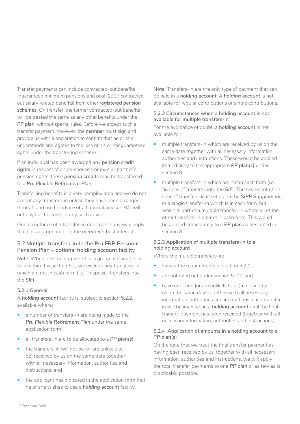Transfer payments can include contracted-out benefits (guaranteed minimum pensions and post-1997 contractedout salary related benefits) from other *registered pension schemes*. On transfer, the former contracted-out benefits will be treated the same as any other benefits under the *PP plan*, without special rules. Before we accept such a transfer payment, however, the *member* must sign and provide us with a declaration to confirm that he or she understands and agrees to the loss of his or her guaranteed rights under the transferring scheme.

If an individual has been awarded any *pension credit rights* in respect of an ex-spouse's or ex-civil partner's pension rights, these *pension credits* may be transferred to a *Pru Flexible Retirement Plan*.

Transferring benefits is a very complex area and we do not accept any transfers-in unless they have been arranged through and on the advice of a financial adviser. We will not pay for the costs of any such advice.

Our acceptance of a transfer-in does not in any way imply that it is appropriate or in the *member's* best interests.

#### **5.2 Multiple transfers-in to the Pru FRP Personal Pension Plan – optional holding account facility**

*Note*: When determining whether a group of transfers-in falls within this section 5.2, we exclude any transfers-in which are not in cash form (i.e. "in specie" transfers into the *SIF*).

#### **5.2.1 General**

A *holding account* facility is, subject to section 5.2.2, available where:

- a number of transfers-in are being made to the *Pru Flexible Retirement Plan* under the same application form;
- all transfers-in are to be allocated to a *PP plan(s)*;
- the transfers-in will not be (or are unlikely to be) received by us on the same date together with all necessary information, authorities and instructions; and
- the applicant has indicated in the application form that he or she wishes to use a *holding account* facility.

**Note**: Transfers-in are the only type of payment that can be held in a *holding account*. A *holding account* is not available for regular contributions or single contributions.

#### **5.2.2 Circumstances when a holding account is not available for multiple transfers-in**

For the avoidance of doubt, a *holding account* is not available for:

- multiple transfers-in which are received by us on the same date together with all necessary information, authorities and instructions. These would be applied immediately to the appropriate *PP plan(s)* under section 8.1;
- multiple transfers-in which are not in cash form (i.e. "in specie" transfers into the *SIF*). The treatment of "in specie" transfers-in is set out in the *SIPP Supplement*; or a single transfer-in which is in cash form, but which is part of a multiple transfer-in where all of the other transfers-in are not in cash form. This would be applied immediately to a *PP plan* as described in section 8.1.

#### **5.2.3 Application of multiple transfers-in to a holding account**

Where the multiple transfers-in:

- satisfy the requirements of section 5.2.1;
- are not ruled out under section 5.2.2; and
- have not been (or are unlikely to be) received by us on the same date together with all necessary information, authorities and instructions, each transferin will be invested in a *holding account* until the final transfer payment has been received (together with all necessary information, authorities and instructions).

#### **5.2.4  Application of amounts in a holding account to a PP plan(s)**

On the date that we treat the final transfer payment as having been received by us, together with all necessary information, authorities and instructions, we will apply the total transfer payments to one *PP plan* or as few as is practicably possible.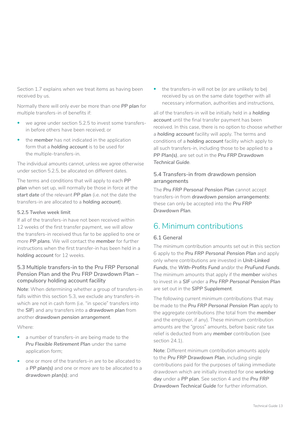<span id="page-12-0"></span>Section 1.7 explains when we treat items as having been received by us.

Normally there will only ever be more than one *PP plan* for multiple transfers-in of benefits if:

- we agree under section 5.2.5 to invest some transfersin before others have been received; or
- the *member* has not indicated in the application form that a *holding account* is to be used for the multiple-transfers-in.

The individual amounts cannot, unless we agree otherwise under section 5.2.5, be allocated on different dates.

The terms and conditions that will apply to each *PP plan* when set up, will normally be those in force at the *start date* of the relevant *PP plan* (i.e. not the date the transfers-in are allocated to a *holding account*).

#### **5.2.5 Twelve week limit**

If all of the transfers-in have not been received within 12 weeks of the first transfer payment, we will allow the transfers-in received thus far to be applied to one or more *PP plans*. We will contact the *member* for further instructions when the first transfer-in has been held in a *holding account* for 12 weeks.

#### **5.3 Multiple transfers-in to the Pru FRP Personal Pension Plan and the Pru FRP Drawdown Plan – compulsory holding account facility**

*Note*: When determining whether a group of transfers-in falls within this section 5.3, we exclude any transfers-in which are not in cash form (i.e. "in specie" transfers into the *SIF*) and any transfers into a *drawdown plan* from another *drawdown pension arrangement*.

Where:

- a number of transfers-in are being made to the *Pru Flexible Retirement Plan* under the same application form;
- one or more of the transfers-in are to be allocated to a *PP plan(s)* and one or more are to be allocated to a *drawdown plan(s)*; and

the transfers-in will not be (or are unlikely to be) received by us on the same date together with all necessary information, authorities and instructions,

all of the transfers-in will be initially held in a *holding account* until the final transfer payment has been received. In this case, there is no option to choose whether a *holding account* facility will apply. The terms and conditions of a *holding account* facility which apply to all such transfers-in, including those to be applied to a *PP Plan(s)*, are set out in the *Pru FRP Drawdown Technical Guide*.

#### **5.4 Transfers-in from drawdown pension arrangements**

The *Pru FRP Personal Pension Plan* cannot accept transfers-in from *drawdown pension arrangements*: these can only be accepted into the *Pru FRP Drawdown Plan*.

## 6. Minimum contributions

#### **6.1 General**

The minimum contribution amounts set out in this section 6 apply to the *Pru FRP Personal Pension Plan* and apply only where contributions are invested in *Unit-Linked Funds*, the *With-Profits Fund* and/or the *PruFund Funds*. The minimum amounts that apply if the *member* wishes to invest in a *SIF* under a *Pru FRP Personal Pension Plan*  are set out in the *SIPP Supplement*.

The following current minimum contributions that may be made to the *Pru FRP Personal Pension Plan* apply to the aggregate contributions (the total from the *member*  and the employer, if any). These minimum contribution amounts are the "gross" amounts, before basic rate tax relief is deducted from any *member* contribution (see section 24.1).

**Note**: Different minimum contribution amounts apply to the *Pru FRP Drawdown Plan*, including single contributions paid for the purposes of taking immediate drawdown which are initially invested for one *working day* under a *PP plan*. See section 4 and the *Pru FRP Drawdown Technical Guide* for further information.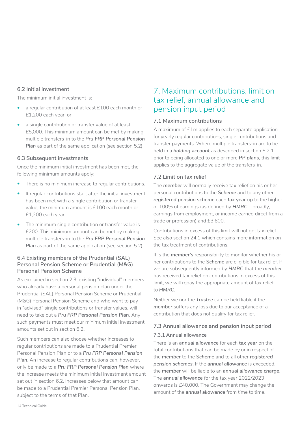#### <span id="page-13-0"></span>**6.2 Initial investment**

The minimum initial investment is:

- a regular contribution of at least £100 each month or £1,200 each year; or
- a single contribution or transfer value of at least £5,000. This minimum amount can be met by making multiple transfers-in to the *Pru FRP Personal Pension*  **Plan** as part of the same application (see section 5.2).

#### **6.3 Subsequent investments**

Once the minimum initial investment has been met, the following minimum amounts apply:

- There is no minimum increase to regular contributions.
- If regular contributions start after the initial investment has been met with a single contribution or transfer value, the minimum amount is £100 each month or £1,200 each year.
- The minimum single contribution or transfer value is £200. This minimum amount can be met by making multiple transfers-in to the *Pru FRP Personal Pension*  **Plan** as part of the same application (see section 5.2).

#### **6.4 Existing members of the Prudential (SAL) Personal Pension Scheme or Prudential (M&G) Personal Pension Scheme**

As explained in section 2.3, existing "individual" members who already have a personal pension plan under the Prudential (SAL) Personal Pension Scheme or Prudential (M&G) Personal Pension Scheme and who want to pay in "advised" single contributions or transfer values, will need to take out a *Pru FRP Personal Pension Plan*. Any such payments must meet our minimum initial investment amounts set out in section 6.2

Such members can also choose whether increases to regular contributions are made to a Prudential Premier Personal Pension Plan or to a *Pru FRP Personal Pension Plan*. An increase to regular contributions can, however, only be made to a *Pru FRP Personal Pension Plan* where the increase meets the minimum initial investment amount set out in section 6.2. Increases below that amount can be made to a Prudential Premier Personal Pension Plan, subject to the terms of that Plan.

## 7. Maximum contributions, limit on tax relief, annual allowance and pension input period

#### **7.1 Maximum contributions**

A maximum of £1m applies to each separate application for yearly regular contributions, single contributions and transfer payments. Where multiple transfers-in are to be held in a *holding account* as described in section 5.2.1 prior to being allocated to one or more *PP plans*, this limit applies to the aggregate value of the transfers-in.

#### **7.2 Limit on tax relief**

The *member* will normally receive tax relief on his or her personal contributions to the *Scheme* and to any other *registered pension scheme each tax year up to the higher* of 100% of earnings (as defined by *HMRC* – broadly, earnings from employment, or income earned direct from a trade or profession) and £3,600.

Contributions in excess of this limit will not get tax relief. See also section 24.1 which contains more information on the tax treatment of contributions.

It is the *member's* responsibility to monitor whether his or her contributions to the *Scheme* are eligible for tax relief. If we are subsequently informed by *HMRC* that the *member*  has received tax relief on contributions in excess of this limit, we will repay the appropriate amount of tax relief to *HMRC*.

Neither we nor the *Trustee* can be held liable if the *member* suffers any loss due to our acceptance of a contribution that does not qualify for tax relief.

#### **7.3 Annual allowance and pension input period 7.3.1 Annual allowance**

There is an *annual allowance* for each *tax year* on the total contributions that can be made by or in respect of the *member* to the *Scheme* and to all other *registered pension schemes*. If the *annual allowance* is exceeded, the *member* will be liable to an *annual allowance charge*. The *annual allowance* for the tax year 2022/2023 onwards is £40,000. The Government may change the amount of the *annual allowance* from time to time.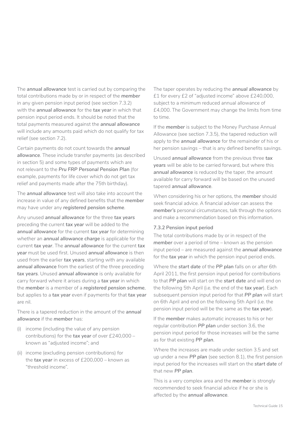The *annual allowance* test is carried out by comparing the total contributions made by or in respect of the *member*  in any given pension input period (see section 7.3.2) with the *annual allowance* for the *tax year* in which that pension input period ends. It should be noted that the total payments measured against the *annual allowance*  will include any amounts paid which do not qualify for tax relief (see section 7.2).

Certain payments do not count towards the *annual allowance*. These include transfer payments (as described in section 5) and some types of payments which are not relevant to the *Pru FRP Personal Pension Plan* (for example, payments for life cover which do not get tax relief and payments made after the 75th birthday).

The *annual allowance* test will also take into account the increase in value of any defined benefits that the *member*  may have under any *registered pension scheme*.

Any unused *annual allowance* for the three *tax years*  preceding the current *tax year* will be added to the *annual allowance* for the current *tax year* for determining whether an *annual allowance charge* is applicable for the current *tax year*. The *annual allowance* for the current *tax year* must be used first. Unused *annual allowance* is then used from the earlier *tax years*, starting with any available *annual allowance* from the earliest of the three preceding *tax years*. Unused *annual allowance* is only available for carry forward where it arises during a *tax year* in which the *member* is a member of a *registered pension scheme*, but applies to a *tax year* even if payments for that *tax year*  are nil.

There is a tapered reduction in the amount of the *annual allowance* if the *member* has:

- (i) income (including the value of any pension contributions) for the *tax year* of over £240,000 – known as "adjusted income"; and
- (ii) income (excluding pension contributions) for the *tax year* in excess of £200,000 – known as "threshold income".

The taper operates by reducing the *annual allowance* by £1 for every £2 of "adjusted income" above £240,000, subject to a minimum reduced annual allowance of £4,000. The Government may change the limits from time to time.

If the *member* is subject to the Money Purchase Annual Allowance (see section 7.3.5), the tapered reduction will apply to the *annual allowance* for the remainder of his or her pension savings – that is any defined benefits savings.

Unused *annual allowance* from the previous three *tax years* will be able to be carried forward, but where this *annual allowance* is reduced by the taper, the amount available for carry forward will be based on the unused tapered *annual allowance*.

When considering his or her options, the *member* should seek financial advice. A financial adviser can assess the *member's* personal circumstances, talk through the options and make a recommendation based on this information.

#### **7.3.2 Pension input period**

The total contributions made by or in respect of the *member* over a period of time – known as the pension input period – are measured against the *annual allowance*  for the *tax year* in which the pension input period ends.

Where the *start date* of the *PP plan* falls on or after 6th April 2011, the first pension input period for contributions to that *PP plan* will start on the *start date* and will end on the following 5th April (i.e. the end of the *tax year*). Each subsequent pension input period for that *PP plan* will start on 6th April and end on the following 5th April (i.e. the pension input period will be the same as the *tax year*).

If the *member* makes automatic increases to his or her regular contribution *PP plan* under section 3.6, the pension input period for those increases will be the same as for that existing *PP plan*.

Where the increases are made under section 3.5 and set up under a new *PP plan* (see section 8.1), the first pension input period for the increases will start on the *start date* of that new *PP plan*.

This is a very complex area and the *member* is strongly recommended to seek financial advice if he or she is affected by the *annual allowance*.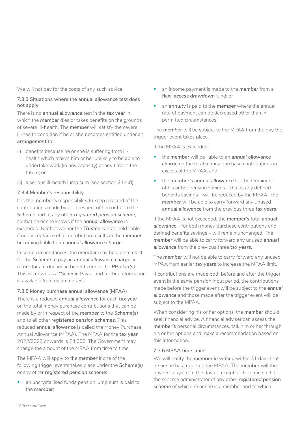We will not pay for the costs of any such advice.

#### **7.3.3 Situations where the annual allowance test does not apply**

There is no *annual allowance* test in the *tax year* in which the **member** dies or takes benefits on the grounds of severe ill-health. The *member* will satisfy the severe ill-health condition if he or she becomes entitled under an *arrangement* to:

- (i) benefits because he or she is suffering from illhealth which makes him or her unlikely to be able to undertake work (in any capacity) at any time in the future; or
- (ii) a serious ill-health lump sum (see section 21.4.8).

#### **7.3.4 Member's responsibility**

It is the *member's* responsibility to keep a record of the contributions made by or in respect of him or her to the *Scheme* and to any other *registered pension scheme*, so that he or she knows if the *annual allowance* is exceeded. Neither we nor the *Trustee* can be held liable if our acceptance of a contribution results in the *member*  becoming liable to an *annual allowance charge*.

In some circumstances, the *member* may be able to elect for the *Scheme* to pay an *annual allowance charge*, in return for a reduction in benefits under the *PP plan(s)*. This is known as a "Scheme Pays", and further information is available from us on request.

#### **7.3.5 Money purchase annual allowance (MPAA)**

There is a reduced *annual allowance* for each *tax year*  on the total money purchase contributions that can be made by or in respect of the *member* to the *Scheme(s)*  and to all other *registered pension schemes.* This reduced *annual allowance* is called the Money Purchase Annual Allowance (MPAA). The MPAA for the *tax year*  2022/2023 onwards is £4,000. The Government may change the amount of the MPAA from time to time.

The MPAA will apply to the *member* if one of the following trigger events takes place under the *Scheme(s)*  or any other *registered pension scheme*:

an uncrystallised funds pension lump sum is paid to the *member*;

- an income payment is made to the *member* from a *flexi-access drawdown* fund; or
- an *annuity* is paid to the *member* where the annual rate of payment can be decreased other than in permitted circumstances.

The *member* will be subject to the MPAA from the day the trigger event takes place.

If the MPAA is exceeded:

- the *member* will be liable to an *annual allowance charge* on the total money purchase contributions in excess of the MPAA; and
- the *member's annual allowance* for the remainder of his or her pension savings – that is any defined benefits savings – will be reduced by the MPAA. The *member* will be able to carry forward any unused *annual allowance* from the previous three *tax years*.

If the MPAA is not exceeded, the *member's* total *annual allowance* – for both money purchase contributions and defined benefits savings – will remain unchanged. The *member* will be able to carry forward any unused *annual allowance* from the previous three *tax years*.

The *member* will not be able to carry forward any unused MPAA from earlier *tax years* to increase the MPAA limit.

If contributions are made both before and after the trigger event in the same pension input period, the contributions made before the trigger event will be subject to the *annual allowance* and those made after the trigger event will be subject to the MPAA.

When considering his or her options, the *member* should seek financial advice. A financial adviser can assess the *member's* personal circumstances, talk him or her through his or her options and make a recommendation based on this information.

#### **7.3.6 MPAA time limits**

We will notify the *member* in writing within 31 days that he or she has triggered the MPAA. The *member* will then have 91 days from the day of receipt of the notice to tell the scheme administrator of any other *registered pension scheme* of which he or she is a member and to which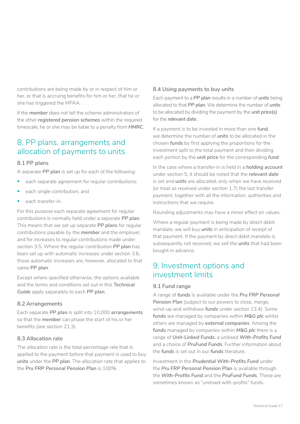<span id="page-16-0"></span>contributions are being made by or in respect of him or her, or that is accruing benefits for him or her, that he or she has triggered the MPAA.

If the *member* does not tell the scheme administrators of the other *registered pension schemes* within the required timescale, he or she may be liable to a penalty from *HMRC*.

## 8. PP plans, arrangements and allocation of payments to units

#### **8.1 PP plans**

A separate *PP plan* is set up for each of the following:

- each separate agreement for regular contributions;
- each single contribution; and
- each transfer-in.

For this purpose each separate agreement for regular contributions is normally held under a separate *PP plan*. This means that we set up separate *PP plans* for regular contributions payable by the *member* and the employer, and for increases to regular contributions made under section 3.5. Where the regular contribution *PP plan* has been set up with automatic increases under section 3.6, those automatic increases are, however, allocated to that same *PP plan*.

Except where specified otherwise, the options available and the terms and conditions set out in this *Technical Guide* apply separately to each *PP plan*.

#### **8.2 Arrangements**

Each separate *PP plan* is split into 10,000 *arrangements*  so that the *member* can phase the start of his or her benefits (see section 21.3).

#### **8.3 Allocation rate**

The allocation rate is the total percentage rate that is applied to the payment before that payment is used to buy *units* under the *PP plan*. The allocation rate that applies to the *Pru FRP Personal Pension Plan* is 100%.

#### **8.4 Using payments to buy units**

Each payment to a *PP plan* results in a number of *units* being allocated to that *PP plan*. We determine the number of *units*  to be allocated by dividing the payment by the *unit price(s)*  for the *relevant date*.

If a payment is to be invested in more than one *fund*, we determine the number of *units* to be allocated in the chosen *funds* by first applying the proportions for the investment split to the total payment and then dividing each portion by the *unit price* for the corresponding *fund*.

In the case where a transfer-in is held in a *holding account*  under section 5, it should be noted that the *relevant date*  is set and *units* are allocated, only when we have received (or treat as received under section 1.7) the last transfer payment, together with all the information, authorities and instructions that we require.

Rounding adjustments may have a minor effect on values.

Where a regular payment is being made by direct debit mandate, we will buy *units* in anticipation of receipt of that payment. If the payment by direct debit mandate is subsequently not received, we sell the *units* that had been bought in advance.

## 9. Investment options and investment limits

#### **9.1 Fund range**

A range of *funds* is available under the *Pru FRP Personal*  Pension Plan (subject to our powers to close, merge, wind-up and withdraw *funds* under section 13.4). Some *funds* are managed by companies within *M&G plc* whilst others are managed by *external companies*. Among the *funds* managed by companies within *M&G plc* there is a range of *Unit-Linked Funds*, a unitised *With-Profits Fund*  and a choice of *PruFund Funds*. Further information about the *funds* is set out in our *funds* literature.

Investment in the *Prudential With-Profits Fund* under the *Pru FRP Personal Pension Plan* is available through the *With-Profits Fund* and the *PruFund Funds*. These are sometimes known as "unitised with-profits" funds.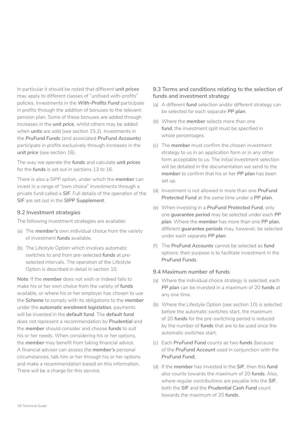In particular it should be noted that different *unit prices*  may apply to different classes of "unitised with-profits" policies. Investments in the *With-Profits Fund* participate in profits through the addition of bonuses to the relevant pension plan. Some of these bonuses are added through increases in the *unit price*, whilst others may be added when *units* are sold (see section 15.2). Investments in the *PruFund Funds* (and associated *PruFund Accounts*) participate in profits exclusively through increases in the *unit price* (see section 16).

The way we operate the *funds* and calculate *unit prices*  for the *funds* is set out in sections 13 to 16.

There is also a SIPP option, under which the *member* can invest in a range of "own choice" investments through a private fund called a *SIF*. Full details of the operation of the *SIF* are set out in the *SIPP Supplement*.

#### **9.2 Investment strategies**

The following investment strategies are available:

- (a) The *member's* own individual choice from the variety of investment *funds* available.
- (b) The Lifestyle Option which involves automatic switches to and from pre-selected *funds* at preselected intervals. The operation of the Lifestyle Option is described in detail in section 10.

**Note**: If the *member* does not wish or indeed fails to make his or her own choice from the variety of *funds*  available, or where his or her employer has chosen to use the *Scheme* to comply with its obligations to the *member*  under the *automatic enrolment legislation*, payments will be invested in the *default fund*. The *default fund*  does not represent a recommendation by *Prudential* and the *member* should consider and choose *funds* to suit his or her needs. When considering his or her options, the *member* may benefit from taking financial advice. A financial adviser can assess the *member's* personal circumstances, talk him or her through his or her options and make a recommendation based on this information. There will be a charge for this service.

#### **9.3 Terms and conditions relating to the selection of funds and investment strategy**

- (a) A different *fund* selection and/or different strategy can be selected for each separate *PP plan*.
- (b) Where the *member* selects more than one *fund*, the investment split must be specified in whole percentages.
- (c) The *member* must confirm the chosen investment strategy to us in an application form or in any other form acceptable to us. The initial investment selection will be detailed in the documentation we send to the *member* to confirm that his or her *PP plan* has been set up.
- (d) Investment is not allowed in more than one *PruFund Protected Fund* at the same time under a *PP plan*.
- (e) When investing in a *PruFund Protected Fund*, only one *guarantee period* may be selected under each *PP plan*. Where the *member* has more than one *PP plan*, different *guarantee periods* may, however, be selected under each separate *PP plan*.
- (f) The *PruFund Accounts* cannot be selected as *fund*  options: their purpose is to facilitate investment in the *PruFund Funds*.

#### **9.4 Maximum number of funds**

- (a) Where the individual choice strategy is selected, each *PP plan* can be invested in a maximum of 20 *funds* at any one time.
- (b) Where the Lifestyle Option (see section 10) is selected before the automatic switches start, the maximum of 20 *funds* for the pre-switching period is reduced by the number of *funds* that are to be used once the automatic switches start.
- (c) Each *PruFund Fund* counts as two *funds* (because of the *PruFund Account* used in conjunction with the *PruFund Fund*).
- (d) If the *member* has invested in the *SIF*, then this *fund*  also counts towards the maximum of 20 *funds*. Also, where regular contributions are payable into the *SIF*, both the *SIF* and the *Prudential Cash Fund* count towards the maximum of 20 *funds*.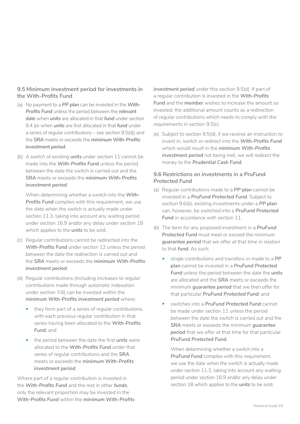#### **9.5 Minimum investment period for investments in the With-Profits Fund**

- (a) No payment to a *PP plan* can be invested in the *With-Profits Fund* unless the period between the *relevant date* when *units* are allocated in that *fund* under section 8.4 (or when *units* are first allocated in that *fund* under a series of regular contributions – see section 9.5(d)) and the *SRA* meets or exceeds the *minimum With-Profits investment period*.
- (b) A switch of existing *units* under section 11 cannot be made into the *With-Profits Fund* unless the period between the date the switch is carried out and the *SRA* meets or exceeds the *minimum With-Profits investment period*.

When determining whether a switch into the *With-***Profits Fund** complies with this requirement, we use the date when the switch is actually made under section 11.3, taking into account any waiting period under section 16.9 and/or any delay under section 18 which applies to the *units* to be sold.

- (c) Regular contributions cannot be redirected into the *With-Profits Fund* under section 12 unless the period between the date the redirection is carried out and the *SRA* meets or exceeds the *minimum With-Profits investment period*.
- (d) Regular contributions (including increases to regular contributions made through automatic indexation under section 3.6) can be invested within the *minimum With-Profits investment period* where:
	- they form part of a series of regular contributions, with each previous regular contribution in that series having been allocated to the *With-Profits Fund*; and
	- the period between the date the first *units* were allocated to the *With-Profits Fund* under that series of regular contributions and the *SRA*  meets or exceeds the *minimum With-Profits investment period*.

Where part of a regular contribution is invested in the *With-Profits Fund* and the rest in other *funds*, only the relevant proportion may be invested in the *With-Profits Fund* within the *minimum With-Profits* 

*investment period* under this section 9.5(d). If part of a regular contribution is invested in the *With-Profits Fund* and the *member* wishes to increase the amount so invested, the additional amount counts as a redirection of regular contributions which needs to comply with the requirements in section 9.5(c).

(e) Subject to section 9.5(d), if we receive an instruction to invest in, switch or redirect into the *With-Profits Fund*  which would result in the *minimum With-Profits investment period* not being met, we will redirect the money to the *Prudential Cash Fund*.

#### **9.6 Restrictions on investments in a PruFund Protected Fund**

- (a) Regular contributions made to a *PP plan* cannot be invested in a *PruFund Protected Fund*. Subject to section 9.6(b), existing investments under a *PP plan*  can, however, be switched into a *PruFund Protected*  **Fund** in accordance with section 11.
- (b) The term for any proposed investment in a *PruFund Protected Fund* must meet or exceed the minimum *guarantee period* that we offer at that time in relation to that *fund*. As such:
	- single contributions and transfers-in made to a *PP plan* cannot be invested in a *PruFund Protected Fund* unless the period between the date the *units*  are allocated and the *SRA* meets or exceeds the minimum *guarantee period* that we then offer for that particular *PruFund Protected Fund*; and
	- switches into a *PruFund Protected Fund* cannot be made under section 11 unless the period between the date the switch is carried out and the *SRA* meets or exceeds the minimum *guarantee period* that we offer at that time for that particular *PruFund Protected Fund*.

When determining whether a switch into a **PruFund Fund** complies with this requirement, we use the date when the switch is actually made under section 11.3, taking into account any waiting period under section 16.9 and/or any delay under section 18 which applies to the *units* to be sold.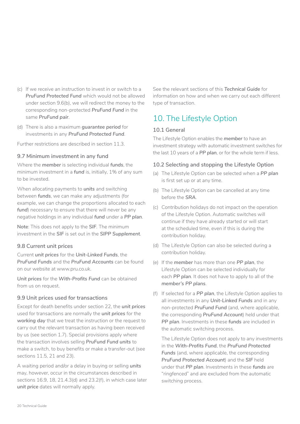- <span id="page-19-0"></span>(c) If we receive an instruction to invest in or switch to a *PruFund Protected Fund* which would not be allowed under section 9.6(b), we will redirect the money to the corresponding non-protected *PruFund Fund* in the same *PruFund pair*.
- (d) There is also a maximum *guarantee period* for investments in any *PruFund Protected Fund*.

Further restrictions are described in section 11.3.

#### **9.7 Minimum investment in any fund**

Where the *member* is selecting individual *funds*, the minimum investment in a *fund* is, initially, 1% of any sum to be invested.

When allocating payments to *units* and switching between *funds*, we can make any adjustments (for example, we can change the proportions allocated to each *fund*) necessary to ensure that there will never be any negative holdings in any individual *fund* under a *PP plan*.

**Note**: This does not apply to the *SIF*. The minimum investment in the *SIF* is set out in the *SIPP Supplement*.

#### **9.8 Current unit prices**

Current *unit prices* for the *Unit-Linked Funds*, the *PruFund Funds* and the *PruFund Accounts* can be found on our website at [www.pru.co.uk.](http://www.pru.co.uk/)

*Unit prices* for the *With-Profits Fund* can be obtained from us on request.

#### **9.9 Unit prices used for transactions**

Except for death benefits under section 22, the *unit prices*  used for transactions are normally the *unit prices* for the *working day* that we treat the instruction or the request to carry out the relevant transaction as having been received by us (see section 1.7). Special provisions apply where the transaction involves selling *PruFund Fund units* to make a switch, to buy benefits or make a transfer-out (see sections 11.5, 21 and 23).

A waiting period and/or a delay in buying or selling *units*  may, however, occur in the circumstances described in sections 16.9, 18, 21.4.3(d) and 23.2(f), in which case later *unit price* dates will normally apply.

See the relevant sections of this *Technical Guide* for information on how and when we carry out each different type of transaction.

## 10. The Lifestyle Option

#### **10.1 General**

The Lifestyle Option enables the *member* to have an investment strategy with automatic investment switches for the last 10 years of a *PP plan*, or for the whole term if less.

#### **10.2 Selecting and stopping the Lifestyle Option**

- (a) The Lifestyle Option can be selected when a *PP plan*  is first set up or at any time.
- (b) The Lifestyle Option can be cancelled at any time before the *SRA*.
- (c) Contribution holidays do not impact on the operation of the Lifestyle Option. Automatic switches will continue if they have already started or will start at the scheduled time, even if this is during the contribution holiday.
- (d) The Lifestyle Option can also be selected during a contribution holiday.
- (e) If the *member* has more than one *PP plan*, the Lifestyle Option can be selected individually for each *PP plan*. It does not have to apply to all of the *member's PP plans*.
- (f) If selected for a *PP plan*, the Lifestyle Option applies to all investments in any *Unit-Linked Funds* and in any non-protected *PruFund Fund* (and, where applicable, the corresponding *PruFund Account*) held under that *PP plan*. Investments in these *funds* are included in the automatic switching process.

The Lifestyle Option does not apply to any investments in the *With-Profits Fund*, the *PruFund Protected Funds* (and, where applicable, the corresponding *PruFund Protected Account*) and the *SIF* held under that *PP plan*. Investments in these *funds* are "ringfenced" and are excluded from the automatic switching process.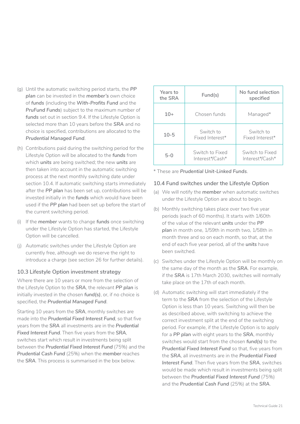- (g) Until the automatic switching period starts, the *PP plan* can be invested in the *member's* own choice of *funds* (including the *With-Profits Fund* and the *PruFund Funds*) subject to the maximum number of *funds* set out in section 9.4. If the Lifestyle Option is selected more than 10 years before the *SRA* and no choice is specified, contributions are allocated to the *Prudential Managed Fund*.
- (h) Contributions paid during the switching period for the Lifestyle Option will be allocated to the *funds* from which *units* are being switched; the new *units* are then taken into account in the automatic switching process at the next monthly switching date under section 10.4. If automatic switching starts immediately after the *PP plan* has been set up, contributions will be invested initially in the *funds* which would have been used if the *PP plan* had been set up before the start of the current switching period.
- (i) If the *member* wants to change *funds* once switching under the Lifestyle Option has started, the Lifestyle Option will be cancelled.
- (i) Automatic switches under the Lifestyle Option are currently free, although we do reserve the right to introduce a charge (see section 26 for further details).

#### **10.3 Lifestyle Option investment strategy**

Where there are 10 years or more from the selection of the Lifestyle Option to the *SRA*, the relevant *PP plan* is initially invested in the chosen *fund(s)*, or, if no choice is specified, the *Prudential Managed Fund*.

Starting 10 years from the *SRA*, monthly switches are made into the *Prudential Fixed Interest Fund*, so that five years from the *SRA* all investments are in the *Prudential Fixed Interest Fund*. Then five years from the *SRA*, switches start which result in investments being split between the *Prudential Fixed Interest Fund* (75%) and the *Prudential Cash Fund* (25%) when the *member* reaches the *SRA*. This process is summarised in the box below.

| Years to<br>the SRA | Fund(s)                            | No fund selection<br>specified     |
|---------------------|------------------------------------|------------------------------------|
| $10+$               | Chosen funds                       | Managed*                           |
| $10 - 5$            | Switch to<br>Fixed Interest*       | Switch to<br>Fixed Interest*       |
| $5-0$               | Switch to Fixed<br>Interest*/Cash* | Switch to Fixed<br>Interest*/Cash* |

\* These are *Prudential Unit-Linked Funds*.

#### **10.4 Fund switches under the Lifestyle Option**

- (a) We will notify the *member* when automatic switches under the Lifestyle Option are about to begin.
- (b) Monthly switching takes place over two five year periods (each of 60 months). It starts with 1/60th of the value of the relevant *units* under the *PP plan* in month one, 1/59th in month two, 1/58th in month three and so on each month, so that, at the end of each five year period, all of the *units* have been switched.
- (c) Switches under the Lifestyle Option will be monthly on the same day of the month as the *SRA*. For example, if the *SRA* is 17th March 2030, switches will normally take place on the 17th of each month.
- (d) Automatic switching will start immediately if the term to the *SRA* from the selection of the Lifestyle Option is less than 10 years. Switching will then be as described above, with switching to achieve the correct investment split at the end of the switching period. For example, if the Lifestyle Option is to apply for a *PP plan* with eight years to the *SRA*, monthly switches would start from the chosen *fund(s)* to the *Prudential Fixed Interest Fund* so that, five years from the *SRA*, all investments are in the *Prudential Fixed Interest Fund*. Then five years from the *SRA*, switches would be made which result in investments being split between the *Prudential Fixed Interest Fund* (75%) and the *Prudential Cash Fund* (25%) at the *SRA*.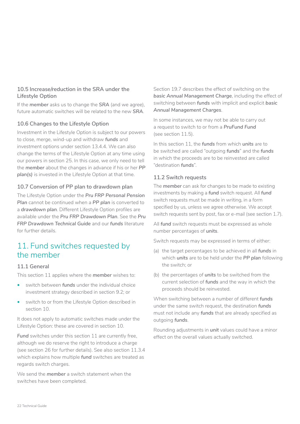#### <span id="page-21-0"></span>**10.5 Increase/reduction in the SRA under the Lifestyle Option**

If the *member* asks us to change the *SRA* (and we agree), future automatic switches will be related to the new *SRA*.

#### **10.6 Changes to the Lifestyle Option**

Investment in the Lifestyle Option is subject to our powers to close, merge, wind-up and withdraw *funds* and investment options under section 13.4.4. We can also change the terms of the Lifestyle Option at any time using our powers in section 25. In this case, we only need to tell the *member* about the changes in advance if his or her *PP plan(s)* is invested in the Lifestyle Option at that time.

#### **10.7 Conversion of PP plan to drawdown plan**

The Lifestyle Option under the *Pru FRP Personal Pension*  **Plan** cannot be continued when a **PP** plan is converted to a *drawdown plan*. Different Lifestyle Option profiles are available under the *Pru FRP Drawdown Plan*. See the *Pru FRP Drawdown Technical Guide* and our *funds* literature for further details.

## 11. Fund switches requested by the member

#### **11.1 General**

This section 11 applies where the *member* wishes to:

- switch between *funds* under the individual choice investment strategy described in section 9.2; or
- switch to or from the Lifestyle Option described in section 10.

It does not apply to automatic switches made under the Lifestyle Option: these are covered in section 10.

**Fund** switches under this section 11 are currently free. although we do reserve the right to introduce a charge (see section 26 for further details). See also section 11.3.4 which explains how multiple *fund* switches are treated as regards switch charges.

We send the *member* a switch statement when the switches have been completed.

Section 19.7 describes the effect of switching on the *basic Annual Management Charge*, including the effect of switching between *funds* with implicit and explicit *basic Annual Management Charges*.

In some instances, we may not be able to carry out a request to switch to or from a *PruFund Fund*  (see section 11.5).

In this section 11, the *funds* from which *units* are to be switched are called "outgoing *funds*" and the *funds*  in which the proceeds are to be reinvested are called "destination *funds*".

#### **11.2 Switch requests**

The *member* can ask for changes to be made to existing investments by making a *fund* switch request. All *fund*  switch requests must be made in writing, in a form specified by us, unless we agree otherwise. We accept switch requests sent by post, fax or e-mail (see section 1.7).

All *fund* switch requests must be expressed as whole number percentages of *units*.

Switch requests may be expressed in terms of either:

- (a) the target percentages to be achieved in all *funds* in which *units* are to be held under the *PP plan* following the switch; or
- (b) the percentages of *units* to be switched from the current selection of *funds* and the way in which the proceeds should be reinvested.

When switching between a number of different *funds*  under the same switch request, the destination *funds*  must not include any *funds* that are already specified as outgoing *funds*.

Rounding adjustments in *unit* values could have a minor effect on the overall values actually switched.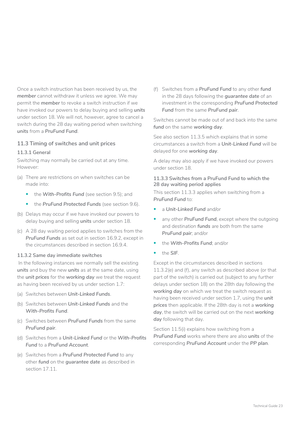Once a switch instruction has been received by us, the *member* cannot withdraw it unless we agree. We may permit the *member* to revoke a switch instruction if we have invoked our powers to delay buying and selling *units*  under section 18. We will not, however, agree to cancel a switch during the 28 day waiting period when switching *units* from a *PruFund Fund*.

#### **11.3 Timing of switches and unit prices**

#### **11.3.1 General**

Switching may normally be carried out at any time. However:

- (a) There are restrictions on when switches can be made into:
	- the *With-Profits Fund* (see section 9.5); and
	- the *PruFund Protected Funds* (see section 9.6).
- (b) Delays may occur if we have invoked our powers to delay buying and selling *units* under section 18.
- (c) A 28 day waiting period applies to switches from the *PruFund Funds* as set out in section 16.9.2, except in the circumstances described in section 16.9.4.

#### **11.3.2 Same day immediate switches**

 In the following instances we normally sell the existing *units* and buy the new *units* as at the same date, using the *unit prices* for the *working day* we treat the request as having been received by us under section 1.7:

- (a) Switches between *Unit-Linked Funds*.
- (b) Switches between *Unit-Linked Funds* and the *With-Profits Fund*.
- (c) Switches between *PruFund Funds* from the same *PruFund pair*.
- (d) Switches from a *Unit-Linked Fund* or the *With-Profits Fund* to a *PruFund Account*.
- (e) Switches from a *PruFund Protected Fund* to any other *fund* on the *guarantee date* as described in section 17.11.

(f) Switches from a *PruFund Fund* to any other *fund*  in the 28 days following the *guarantee date* of an investment in the corresponding *PruFund Protected Fund* from the same *PruFund pair*.

Switches cannot be made out of and back into the same *fund* on the same *working day*.

See also section 11.3.5 which explains that in some circumstances a switch from a *Unit-Linked Fund* will be delayed for one *working day*.

A delay may also apply if we have invoked our powers under section 18.

#### **11.3.3 Switches from a PruFund Fund to which the 28 day waiting period applies**

This section 11.3.3 applies when switching from a *PruFund Fund* to:

- a *Unit-Linked Fund* and/or
- any other **PruFund Fund**, except where the outgoing and destination *funds* are both from the same *PruFund pair*; and/or
- the *With-Profits Fund*; and/or
- the *SIF*.

Except in the circumstances described in sections 11.3.2(e) and (f), any switch as described above (or that part of the switch) is carried out (subject to any further delays under section 18) on the 28th day following the *working day* on which we treat the switch request as having been received under section 1.7, using the *unit prices* then applicable. If the 28th day is not a *working day*, the switch will be carried out on the next *working day* following that day.

Section 11.5(i) explains how switching from a *PruFund Fund* works where there are also *units* of the corresponding *PruFund Account* under the *PP plan*.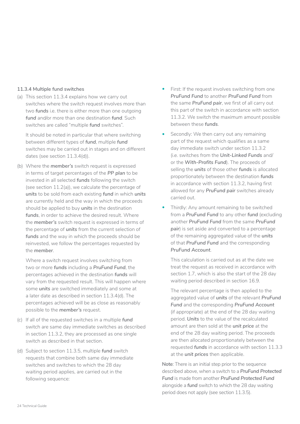#### **11.3.4 Multiple fund switches**

(a) This section 11.3.4 explains how we carry out switches where the switch request involves more than two *funds* i.e. there is either more than one outgoing *fund* and/or more than one destination *fund*. Such switches are called "multiple *fund* switches".

It should be noted in particular that where switching between different types of *fund*, multiple *fund*  switches may be carried out in stages and on different dates (see section 11.3.4(d)).

(b) Where the *member's* switch request is expressed in terms of target percentages of the *PP plan* to be invested in all selected *funds* following the switch (see section 11.2(a)), we calculate the percentage of *units* to be sold from each existing *fund* in which *units*  are currently held and the way in which the proceeds should be applied to buy *units* in the destination *funds*, in order to achieve the desired result. Where the *member's* switch request is expressed in terms of the percentage of *units* from the current selection of *funds* and the way in which the proceeds should be reinvested, we follow the percentages requested by the *member*.

Where a switch request involves switching from two or more *funds* including a *PruFund Fund*, the percentages achieved in the destination *funds* will vary from the requested result. This will happen where some *units* are switched immediately and some at a later date as described in section 11.3.4(d). The percentages achieved will be as close as reasonably possible to the *member's* request.

- (c) If all of the requested switches in a multiple *fund*  switch are same day immediate switches as described in section 11.3.2, they are processed as one single switch as described in that section.
- (d) Subject to section 11.3.5, multiple *fund* switch requests that combine both same day immediate switches and switches to which the 28 day waiting period applies, are carried out in the following sequence:
- First: If the request involves switching from one *PruFund Fund* to another *PruFund Fund* from the same *PruFund pair*, we first of all carry out this part of the switch in accordance with section 11.3.2. We switch the maximum amount possible between these *funds*.
- Secondly: We then carry out any remaining part of the request which qualifies as a same day immediate switch under section 11.3.2 (i.e. switches from the *Unit-Linked Funds* and/ or the *With-Profits Fund*). The proceeds of selling the *units* of those other *funds* is allocated proportionately between the destination *funds*  in accordance with section 11.3.2, having first allowed for any *PruFund pair* switches already carried out.
- Thirdly: Any amount remaining to be switched from a *PruFund Fund* to any other *fund* (excluding another *PruFund Fund* from the same *PruFund pair*) is set aside and converted to a percentage of the remaining aggregated value of the *units*  of that *PruFund Fund* and the corresponding *PruFund Account*.

This calculation is carried out as at the date we treat the request as received in accordance with section 1.7, which is also the start of the 28 day waiting period described in section 16.9.

The relevant percentage is then applied to the aggregated value of *units* of the relevant *PruFund Fund* and the corresponding *PruFund Account*  (if appropriate) at the end of the 28 day waiting period. *Units* to the value of the recalculated amount are then sold at the *unit price* at the end of the 28 day waiting period. The proceeds are then allocated proportionately between the requested *funds* in accordance with section 11.3.3 at the *unit prices* then applicable.

**Note**: There is an initial step prior to the sequence described above, when a switch to a *PruFund Protected Fund* is made from another *PruFund Protected Fund*  alongside a *fund* switch to which the 28 day waiting period does not apply (see section 11.3.5).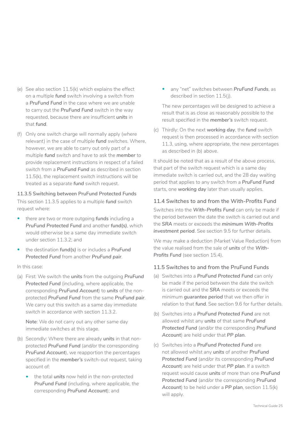- (e) See also section 11.5(k) which explains the effect on a multiple *fund* switch involving a switch from a *PruFund Fund* in the case where we are unable to carry out the *PruFund Fund* switch in the way requested, because there are insufficient *units* in that *fund*.
- (f) Only one switch charge will normally apply (where relevant) in the case of multiple *fund* switches. Where, however, we are able to carry out only part of a multiple *fund* switch and have to ask the *member* to provide replacement instructions in respect of a failed switch from a *PruFund Fund* as described in section 11.5(k), the replacement switch instructions will be treated as a separate *fund* switch request.

#### **11.3.5 Switching between PruFund Protected Funds**

This section 11.3.5 applies to a multiple *fund* switch request where:

- there are two or more outgoing *funds* including a *PruFund Protected Fund* and another *fund(s)*, which would otherwise be a same day immediate switch under section 11.3.2; and
- the destination *fund(s)* is or includes a *PruFund Protected Fund* from another *PruFund pair*.

#### In this case:

(a) First: We switch the *units* from the outgoing *PruFund Protected Fund* (including, where applicable, the corresponding *PruFund Account*) to *units* of the nonprotected *PruFund Fund* from the same *PruFund pair*. We carry out this switch as a same day immediate switch in accordance with section 11.3.2.

**Note**: We do not carry out any other same day immediate switches at this stage.

- (b) Secondly: Where there are already *units* in that nonprotected *PruFund Fund* (and/or the corresponding *PruFund Account*), we reapportion the percentages specified in the *member's* switch-out request, taking account of:
	- the total *units* now held in the non-protected *PruFund Fund* (including, where applicable, the corresponding *PruFund Account*); and

• any "net" switches between *PruFund Funds*, as described in section 11.5(j).

The new percentages will be designed to achieve a result that is as close as reasonably possible to the result specified in the *member's* switch request.

(c) Thirdly: On the next *working day*, the *fund* switch request is then processed in accordance with section 11.3, using, where appropriate, the new percentages as described in (b) above.

It should be noted that as a result of the above process, that part of the switch request which is a same day immediate switch is carried out, and the 28 day waiting period that applies to any switch from a *PruFund Fund*  starts, one *working day* later than usually applies.

#### **11.4 Switches to and from the With-Profits Fund**

Switches into the *With-Profits Fund* can only be made if the period between the date the switch is carried out and the *SRA* meets or exceeds the *minimum With-Profits investment period*. See section 9.5 for further details.

We may make a deduction (Market Value Reduction) from the value realised from the sale of *units* of the *With-Profits Fund* (see section 15.4).

#### **11.5 Switches to and from the PruFund Funds**

- (a) Switches into a *PruFund Protected Fund* can only be made if the period between the date the switch is carried out and the *SRA* meets or exceeds the minimum *guarantee period* that we then offer in relation to that *fund*. See section 9.6 for further details.
- (b) Switches into a *PruFund Protected Fund* are not allowed whilst any *units* of that same *PruFund Protected Fund* (and/or the corresponding *PruFund Account*) are held under that *PP plan*.
- (c) Switches into a *PruFund Protected Fund* are not allowed whilst any *units* of another *PruFund Protected Fund* (and/or its corresponding *PruFund Account*) are held under that *PP plan*. If a switch request would cause *units* of more than one *PruFund Protected Fund* (and/or the corresponding *PruFund Account*) to be held under a *PP plan*, section 11.5(k) will apply.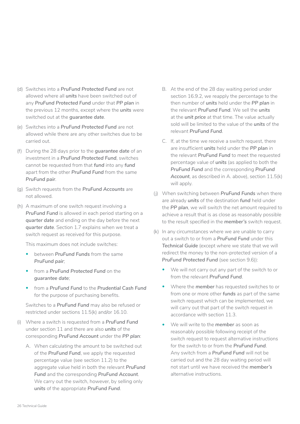- (d) Switches into a *PruFund Protected Fund* are not allowed where all *units* have been switched out of any *PruFund Protected Fund* under that *PP plan* in the previous 12 months, except where the *units* were switched out at the *guarantee date*.
- (e) Switches into a *PruFund Protected Fund* are not allowed while there are any other switches due to be carried out.
- (f) During the 28 days prior to the *guarantee date* of an investment in a *PruFund Protected Fund*, switches cannot be requested from that *fund* into any *fund*  apart from the other *PruFund Fund* from the same *PruFund pair*.
- (g) Switch requests from the *PruFund Accounts* are not allowed.
- (h) A maximum of one switch request involving a *PruFund Fund* is allowed in each period starting on a *quarter date* and ending on the day before the next *quarter date*. Section 1.7 explains when we treat a switch request as received for this purpose.

This maximum does not include switches:

- between *PruFund Funds* from the same *PruFund pair*;
- from a *PruFund Protected Fund* on the *guarantee date*;
- from a *PruFund Fund* to the *Prudential Cash Fund*  for the purpose of purchasing benefits.

Switches to a *PruFund Fund* may also be refused or restricted under sections 11.5(k) and/or 16.10.

- (i) Where a switch is requested from a *PruFund Fund*  under section 11 and there are also *units* of the corresponding *PruFund Account* under the *PP plan*:
	- A. When calculating the amount to be switched out of the *PruFund Fund*, we apply the requested percentage value (see section 11.2) to the aggregate value held in both the relevant *PruFund Fund* and the corresponding *PruFund Account*. We carry out the switch, however, by selling only *units* of the appropriate *PruFund Fund*.
- B. At the end of the 28 day waiting period under section 16.9.2, we reapply the percentage to the then number of *units* held under the *PP plan* in the relevant *PruFund Fund*. We sell the *units*  at the *unit price* at that time. The value actually sold will be limited to the value of the *units* of the relevant *PruFund Fund*.
- C. If, at the time we receive a switch request, there are insufficient *units* held under the *PP plan* in the relevant *PruFund Fund* to meet the requested percentage value of *units* (as applied to both the *PruFund Fund* and the corresponding *PruFund Account*, as described in A. above), section 11.5(k) will apply.
- (j) When switching between *PruFund Funds* when there are already *units* of the destination *fund* held under the *PP plan*, we will switch the net amount required to achieve a result that is as close as reasonably possible to the result specified in the *member's* switch request.
- (k) In any circumstances where we are unable to carry out a switch to or from a *PruFund Fund* under this *Technical Guide* (except where we state that we will redirect the money to the non-protected version of a *PruFund Protected Fund* (see section 9.6)):
	- We will not carry out any part of the switch to or from the relevant *PruFund Fund*.
	- Where the *member* has requested switches to or from one or more other *funds* as part of the same switch request which can be implemented, we will carry out that part of the switch request in accordance with section 11.3.
	- We will write to the *member* as soon as reasonably possible following receipt of the switch request to request alternative instructions for the switch to or from the *PruFund Fund*. Any switch from a *PruFund Fund* will not be carried out and the 28 day waiting period will not start until we have received the *member's*  alternative instructions.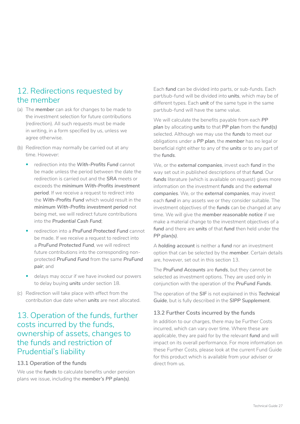## <span id="page-26-0"></span>12. Redirections requested by the member

- (a) The *member* can ask for changes to be made to the investment selection for future contributions (redirection). All such requests must be made in writing, in a form specified by us, unless we agree otherwise.
- (b) Redirection may normally be carried out at any time. However:
	- redirection into the *With-Profits Fund* cannot be made unless the period between the date the redirection is carried out and the *SRA* meets or exceeds the *minimum With-Profits investment period*. If we receive a request to redirect into the *With-Profits Fund* which would result in the *minimum With-Profits investment period* not being met, we will redirect future contributions into the *Prudential Cash Fund*;
	- redirection into a *PruFund Protected Fund* cannot be made. If we receive a request to redirect into a *PruFund Protected Fund*, we will redirect future contributions into the corresponding nonprotected *PruFund Fund* from the same *PruFund pair*; and
	- delays may occur if we have invoked our powers to delay buying *units* under section 18.
- (c) Redirection will take place with effect from the contribution due date when *units* are next allocated.

## 13. Operation of the funds, further costs incurred by the funds, ownership of assets, changes to the funds and restriction of Prudential's liability

#### **13.1 Operation of the funds**

We use the *funds* to calculate benefits under pension plans we issue, including the *member's PP plan(s)*.

Each *fund* can be divided into parts, or sub-funds. Each part/sub-fund will be divided into *units*, which may be of different types. Each *unit* of the same type in the same part/sub-fund will have the same value.

We will calculate the benefits payable from each *PP plan* by allocating *units* to that *PP plan* from the *fund(s)*  selected. Although we may use the *funds* to meet our obligations under a *PP plan*, the *member* has no legal or beneficial right either to any of the *units* or to any part of the *funds*.

We, or the *external companies*, invest each *fund* in the way set out in published descriptions of that *fund*. Our funds literature (which is available on request) gives more information on the investment *funds* and the *external companies*. We, or the *external companies*, may invest each *fund* in any assets we or they consider suitable. The investment objectives of the *funds* can be changed at any time. We will give the *member reasonable notice* if we make a material change to the investment objectives of a *fund* and there are *units* of that *fund* then held under the *PP plan(s)*.

A *holding account* is neither a *fund* nor an investment option that can be selected by the *member*. Certain details are, however, set out in this section 13.

The *PruFund Accounts* are *funds*, but they cannot be selected as investment options. They are used only in conjunction with the operation of the *PruFund Funds*.

The operation of the *SIF* is not explained in this *Technical Guide*, but is fully described in the *SIPP Supplement*.

#### **13.2 Further Costs incurred by the funds**

In addition to our charges, there may be Further Costs incurred, which can vary over time. Where these are applicable, they are paid for by the relevant *fund* and will impact on its overall performance. For more information on these Further Costs, please look at the current Fund Guide for this product which is available from your adviser or direct from us.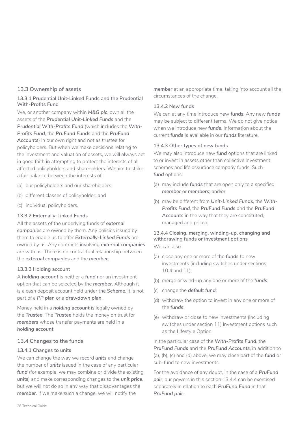#### **13.3 Ownership of assets**

#### **13.3.1 Prudential Unit-Linked Funds and the Prudential With-Profits Fund**

We, or another company within *M&G plc*, own all the assets of the *Prudential Unit-Linked Funds* and the *Prudential With-Profits Fund* (which includes the *With-Profits Fund*, the *PruFund Funds* and the *PruFund Accounts*) in our own right and not as trustee for policyholders. But when we make decisions relating to the investment and valuation of assets, we will always act in good faith in attempting to protect the interests of all affected policyholders and shareholders. We aim to strike a fair balance between the interests of:

- (a) our policyholders and our shareholders:
- (b) different classes of policyholder; and
- (c) individual policyholders.

#### **13.3.2 Externally-Linked Funds**

All the assets of the underlying funds of *external companies* are owned by them. Any policies issued by them to enable us to offer *Externally-Linked Funds* are owned by us. Any contracts involving *external companies*  are with us. There is no contractual relationship between the *external companies* and the *member*.

#### **13.3.3 Holding account**

A *holding account* is neither a *fund* nor an investment option that can be selected by the *member*. Although it is a cash deposit account held under the *Scheme*, it is not part of a *PP plan* or a *drawdown plan*.

Money held in a *holding account* is legally owned by the *Trustee*. The *Trustee* holds the money on trust for *members* whose transfer payments are held in a *holding account*.

#### **13.4 Changes to the funds**

#### **13.4.1 Changes to units**

We can change the way we record *units* and change the number of *units* issued in the case of any particular fund (for example, we may combine or divide the existing *units*) and make corresponding changes to the *unit price*, but we will not do so in any way that disadvantages the *member*. If we make such a change, we will notify the

*member* at an appropriate time, taking into account all the circumstances of the change.

#### **13.4.2 New funds**

We can at any time introduce new *funds*. Any new *funds*  may be subject to different terms. We do not give notice when we introduce new *funds*. Information about the current *funds* is available in our *funds* literature.

#### **13.4.3 Other types of new funds**

We may also introduce new *fund* options that are linked to or invest in assets other than collective investment schemes and life assurance company funds. Such fund options:

- (a) may include **funds** that are open only to a specified *member* or *members*; and/or
- (b) may be different from Unit-Linked Funds, the With-*Profits Fund*, the *PruFund Funds* and the *PruFund Accounts* in the way that they are constituted, managed and priced.

## **13.4.4 Closing, merging, winding-up, changing and withdrawing funds or investment options**

We can also:

- (a) close any one or more of the *funds* to new investments (including switches under sections 10.4 and 11);
- (b) merge or wind-up any one or more of the *funds*;
- (c) change the *default fund*;
- (d) withdraw the option to invest in any one or more of the *funds*;
- (e) withdraw or close to new investments (including switches under section 11) investment options such as the Lifestyle Option.

In the particular case of the *With-Profits Fund*, the *PruFund Funds* and the *PruFund Accounts*, in addition to (a), (b), (c) and (d) above, we may close part of the *fund* or sub-fund to new investments.

For the avoidance of any doubt, in the case of a *PruFund pair*, our powers in this section 13.4.4 can be exercised separately in relation to each *PruFund Fund* in that *PruFund pair*.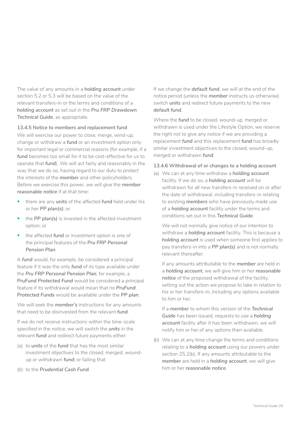The value of any amounts in a *holding account* under section 5.2 or 5.3 will be based on the value of the relevant transfers-in or the terms and conditions of a *holding account* as set out in the *Pru FRP Drawdown Technical Guide*, as appropriate.

#### **13.4.5 Notice to members and replacement fund**

We will exercise our power to close, merge, wind-up, change or withdraw a *fund* or an investment option only for important legal or commercial reasons (for example, if a *fund* becomes too small for it to be cost-effective for us to operate that *fund*). We will act fairly and reasonably in the way that we do so, having regard to our duty to protect the interests of the *member* and other policyholders. Before we exercise this power, we will give the *member reasonable notice* if at that time:

- there are any *units* of the affected *fund* held under his or her *PP plan(s)*; or
- the *PP plan(s)* is invested in the affected investment option; or
- the affected *fund* or investment option is one of the principal features of the *Pru FRP Personal Pension Plan*.

A *fund* would, for example, be considered a principal feature if it was the only *fund* of its type available under the *Pru FRP Personal Pension Plan*; for example, a *PruFund Protected Fund* would be considered a principal feature if its withdrawal would mean that no *PruFund Protected Funds* would be available under the *PP plan*.

We will seek the *member's* instructions for any amounts that need to be disinvested from the relevant *fund*.

If we do not receive instructions within the time-scale specified in the notice, we will switch the *units* in the relevant *fund* and redirect future payments either:

- (a) to *units* of the *fund* that has the most similar investment objectives to the closed, merged, woundup or withdrawn *fund*; or failing that
- (b) to the *Prudential Cash Fund*.

If we change the *default fund*, we will at the end of the notice period (unless the *member* instructs us otherwise) switch *units* and redirect future payments to the new *default fund*.

Where the *fund* to be closed, wound-up, merged or withdrawn is used under the Lifestyle Option, we reserve the right not to give any notice if we are providing a replacement *fund* and this replacement *fund* has broadly similar investment objectives to the closed, wound-up, merged or withdrawn *fund*.

#### **13.4.6 Withdrawal of or changes to a holding account**

(a) We can at any time withdraw a *holding account*  facility. If we do so, a *holding account* will be withdrawn for all new transfers-in received on or after the date of withdrawal, including transfers-in relating to existing *members* who have previously made use of a *holding account* facility under the terms and conditions set out in this *Technical Guide*.

We will not normally give notice of our intention to withdraw a *holding account* facility. This is because a *holding account* is used when someone first applies to pay transfers-in into a *PP plan(s)* and is not normally relevant thereafter.

If any amounts attributable to the *member* are held in a *holding account*, we will give him or her *reasonable notice* of the proposed withdrawal of the facility, setting out the action we propose to take in relation to his or her transfers-in, including any options available to him or her.

If a *member* to whom this version of the *Technical Guide* has been issued, requests to use a *holding account* facility after it has been withdrawn, we will notify him or her of any options then available.

(b) We can at any time change the terms and conditions relating to a *holding account* using our powers under section 25.2(b). If any amounts attributable to the *member* are held in a *holding account*, we will give him or her *reasonable notice*.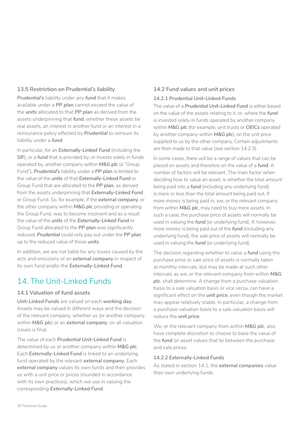#### <span id="page-29-0"></span>**13.5 Restriction on Prudential's liability**

*Prudential's* liability under any *fund* that it makes available under a *PP plan* cannot exceed the value of the *units* allocated to that *PP plan* as derived from the assets underpinning that *fund*, whether these assets be real assets, an interest in another fund or an interest in a reinsurance policy effected by *Prudential* to reinsure its liability under a *fund*.

In particular, for an *Externally-Linked Fund* (including the **SIF**), or a *fund* that is provided by, or invests solely in funds operated by, another company within *M&G plc* (a "Group Fund"), **Prudential's** liability under a PP plan is limited to the value of the *units* of that *Externally-Linked Fund* or Group Fund that are allocated to the *PP plan*, as derived from the assets underpinning that *Externally-Linked Fund*  or Group Fund. So, for example, if the *external company*, or the other company within *M&G plc* providing or operating the Group Fund, was to become insolvent and as a result the value of the *units* of the *Externally-Linked Fund* or Group Fund allocated to the *PP plan* was significantly reduced, *Prudential* could only pay out under the *PP plan*  up to the reduced value of those *units*.

In addition, we are not liable for any losses caused by the acts and omissions of an *external company* in respect of its own fund and/or the *Externally-Linked Fund*.

## 14. The Unit-Linked Funds

#### **14.1 Valuation of fund assets**

*Unit-Linked Funds* are valued on each *working day*. Assets may be valued in different ways and the decision of the relevant company, whether us (or another company within *M&G plc*) or an *external company*, on all valuation issues is final.

The value of each *Prudential Unit-Linked Fund* is determined by us or another company within *M&G plc*. Each *Externally-Linked Fund* is linked to an underlying fund operated by the relevant *external company*. Each *external company* values its own funds and then provides us with a unit price or prices (rounded in accordance with its own practices), which we use in valuing the corresponding *Externally-Linked Fund*.

## **14.2 Fund values and unit prices**

#### **14.2.1 Prudential Unit-Linked Funds**

The value of a *Prudential Unit-Linked Fund* is either based on the value of the assets relating to it, or, where the *fund*  is invested solely in funds operated by another company within *M&G plc* (for example, unit trusts or *OEICs* operated by another company within *M&G plc*), on the unit price supplied to us by the other company. Certain adjustments are then made to that value (see section 14.2.3).

In some cases, there will be a range of values that can be placed on assets and therefore on the value of a *fund*. A number of factors will be relevant. The main factor when deciding how to value an asset, is whether the total amount being paid into a *fund* (including any underlying fund) is more or less than the total amount being paid out. If more money is being paid in, we, or the relevant company from within *M&G plc*, may need to buy more assets. In such a case, the purchase price of assets will normally be used in valuing the *fund* (or underlying fund). If, however, more money is being paid out of the *fund* (including any underlying fund), the sale price of assets will normally be used in valuing the *fund* (or underlying fund).

The decision regarding whether to value a *fund* using the purchase price or sale price of assets is normally taken at monthly intervals, but may be made at such other intervals as we, or the relevant company from within *M&G plc*, shall determine. A change from a purchase valuation basis to a sale valuation basis or vice versa, can have a significant effect on the *unit price*, even though the market may appear relatively stable. In particular, a change from a purchase valuation basis to a sale valuation basis will reduce the *unit price*.

We, or the relevant company from within *M&G plc*, also have complete discretion to choose to base the value of the *fund* on asset values that lie between the purchase and sale prices.

#### **14.2.2 Externally-Linked Funds**

As stated in section 14.1, the *external companies* value their own underlying funds.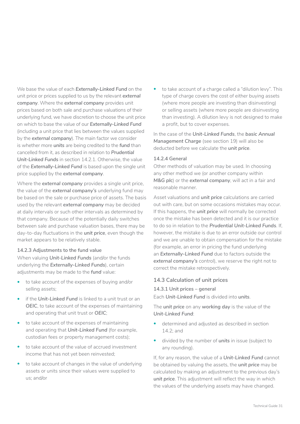We base the value of each *Externally-Linked Fund* on the unit price or prices supplied to us by the relevant *external company*. Where the *external company* provides unit prices based on both sale and purchase valuations of their underlying fund, we have discretion to choose the unit price on which to base the value of our *Externally-Linked Fund*  (including a unit price that lies between the values supplied by the *external company*). The main factor we consider is whether more *units* are being credited to the *fund* than cancelled from it, as described in relation to *Prudential Unit-Linked Funds* in section 14.2.1. Otherwise, the value of the *Externally-Linked Fund* is based upon the single unit price supplied by the *external company*.

Where the *external company* provides a single unit price, the value of the *external company's* underlying fund may be based on the sale or purchase price of assets. The basis used by the relevant *external company* may be decided at daily intervals or such other intervals as determined by that company. Because of the potentially daily switches between sale and purchase valuation bases, there may be day-to-day fluctuations in the *unit price*, even though the market appears to be relatively stable.

#### **14.2.3 Adjustments to the fund value**

When valuing *Unit-Linked Funds* (and/or the funds underlying the *Externally-Linked Funds*), certain adjustments may be made to the *fund* value:

- to take account of the expenses of buying and/or selling assets;
- if the *Unit-Linked Fund* is linked to a unit trust or an *OEIC*, to take account of the expenses of maintaining and operating that unit trust or *OEIC*;
- to take account of the expenses of maintaining and operating that *Unit-Linked Fund* (for example, custodian fees or property management costs);
- to take account of the value of accrued investment income that has not yet been reinvested;
- to take account of changes in the value of underlying assets or units since their values were supplied to us; and/or

• to take account of a charge called a "dilution levy". This type of charge covers the cost of either buying assets (where more people are investing than disinvesting) or selling assets (where more people are disinvesting than investing). A dilution levy is not designed to make a profit, but to cover expenses.

In the case of the *Unit-Linked Funds*, the *basic Annual Management Charge* (see section 19) will also be deducted before we calculate the *unit price*.

#### **14.2.4 General**

Other methods of valuation may be used. In choosing any other method we (or another company within *M&G plc*) or the *external company*, will act in a fair and reasonable manner.

Asset valuations and *unit price* calculations are carried out with care, but on some occasions mistakes may occur. If this happens, the *unit price* will normally be corrected once the mistake has been detected and it is our practice to do so in relation to the *Prudential Unit-Linked Funds*. If, however, the mistake is due to an error outside our control and we are unable to obtain compensation for the mistake (for example, an error in pricing the fund underlying an *Externally-Linked Fund* due to factors outside the *external company's* control), we reserve the right not to correct the mistake retrospectively.

#### **14.3 Calculation of unit prices**

**14.3.1 Unit prices – general** 

Each *Unit-Linked Fund* is divided into *units*.

The *unit price* on any *working day* is the value of the *Unit-Linked Fund*:

- determined and adjusted as described in section 14.2; and
- divided by the number of *units* in issue (subject to any rounding).

If, for any reason, the value of a *Unit-Linked Fund* cannot be obtained by valuing the assets, the *unit price* may be calculated by making an adjustment to the previous day's *unit price*. This adjustment will reflect the way in which the values of the underlying assets may have changed.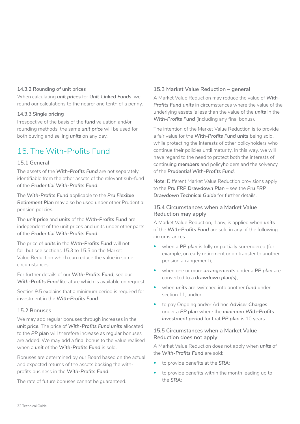#### <span id="page-31-0"></span>**14.3.2 Rounding of unit prices**

When calculating *unit prices* for *Unit-Linked Funds*, we round our calculations to the nearer one tenth of a penny.

#### **14.3.3 Single pricing**

Irrespective of the basis of the *fund* valuation and/or rounding methods, the same *unit price* will be used for both buying and selling *units* on any day.

## 15. The With-Profits Fund

#### **15.1 General**

The assets of the *With-Profits Fund* are not separately identifiable from the other assets of the relevant sub-fund of the *Prudential With-Profits Fund*.

The *With-Profits Fund* applicable to the *Pru Flexible Retirement Plan* may also be used under other Prudential pension policies.

The *unit price* and *units* of the *With-Profits Fund* are independent of the unit prices and units under other parts of the *Prudential With-Profits Fund*.

The price of *units* in the *With-Profits Fund* will not fall, but see sections 15.3 to 15.5 on the Market Value Reduction which can reduce the value in some circumstances.

For further details of our *With-Profits Fund*, see our *With-Profits Fund* literature which is available on request.

Section 9.5 explains that a minimum period is required for investment in the *With-Profits Fund*.

#### **15.2 Bonuses**

We may add regular bonuses through increases in the *unit price*. The price of *With-Profits Fund units* allocated to the *PP plan* will therefore increase as regular bonuses are added. We may add a final bonus to the value realised when a *unit* of the **With-Profits Fund** is sold.

Bonuses are determined by our Board based on the actual and expected returns of the assets backing the withprofits business in the *With-Profits Fund*.

The rate of future bonuses cannot be guaranteed.

#### **15.3 Market Value Reduction – general**

A Market Value Reduction may reduce the value of *With-Profits Fund units* in circumstances where the value of the underlying assets is less than the value of the *units* in the *With-Profits Fund* (including any final bonus).

The intention of the Market Value Reduction is to provide a fair value for the *With-Profits Fund units* being sold, while protecting the interests of other policyholders who continue their policies until maturity. In this way, we will have regard to the need to protect both the interests of continuing *members* and policyholders and the solvency of the *Prudential With-Profits Fund*.

**Note**: Different Market Value Reduction provisions apply to the Pru FRP Drawdown Plan - see the Pru FRP *Drawdown Technical Guide* for further details.

#### **15.4 Circumstances when a Market Value Reduction may apply**

A Market Value Reduction, if any, is applied when *units*  of the *With-Profits Fund* are sold in any of the following circumstances:

- when a PP plan is fully or partially surrendered (for example, on early retirement or on transfer to another pension arrangement);
- when one or more *arrangements* under a *PP plan* are converted to a *drawdown plan(s)*;
- when *units* are switched into another *fund* under section 11; and/or
- to pay Ongoing and/or Ad hoc *Adviser Charges*  under a *PP plan* where the *minimum With-Profits*  investment period for that PP plan is 10 years.

#### **15.5 Circumstances when a Market Value Reduction does not apply**

A Market Value Reduction does not apply when *units* of the *With-Profits Fund* are sold:

- to provide benefits at the *SRA*;
- to provide benefits within the month leading up to the *SRA*;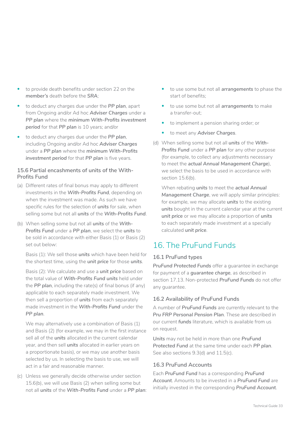- <span id="page-32-0"></span>• to provide death benefits under section 22 on the *member's* death before the *SRA*;
- to deduct any charges due under the *PP plan*, apart from Ongoing and/or Ad hoc *Adviser Charges* under a *PP plan* where the *minimum With-Profits investment period* for that *PP plan* is 10 years; and/or
- to deduct any charges due under the *PP plan*, including Ongoing and/or Ad hoc *Adviser Charges*  under a *PP plan* where the *minimum With-Profits*  investment period for that PP plan is five years.

#### **15.6 Partial encashments of units of the With-Profits Fund**

- (a) Different rates of final bonus may apply to different investments in the *With-Profits Fund*, depending on when the investment was made. As such we have specific rules for the selection of *units* for sale, when selling some but not all *units* of the *With-Profits Fund*.
- (b) When selling some but not all *units* of the *With-Profits Fund* under a *PP plan*, we select the *units* to be sold in accordance with either Basis (1) or Basis (2) set out below:

Basis (1): We sell those *units* which have been held for the shortest time, using the *unit price* for those *units*.

Basis (2): We calculate and use a *unit price* based on the total value of *With-Profits Fund units* held under the *PP plan*, including the rate(s) of final bonus (if any) applicable to each separately made investment. We then sell a proportion of *units* from each separately made investment in the *With-Profits Fund* under the *PP plan*.

We may alternatively use a combination of Basis (1) and Basis (2) (for example, we may in the first instance sell all of the *units* allocated in the current calendar year, and then sell *units* allocated in earlier years on a proportionate basis), or we may use another basis selected by us. In selecting the basis to use, we will act in a fair and reasonable manner.

(c) Unless we generally decide otherwise under section 15.6(b), we will use Basis (2) when selling some but not all *units* of the *With-Profits Fund* under a *PP plan*:

- to use some but not all *arrangements* to phase the start of benefits;
- to use some but not all *arrangements* to make a transfer-out;
- to implement a pension sharing order; or
- to meet any *Adviser Charges*.
- (d) When selling some but not all *units* of the *With-Profits Fund* under a *PP plan* for any other purpose (for example, to collect any adjustments necessary to meet the *actual Annual Management Charge*), we select the basis to be used in accordance with section 15.6(b).

When rebating *units* to meet the *actual Annual Management Charge*, we will apply similar principles: for example, we may allocate *units* to the existing *units* bought in the current calendar year at the current *unit price* or we may allocate a proportion of *units*  to each separately made investment at a specially calculated *unit price*.

## 16. The PruFund Funds

#### **16.1 PruFund types**

*PruFund Protected Funds* offer a guarantee in exchange for payment of a *guarantee charge*, as described in section 17.13. Non-protected *PruFund Funds* do not offer any guarantee.

#### **16.2 Availability of PruFund Funds**

A number of *PruFund Funds* are currently relevant to the *Pru FRP Personal Pension Plan*. These are described in our current *funds* literature, which is available from us on request.

*Units* may not be held in more than one *PruFund Protected Fund* at the same time under each *PP plan*. See also sections 9.3(d) and 11.5(c).

#### **16.3 PruFund Accounts**

Each *PruFund Fund* has a corresponding *PruFund Account*. Amounts to be invested in a *PruFund Fund* are initially invested in the corresponding *PruFund Account*.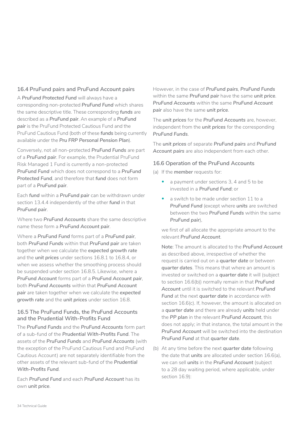#### **16.4 PruFund pairs and PruFund Account pairs**

A *PruFund Protected Fund* will always have a corresponding non-protected *PruFund Fund* which shares the same descriptive title. These corresponding *funds* are described as a *PruFund pair*. An example of a *PruFund pair* is the PruFund Protected Cautious Fund and the PruFund Cautious Fund (both of these *funds* being currently available under the *Pru FRP Personal Pension Plan*).

Conversely, not all non-protected *PruFund Funds* are part of a *PruFund pair*. For example, the Prudential PruFund Risk Managed 1 Fund is currently a non-protected *PruFund Fund* which does not correspond to a *PruFund Protected Fund*, and therefore that *fund* does not form part of a *PruFund pair*.

Each *fund* within a *PruFund pair* can be withdrawn under section 13.4.4 independently of the other *fund* in that *PruFund pair*.

Where two *PruFund Accounts* share the same descriptive name these form a *PruFund Account pair*.

Where a *PruFund Fund* forms part of a *PruFund pair*, both *PruFund Funds* within that *PruFund pair* are taken together when we calculate the *expected growth rate*  and the *unit prices* under sections 16.8.1 to 16.8.4, or when we assess whether the smoothing process should be suspended under section 16.8.5. Likewise, where a *PruFund Account* forms part of a *PruFund Account pair*, both *PruFund Accounts* within that *PruFund Account pair* are taken together when we calculate the *expected growth rate* and the *unit prices* under section 16.8.

#### **16.5 The PruFund Funds, the PruFund Accounts and the Prudential With-Profits Fund**

The *PruFund Funds* and the *PruFund Accounts* form part of a sub-fund of the *Prudential With-Profits Fund*. The assets of the *PruFund Funds* and *PruFund Accounts* (with the exception of the PruFund Cautious Fund and PruFund Cautious Account) are not separately identifiable from the other assets of the relevant sub-fund of the *Prudential With-Profits Fund*.

Each *PruFund Fund* and each *PruFund Account* has its own *unit price*.

However, in the case of *PruFund pairs*, *PruFund Funds*  within the same *PruFund pair* have the same *unit price*. *PruFund Accounts* within the same *PruFund Account pair* also have the same *unit price*.

The *unit prices* for the *PruFund Accounts* are, however, independent from the *unit prices* for the corresponding *PruFund Funds*.

The *unit prices* of separate *PruFund pairs* and *PruFund Account pairs* are also independent from each other.

#### **16.6 Operation of the PruFund Accounts**

- (a) If the *member* requests for:
	- a payment under sections 3, 4 and 5 to be invested in a *PruFund Fund*; or
	- a switch to be made under section 11 to a *PruFund Fund* (except where *units* are switched between the two *PruFund Funds* within the same *PruFund pair*),

we first of all allocate the appropriate amount to the relevant *PruFund Account*.

**Note**: The amount is allocated to the *PruFund Account*  as described above, irrespective of whether the request is carried out on a *quarter date* or between *quarter dates*. This means that where an amount is invested or switched on a *quarter date* it will (subject to section 16.6(b)) normally remain in that *PruFund Account* until it is switched to the relevant *PruFund*  Fund at the next quarter date in accordance with section 16.6(c). If, however, the amount is allocated on a *quarter date* and there are already *units* held under the *PP plan* in the relevant *PruFund Account*, this does not apply; in that instance, the total amount in the *PruFund Account* will be switched into the destination *PruFund Fund* at that *quarter date*.

(b) At any time before the next *quarter date* following the date that *units* are allocated under section 16.6(a), we can sell *units* in the *PruFund Account* (subject to a 28 day waiting period, where applicable, under section 16.9):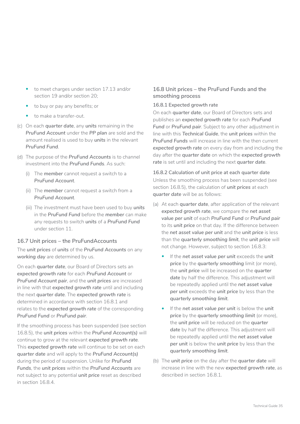- to meet charges under section 17.13 and/or section 19 and/or section 20;
- to buy or pay any benefits; or
- to make a transfer-out.
- (c) On each *quarter date*, any *units* remaining in the *PruFund Account* under the *PP plan* are sold and the amount realised is used to buy *units* in the relevant *PruFund Fund*.
- (d) The purpose of the *PruFund Accounts* is to channel investment into the *PruFund Funds*. As such:
	- (i) The *member* cannot request a switch to a *PruFund Account*.
	- (ii) The *member* cannot request a switch from a *PruFund Account*.
	- (iii) The investment must have been used to buy *units* in the *PruFund Fund* before the *member* can make any requests to switch *units* of a *PruFund Fund*  under section 11.

#### **16.7 Unit prices – the PruFund Accounts**

The *unit prices* of *units* of the *PruFund Accounts* on any *working day* are determined by us.

On each *quarter date*, our Board of Directors sets an *expected growth rate* for each *PruFund Account* or *PruFund Account pair*, and the *unit prices* are increased in line with that *expected growth rate* until and including the next *quarter date*. The *expected growth rate* is determined in accordance with section 16.8.1 and relates to the *expected growth rate* of the corresponding *PruFund Fund* or *PruFund pair*.

If the smoothing process has been suspended (see section 16.8.5), the *unit prices* within the *PruFund Account(s)* will continue to grow at the relevant *expected growth rate*. This *expected growth rate* will continue to be set on each *quarter date* and will apply to the *PruFund Account(s)*  during the period of suspension. Unlike for *PruFund Funds*, the *unit prices* within the *PruFund Accounts* are not subject to any potential *unit price* reset as described in section 16.8.4.

#### **16.8 Unit prices – the PruFund Funds and the smoothing process**

#### **16.8.1 Expected growth rate**

On each *quarter date*, our Board of Directors sets and publishes an *expected growth rate* for each *PruFund Fund* or *PruFund pair*. Subject to any other adjustment in line with this *Technical Guide*, the *unit prices* within the *PruFund Funds* will increase in line with the then current *expected growth rate* on every day from and including the day after the *quarter date* on which the *expected growth rate* is set until and including the next *quarter date*.

**16.8.2 Calculation of unit price at each quarter date** Unless the smoothing process has been suspended (see section 16.8.5), the calculation of *unit prices* at each *quarter date* will be as follows:

- (a) At each *quarter date*, after application of the relevant *expected growth rate*, we compare the *net asset value per unit* of each *PruFund Fund* or *PruFund pair*  to its *unit price* on that day. If the difference between the *net asset value per unit* and the *unit price* is less than the *quarterly smoothing limit*, the *unit price* will not change. However, subject to section 16.8.3:
	- If the *net asset value per unit* exceeds the *unit price* by the *quarterly smoothing* limit (or more), the *unit price* will be increased on the *quarter date* by half the difference. This adjustment will be repeatedly applied until the *net asset value per unit* exceeds the *unit price* by less than the *quarterly smoothing limit*.
	- If the *net asset value per unit* is below the *unit price* by the *quarterly smoothing limit* (or more), the *unit price* will be reduced on the *quarter*  date by half the difference. This adjustment will be repeatedly applied until the *net asset value per unit* is below the *unit price* by less than the *quarterly smoothing limit*.
- (b) The *unit price* on the day after the *quarter date* will increase in line with the new *expected growth rate*, as described in section 16.8.1.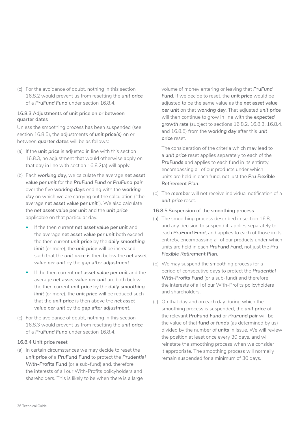(c) For the avoidance of doubt, nothing in this section 16.8.2 would prevent us from resetting the *unit price*  of a *PruFund Fund* under section 16.8.4.

#### **16.8.3 Adjustments of unit price on or between quarter dates**

Unless the smoothing process has been suspended (see section 16.8.5), the adjustments of *unit price(s)* on or between *quarter dates* will be as follows:

- (a) If the *unit price* is adjusted in line with this section 16.8.3, no adjustment that would otherwise apply on that day in line with section 16.8.2(a) will apply.
- (b) Each *working day*, we calculate the average *net asset value per unit* for the *PruFund Fund* or *PruFund pair*  over the five *working days* ending with the *working day* on which we are carrying out the calculation ("the average *net asset value per unit*"). We also calculate the *net asset value per unit* and the *unit price*  applicable on that particular day.
	- If the then current *net asset value per unit* and the average *net asset value per unit* both exceed the then current *unit price* by the *daily smoothing limit* (or more), the *unit price* will be increased such that the *unit price* is then below the *net asset value per unit* by the *gap after adjustment*.
	- If the then current *net asset value per unit* and the average *net asset value per unit* are both below the then current *unit price* by the *daily smoothing limit* (or more), the *unit price* will be reduced such that the *unit price* is then above the *net asset value per unit* by the *gap after adjustment*.
- (c) For the avoidance of doubt, nothing in this section 16.8.3 would prevent us from resetting the *unit price*  of a *PruFund Fund* under section 16.8.4.

#### **16.8.4 Unit price reset**

(a) In certain circumstances we may decide to reset the *unit price* of a *PruFund Fund* to protect the *Prudential With-Profits Fund* (or a sub-fund) and, therefore, the interests of all our With-Profits policyholders and shareholders. This is likely to be when there is a large

volume of money entering or leaving that *PruFund Fund*. If we decide to reset, the *unit price* would be adjusted to be the same value as the *net asset value per unit* on that *working day*. That adjusted *unit price*  will then continue to grow in line with the *expected growth rate* (subject to sections 16.8.2, 16.8.3, 16.8.4, and 16.8.5) from the *working day* after this *unit price* reset.

The consideration of the criteria which may lead to a *unit price* reset applies separately to each of the *PruFunds* and applies to each fund in its entirety, encompassing all of our products under which units are held in each fund, not just the *Pru Flexible Retirement Plan*.

(b) The *member* will not receive individual notification of a *unit price* reset.

#### **16.8.5 Suspension of the smoothing process**

- (a) The smoothing process described in section 16.8, and any decision to suspend it, applies separately to each *PruFund Fund*, and applies to each of those in its entirety, encompassing all of our products under which units are held in each *PruFund Fund*, not just the *Pru Flexible Retirement Plan*.
- (b) We may suspend the smoothing process for a period of consecutive days to protect the *Prudential With-Profits Fund* (or a sub-fund) and therefore the interests of all of our With-Profits policyholders and shareholders.
- (c) On that day and on each day during which the smoothing process is suspended, the *unit price* of the relevant *PruFund Fund* or *PruFund pair* will be the value of that *fund* or *funds* (as determined by us) divided by the number of *units* in issue. We will review the position at least once every 30 days, and will reinstate the smoothing process when we consider it appropriate. The smoothing process will normally remain suspended for a minimum of 30 days.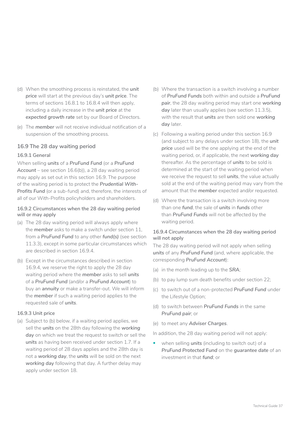- (d) When the smoothing process is reinstated, the *unit price* will start at the previous day's *unit price*. The terms of sections 16.8.1 to 16.8.4 will then apply, including a daily increase in the *unit price* at the *expected growth rate* set by our Board of Directors.
- (e) The *member* will not receive individual notification of a suspension of the smoothing process.

### **16.9 The 28 day waiting period**

#### **16.9.1 General**

When selling *units* of a *PruFund Fund* (or a *PruFund Account* – see section 16.6(b)), a 28 day waiting period may apply as set out in this section 16.9. The purpose of the waiting period is to protect the *Prudential With-Profits Fund* (or a sub-fund) and, therefore, the interests of all of our With-Profits policyholders and shareholders.

#### **16.9.2 Circumstances when the 28 day waiting period will or may apply**

- (a) The 28 day waiting period will always apply where the *member* asks to make a switch under section 11, from a *PruFund Fund* to any other *fund(s)* (see section 11.3.3), except in some particular circumstances which are described in section 16.9.4.
- (b) Except in the circumstances described in section 16.9.4, we reserve the right to apply the 28 day waiting period where the *member* asks to sell *units*  of a *PruFund Fund* (and/or a *PruFund Account*) to buy an *annuity* or make a transfer-out. We will inform the *member* if such a waiting period applies to the requested sale of *units*.

### **16.9.3 Unit price**

(a) Subject to (b) below, if a waiting period applies, we sell the *units* on the 28th day following the *working day* on which we treat the request to switch or sell the *units* as having been received under section 1.7. If a waiting period of 28 days applies and the 28th day is not a *working day*, the *units* will be sold on the next *working day* following that day. A further delay may apply under section 18.

- (b) Where the transaction is a switch involving a number of *PruFund Funds* both within and outside a *PruFund pair*, the 28 day waiting period may start one *working*  day later than usually applies (see section 11.3.5). with the result that *units* are then sold one *working*  day later.
- (c) Following a waiting period under this section 16.9 (and subject to any delays under section 18), the *unit price* used will be the one applying at the end of the waiting period, or, if applicable, the next *working day*  thereafter. As the percentage of *units* to be sold is determined at the start of the waiting period when we receive the request to sell *units*, the value actually sold at the end of the waiting period may vary from the amount that the *member* expected and/or requested.
- (d) Where the transaction is a switch involving more than one *fund*, the sale of *units* in *funds* other than *PruFund Funds* will not be affected by the waiting period.

#### **16.9.4 Circumstances when the 28 day waiting period will not apply**

The 28 day waiting period will not apply when selling *units* of any *PruFund Fund* (and, where applicable, the corresponding *PruFund Account*):

- (a) in the month leading up to the *SRA*;
- (b) to pay lump sum death benefits under section 22;
- (c) to switch out of a non-protected *PruFund Fund* under the Lifestyle Option;
- (d) to switch between *PruFund Funds* in the same *PruFund pair*; or
- (e) to meet any *Adviser Charges*.

In addition, the 28 day waiting period will not apply:

• when selling *units* (including to switch out) of a *PruFund Protected Fund* on the *guarantee date* of an investment in that *fund*; or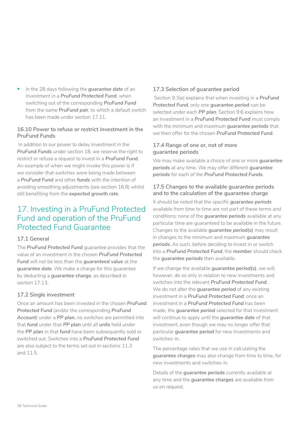• in the 28 days following the *guarantee date* of an investment in a *PruFund Protected Fund*, when switching out of the corresponding *PruFund Fund*  from the same *PruFund pair*, to which a default switch has been made under section 17.11.

## **16.10 Power to refuse or restrict investment in the PruFund Funds**

In addition to our power to delay investment in the *PruFund Funds* under section 18, we reserve the right to restrict or refuse a request to invest in a *PruFund Fund*. An example of when we might invoke this power is if we consider that switches were being made between a *PruFund Fund* and other *funds* with the intention of avoiding smoothing adjustments (see section 16.8) whilst still benefiting from the *expected growth rate*.

## 17. Investing in a PruFund Protected Fund and operation of the PruFund Protected Fund Guarantee

## **17.1 General**

The *PruFund Protected Fund* guarantee provides that the value of an investment in the chosen *PruFund Protected Fund* will not be less than the *guaranteed value* at the *guarantee date*. We make a charge for this guarantee by deducting a *guarantee charge*, as described in section 17.13.

## **17.2 Single investment**

Once an amount has been invested in the chosen *PruFund Protected Fund* (and/or the corresponding *PruFund Account*) under a *PP plan*, no switches are permitted into that *fund* under that *PP plan* until all *units* held under the *PP plan* in that *fund* have been subsequently sold or switched out. Switches into a *PruFund Protected Fund*  are also subject to the terms set out in sections 11.3 and 11.5.

## **17.3 Selection of guarantee period**

Section 9.3(e) explains that when investing in a *PruFund Protected Fund*, only one *guarantee period* can be selected under each *PP plan*. Section 9.6 explains how an investment in a *PruFund Protected Fund* must comply with the minimum and maximum *guarantee periods* that we then offer for the chosen *PruFund Protected Fund*.

### **17.4 Range of one or, not of more guarantee periods**

We may make available a choice of one or more *guarantee periods* at any time. We may offer different *guarantee periods* for each of the *PruFund Protected Funds*.

### **17.5 Changes to the available guarantee periods and to the calculation of the guarantee charge**

It should be noted that the specific *guarantee periods*  available from time to time are not part of these terms and conditions: none of the *guarantee periods* available at any particular time are guaranteed to be available in the future. Changes to the available *guarantee period(s)* may result in changes to the minimum and maximum *guarantee periods*. As such, before deciding to invest in or switch into a *PruFund Protected Fund*, the *member* should check the *guarantee periods* then available.

If we change the available *guarantee period(s)*, we will, however, do so only in relation to new investments and switches into the relevant *PruFund Protected Fund*. We do not alter the *guarantee period* of any existing investment in a *PruFund Protected Fund*: once an investment in a *PruFund Protected Fund* has been made, the *guarantee period* selected for that investment will continue to apply until the *guarantee date* of that investment, even though we may no longer offer that particular *guarantee period* for new investments and switches-in.

The percentage rates that we use in calculating the *guarantee charges* may also change from time to time, for new investments and switches-in.

Details of the *guarantee periods* currently available at any time and the *guarantee charges* are available from us on request.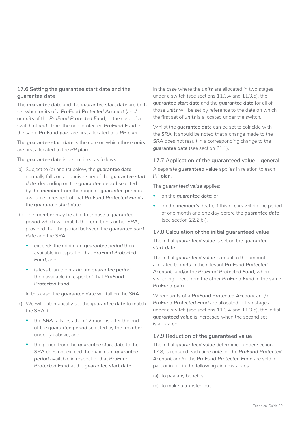### **17.6 Setting the guarantee start date and the guarantee date**

The *guarantee date* and the *guarantee start date* are both set when *units* of a *PruFund Protected Account* (and/ or *units* of the *PruFund Protected Fund*, in the case of a switch of *units* from the non-protected *PruFund Fund* in the same *PruFund pair*) are first allocated to a *PP plan*.

The *guarantee start date* is the date on which those *units*  are first allocated to the *PP plan*.

The *guarantee date* is determined as follows:

- (a) Subject to (b) and (c) below, the *guarantee date*  normally falls on an anniversary of the *guarantee start date*, depending on the *guarantee period* selected by the *member* from the range of *guarantee periods*  available in respect of that *PruFund Protected Fund* at the *guarantee start date*.
- (b) The *member* may be able to choose a *guarantee period* which will match the term to his or her *SRA*, provided that the period between the *guarantee start date* and the *SRA*:
	- exceeds the minimum *guarantee period* then available in respect of that *PruFund Protected Fund*; and
	- is less than the maximum *guarantee period*  then available in respect of that *PruFund Protected Fund*.
	- In this case, the *guarantee date* will fall on the *SRA*.
- (c) We will automatically set the *guarantee date* to match the *SRA* if:
	- the *SRA* falls less than 12 months after the end of the *guarantee period* selected by the *member*  under (a) above; and
	- the period from the *guarantee start date* to the *SRA* does not exceed the maximum *guarantee period* available in respect of that *PruFund Protected Fund* at the *guarantee start date*.

In the case where the *units* are allocated in two stages under a switch (see sections 11.3.4 and 11.3.5), the *guarantee start date* and the *guarantee date* for all of those *units* will be set by reference to the date on which the first set of *units* is allocated under the switch.

Whilst the *guarantee date* can be set to coincide with the *SRA*, it should be noted that a change made to the *SRA* does not result in a corresponding change to the *guarantee date* (see section 21.1).

**17.7 Application of the guaranteed value – general** A separate *guaranteed value* applies in relation to each *PP plan*.

The *guaranteed value* applies:

- on the *guarantee date*; or
- on the *member's* death, if this occurs within the period of one month and one day before the *guarantee date*  (see section 22.2(b)).

### **17.8 Calculation of the initial guaranteed value**

The initial *guaranteed value* is set on the *guarantee start date*.

The initial *guaranteed value* is equal to the amount allocated to *units* in the relevant *PruFund Protected Account* (and/or the *PruFund Protected Fund*, where switching direct from the other *PruFund Fund* in the same *PruFund pair*).

Where *units* of a *PruFund Protected Account* and/or *PruFund Protected Fund* are allocated in two stages under a switch (see sections 11.3.4 and 11.3.5), the initial *guaranteed value* is increased when the second set is allocated.

### **17.9 Reduction of the guaranteed value**

The initial *guaranteed value* determined under section 17.8, is reduced each time *units* of the *PruFund Protected Account* and/or the *PruFund Protected Fund* are sold in part or in full in the following circumstances:

- (a) to pay any benefits;
- (b) to make a transfer-out;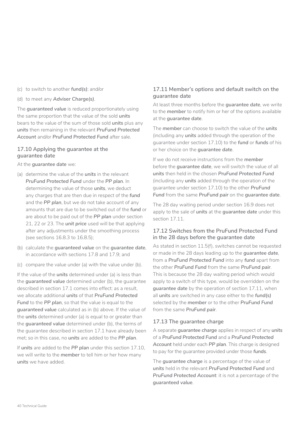- (c) to switch to another *fund(s)*; and/or
- (d) to meet any *Adviser Charge(s)*.

The *guaranteed value* is reduced proportionately using the same proportion that the value of the sold *units*  bears to the value of the sum of those sold *units* plus any *units* then remaining in the relevant *PruFund Protected Account* and/or *PruFund Protected Fund* after sale.

#### **17.10 Applying the guarantee at the guarantee date**

At the *guarantee date* we:

- (a) determine the value of the *units* in the relevant *PruFund Protected Fund* under the *PP plan*. In determining the value of those *units*, we deduct any charges that are then due in respect of the *fund*  and the *PP plan*, but we do not take account of any amounts that are due to be switched out of the *fund* or are about to be paid out of the *PP plan* under section 21, 22 or 23. The *unit price* used will be that applying after any adjustments under the smoothing process (see sections 16.8.3 to 16.8.5);
- (b) calculate the *guaranteed value* on the *guarantee date*, in accordance with sections 17.8 and 17.9; and
- (c) compare the value under (a) with the value under (b).

If the value of the *units* determined under (a) is less than the *guaranteed value* determined under (b), the guarantee described in section 17.1 comes into effect: as a result, we allocate additional *units* of that *PruFund Protected Fund* to the *PP plan*, so that the value is equal to the *guaranteed value* calculated as in (b) above. If the value of the *units* determined under (a) is equal to or greater than the *guaranteed value* determined under (b), the terms of the guarantee described in section 17.1 have already been met; so in this case, no *units* are added to the *PP plan*.

If *units* are added to the *PP plan* under this section 17.10, we will write to the *member* to tell him or her how many *units* we have added.

## **17.11 Member's options and default switch on the guarantee date**

At least three months before the *guarantee date*, we write to the *member* to notify him or her of the options available at the *guarantee date*.

The *member* can choose to switch the value of the *units*  (including any *units* added through the operation of the guarantee under section 17.10) to the *fund* or *funds* of his or her choice on the *guarantee date*.

If we do not receive instructions from the *member*  before the *guarantee date*, we will switch the value of all *units* then held in the chosen *PruFund Protected Fund*  (including any *units* added through the operation of the guarantee under section 17.10) to the other *PruFund Fund* from the same *PruFund pair* on the *guarantee date*.

The 28 day waiting period under section 16.9 does not apply to the sale of *units* at the *guarantee date* under this section 17.11.

## **17.12 Switches from the PruFund Protected Fund in the 28 days before the guarantee date**

As stated in section 11.5(f), switches cannot be requested or made in the 28 days leading up to the *guarantee date*, from a *PruFund Protected Fund* into any *fund* apart from the other *PruFund Fund* from the same *PruFund pair*. This is because the 28 day waiting period which would apply to a switch of this type, would be overridden on the *guarantee date* by the operation of section 17.11, when all *units* are switched in any case either to the *fund(s)*  selected by the *member* or to the other *PruFund Fund*  from the same *PruFund pair*.

## **17.13 The guarantee charge**

A separate *guarantee charge* applies in respect of any *units*  of a *PruFund Protected Fund* and a *PruFund Protected Account* held under each *PP plan*. This charge is designed to pay for the guarantee provided under those *funds*.

The *guarantee charge* is a percentage of the value of *units* held in the relevant *PruFund Protected Fund* and *PruFund Protected Account*: it is not a percentage of the *guaranteed value*.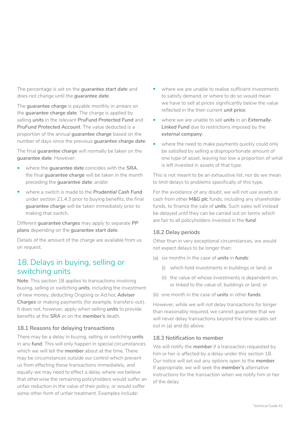The percentage is set on the *guarantee start date* and does not change until the *guarantee date*.

The *guarantee charge* is payable monthly in arrears on the *guarantee charge date*. The charge is applied by selling *units* in the relevant *PruFund Protected Fund* and *PruFund Protected Account*. The value deducted is a proportion of the annual *guarantee charge* based on the number of days since the previous *guarantee charge date*.

The final *guarantee charge* will normally be taken on the *guarantee date*. However:

- where the *guarantee date* coincides with the *SRA*, the final *guarantee charge* will be taken in the month preceding the *guarantee date*; and/or
- where a switch is made to the *Prudential Cash Fund*  under section 21.4.3 prior to buying benefits, the final *guarantee charge* will be taken immediately prior to making that switch.

Different *guarantee charges* may apply to separate *PP plans* depending on the *guarantee start date*.

Details of the amount of the charge are available from us on request.

## 18. Delays in buying, selling or switching units

**Note**: This section 18 applies to transactions involving buying, selling or switching *units*, including the investment of new money, deducting Ongoing or Ad hoc *Adviser Charges* or making payments (for example, transfers-out). It does not, however, apply when selling *units* to provide benefits at the *SRA* or on the *member's* death.

## **18.1 Reasons for delaying transactions**

There may be a delay in buying, selling or switching *units*  in any *fund*. This will only happen in special circumstances which we will tell the *member* about at the time. There may be circumstances outside our control which prevent us from effecting these transactions immediately, and equally we may need to effect a delay where we believe that otherwise the remaining policyholders would suffer an unfair reduction in the value of their policy, or would suffer some other form of unfair treatment. Examples include:

- where we are unable to realise sufficient investments to satisfy demand, or where to do so would mean we have to sell at prices significantly below the value reflected in the then current *unit price*;
- where we are unable to sell *units* in an *Externally-Linked Fund* due to restrictions imposed by the *external company*;
- where the need to make payments quickly could only be satisfied by selling a disproportionate amount of one type of asset, leaving too low a proportion of what is left invested in assets of that type.

This is not meant to be an exhaustive list, nor do we mean to limit delays to problems specifically of this type.

For the avoidance of any doubt, we will not use assets or cash from other *M&G plc* funds, including any shareholder funds, to finance the sale of *units*. Such sales will instead be delayed until they can be carried out on terms which are fair to all policyholders invested in the *fund*.

### **18.2 Delay periods**

Other than in very exceptional circumstances, we would not expect delays to be longer than:

- (a) six months in the case of *units* in *funds*:
	- (i) which hold investments in buildings or land; or
	- (ii) the value of whose investments is dependent on, or linked to the value of, buildings or land; or
- (b) one month in the case of *units* in other *funds*.

However, while we will not delay transactions for longer than reasonably required, we cannot guarantee that we will never delay transactions beyond the time-scales set out in (a) and (b) above.

#### **18.3 Notification to member**

We will notify the **member** if a transaction requested by him or her is affected by a delay under this section 18. Our notice will set out any options open to the *member*. If appropriate, we will seek the *member's* alternative instructions for the transaction when we notify him or her of the delay.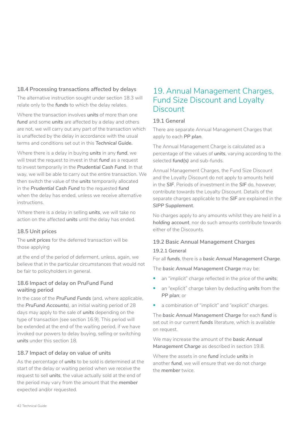## **18.4 Processing transactions affected by delays**

The alternative instruction sought under section 18.3 will relate only to the *funds* to which the delay relates.

Where the transaction involves *units* of more than one *fund* and some *units* are affected by a delay and others are not, we will carry out any part of the transaction which is unaffected by the delay in accordance with the usual terms and conditions set out in this *Technical Guide.*

Where there is a delay in buying *units* in any *fund*, we will treat the request to invest in that *fund* as a request to invest temporarily in the *Prudential Cash Fund*. In that way, we will be able to carry out the entire transaction. We then switch the value of the *units* temporarily allocated in the *Prudential Cash Fund* to the requested *fund*  when the delay has ended, unless we receive alternative instructions.

Where there is a delay in selling *units*, we will take no action on the affected *units* until the delay has ended.

## **18.5 Unit prices**

The *unit prices* for the deferred transaction will be those applying

at the end of the period of deferment, unless, again, we believe that in the particular circumstances that would not be fair to policyholders in general.

## **18.6 Impact of delay on PruFund Fund waiting period**

In the case of the *PruFund Funds* (and, where applicable, the *PruFund Accounts*), an initial waiting period of 28 days may apply to the sale of *units* depending on the type of transaction (see section 16.9). This period will be extended at the end of the waiting period, if we have invoked our powers to delay buying, selling or switching *units* under this section 18.

## **18.7 Impact of delay on value of units**

As the percentage of *units* to be sold is determined at the start of the delay or waiting period when we receive the request to sell *units*, the value actually sold at the end of the period may vary from the amount that the *member*  expected and/or requested.

## 19. Annual Management Charges, Fund Size Discount and Loyalty **Discount**

## **19.1 General**

There are separate Annual Management Charges that apply to each *PP plan*.

The Annual Management Charge is calculated as a percentage of the values of *units*, varying according to the selected *fund(s)* and sub-funds.

Annual Management Charges, the Fund Size Discount and the Loyalty Discount do not apply to amounts held in the *SIF*. Periods of investment in the *SIF* do, however, contribute towards the Loyalty Discount. Details of the separate charges applicable to the *SIF* are explained in the *SIPP Supplement*.

No charges apply to any amounts whilst they are held in a *holding account*, nor do such amounts contribute towards either of the Discounts.

## **19.2 Basic Annual Management Charges**

### **19.2.1 General**

For all *funds*, there is a *basic Annual Management Charge*.

The *basic Annual Management Charge* may be:

- an "implicit" charge reflected in the price of the *units*;
- an "explicit" charge taken by deducting *units* from the *PP plan*; or
- a combination of "implicit" and "explicit" charges.

The *basic Annual Management Charge* for each *fund* is set out in our current *funds* literature, which is available on request.

We may increase the amount of the *basic Annual Management Charge* as described in section 19.8.

Where the assets in one *fund* include *units* in another *fund*, we will ensure that we do not charge the *member* twice.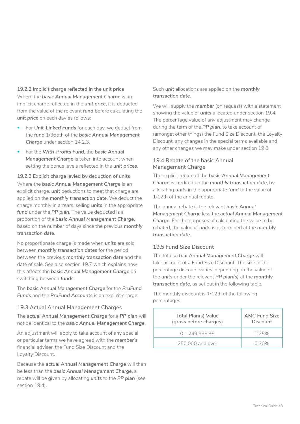## **19.2.2 Implicit charge reflected in the unit price** Where the *basic Annual Management Charge* is an implicit charge reflected in the *unit price*, it is deducted from the value of the relevant *fund* before calculating the *unit price* on each day as follows:

- For *Unit-Linked Funds* for each day, we deduct from the *fund* 1/365th of the *basic Annual Management Charge* under section 14.2.3.
- For the *With-Profits Fund*, the *basic Annual*  **Management Charge** is taken into account when setting the bonus levels reflected in the *unit prices*.

## **19.2.3 Explicit charge levied by deduction of units** Where the *basic Annual Management Charge* is an explicit charge, *unit* deductions to meet that charge are applied on the *monthly transaction date*. We deduct the charge monthly in arrears, selling *units* in the appropriate *fund* under the *PP plan*. The value deducted is a proportion of the *basic Annual Management Charge*, based on the number of days since the previous *monthly transaction date*.

No proportionate charge is made when *units* are sold between *monthly transaction dates* for the period between the previous *monthly transaction date* and the date of sale. See also section 19.7 which explains how this affects the *basic Annual Management Charge* on switching between *funds*.

The *basic Annual Management Charge* for the *PruFund Funds* and the *PruFund Accounts* is an explicit charge.

## **19.3 Actual Annual Management Charges**

The *actual Annual Management Charge* for a *PP plan* will not be identical to the *basic Annual Management Charge*.

An adjustment will apply to take account of any special or particular terms we have agreed with the *member's*  financial adviser, the Fund Size Discount and the Loyalty Discount.

Because the *actual Annual Management Charge* will then be less than the *basic Annual Management Charge*, a rebate will be given by allocating *units* to the *PP plan* (see section 19.4).

## Such *unit* allocations are applied on the *monthly transaction date*.

We will supply the *member* (on request) with a statement showing the value of *units* allocated under section 19.4. The percentage value of any adjustment may change during the term of the *PP plan*, to take account of (amongst other things) the Fund Size Discount, the Loyalty Discount, any changes in the special terms available and any other changes we may make under section 19.8.

## **19.4 Rebate of the basic Annual Management Charge**

The explicit rebate of the *basic Annual Management Charge* is credited on the *monthly transaction date*, by allocating *units* in the appropriate *fund* to the value of 1/12th of the annual rebate.

The annual rebate is the relevant *basic Annual Management Charge* less the *actual Annual Management Charge*. For the purposes of calculating the value to be rebated, the value of *units* is determined at the *monthly transaction date*.

## **19.5 Fund Size Discount**

The total *actual Annual Management Charge* will take account of a Fund Size Discount. The size of the percentage discount varies, depending on the value of the *units* under the relevant *PP plan(s)* at the *monthly transaction date*, as set out in the following table.

The monthly discount is 1/12th of the following percentages:

| Total Plan(s) Value<br>(gross before charges) | <b>AMC Fund Size</b><br><b>Discount</b> |
|-----------------------------------------------|-----------------------------------------|
| $0 - 249.999.99$                              | 0.25%                                   |
| 250,000 and over                              | 0.30%                                   |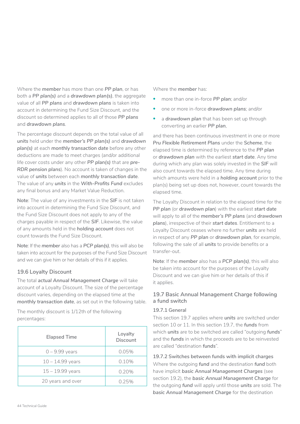Where the *member* has more than one *PP plan*, or has both a *PP plan(s)* and a *drawdown plan(s)*, the aggregate value of all *PP plans* and *drawdown plans* is taken into account in determining the Fund Size Discount, and the discount so determined applies to all of those *PP plans*  and *drawdown plans*.

The percentage discount depends on the total value of all *units* held under the *member's PP plan(s)* and *drawdown plan(s)* at each *monthly transaction date* before any other deductions are made to meet charges (and/or additional life cover costs under any other *PP plan(s)* that are *pre-RDR pension plans*). No account is taken of changes in the value of *units* between each *monthly transaction date*. The value of any *units* in the *With-Profits Fund* excludes any final bonus and any Market Value Reduction.

**Note**: The value of any investments in the *SIF* is not taken into account in determining the Fund Size Discount, and the Fund Size Discount does not apply to any of the charges payable in respect of the *SIF*. Likewise, the value of any amounts held in the *holding account* does not count towards the Fund Size Discount.

**Note**: If the *member* also has a *PCP plan(s)*, this will also be taken into account for the purposes of the Fund Size Discount and we can give him or her details of this if it applies.

## **19.6 Loyalty Discount**

The total *actual Annual Management Charge* will take account of a Loyalty Discount. The size of the percentage discount varies, depending on the elapsed time at the *monthly transaction date*, as set out in the following table.

The monthly discount is 1/12th of the following percentages:

| <b>Elapsed Time</b> | Loyalty<br>Discount |
|---------------------|---------------------|
| $0 - 9.99$ years    | 0.05%               |
| $10 - 14.99$ years  | 0.10%               |
| $15 - 19.99$ years  | 0.20%               |
| 20 years and over   | 0.25%               |

Where the *member* has:

- more than one in-force *PP plan*; and/or
- one or more in-force *drawdown plans*; and/or
- a *drawdown plan* that has been set up through converting an earlier *PP plan*,

and there has been continuous investment in one or more *Pru Flexible Retirement Plans* under the *Scheme*, the elapsed time is determined by reference to the *PP plan*  or *drawdown plan* with the earliest *start date*. Any time during which any plan was solely invested in the *SIF* will also count towards the elapsed time. Any time during which amounts were held in a *holding account* prior to the plan(s) being set up does not, however, count towards the elapsed time.

The Loyalty Discount in relation to the elapsed time for the *PP plan* (or *drawdown plan*) with the earliest *start date*  will apply to all of the *member's PP plans* (and *drawdown plans*), irrespective of their *start dates*. Entitlement to a Loyalty Discount ceases where no further *units* are held in respect of any *PP plan* or *drawdown plan*, for example, following the sale of all *units* to provide benefits or a transfer-out.

**Note**: If the *member* also has a *PCP plan(s)*, this will also be taken into account for the purposes of the Loyalty Discount and we can give him or her details of this if it applies.

## **19.7 Basic Annual Management Charge following a fund switch**

### **19.7.1 General**

This section 19.7 applies where *units* are switched under section 10 or 11. In this section 19.7, the *funds* from which *units* are to be switched are called "outgoing *funds*" and the *funds* in which the proceeds are to be reinvested are called "destination *funds*".

**19.7.2 Switches between funds with implicit charges** Where the outgoing *fund* and the destination *fund* both have implicit *basic Annual Management Charges* (see section 19.2), the *basic Annual Management Charge* for the outgoing *fund* will apply until those *units* are sold. The *basic Annual Management Charge* for the destination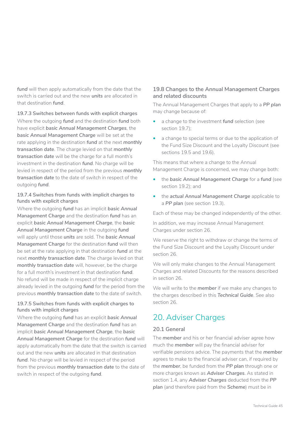*fund* will then apply automatically from the date that the switch is carried out and the new *units* are allocated in that destination *fund*.

**19.7.3 Switches between funds with explicit charges** Where the outgoing *fund* and the destination *fund* both have explicit *basic Annual Management Charges*, the *basic Annual Management Charge* will be set at the rate applying in the destination *fund* at the next *monthly transaction date*. The charge levied on that *monthly transaction date* will be the charge for a full month's investment in the destination *fund*. No charge will be levied in respect of the period from the previous *monthly transaction date* to the date of switch in respect of the outgoing *fund*.

#### **19.7.4 Switches from funds with implicit charges to funds with explicit charges**

Where the outgoing *fund* has an implicit *basic Annual Management Charge* and the destination *fund* has an explicit *basic Annual Management Charge*, the *basic Annual Management Charge* in the outgoing *fund*  will apply until those *units* are sold. The *basic Annual Management Charge* for the destination *fund* will then be set at the rate applying in that destination *fund* at the next *monthly transaction date*. The charge levied on that *monthly transaction date* will, however, be the charge for a full month's investment in that destination *fund*. No refund will be made in respect of the implicit charge already levied in the outgoing *fund* for the period from the previous *monthly transaction date* to the date of switch.

#### **19.7.5 Switches from funds with explicit charges to funds with implicit charges**

Where the outgoing *fund* has an explicit *basic Annual Management Charge* and the destination *fund* has an implicit *basic Annual Management Charge*, the *basic Annual Management Charge* for the destination *fund* will apply automatically from the date that the switch is carried out and the new *units* are allocated in that destination *fund*. No charge will be levied in respect of the period from the previous *monthly transaction date* to the date of switch in respect of the outgoing *fund*.

### **19.8 Changes to the Annual Management Charges and related discounts**

The Annual Management Charges that apply to a *PP plan*  may change because of:

- a change to the investment *fund* selection (see section 19.7);
- a change to special terms or due to the application of the Fund Size Discount and the Loyalty Discount (see sections 19.5 and 19.6).

This means that where a change to the Annual Management Charge is concerned, we may change both:

- the *basic Annual Management Charge* for a *fund* (see section 19.2); and
- the *actual Annual Management Charge* applicable to a *PP plan* (see section 19.3).

Each of these may be changed independently of the other.

In addition, we may increase Annual Management Charges under section 26.

We reserve the right to withdraw or change the terms of the Fund Size Discount and the Loyalty Discount under section 26.

We will only make changes to the Annual Management Charges and related Discounts for the reasons described in section 26.

We will write to the *member* if we make any changes to the charges described in this *Technical Guide*. See also section 26.

## 20. Adviser Charges

### **20.1 General**

The *member* and his or her financial adviser agree how much the *member* will pay the financial adviser for verifiable pensions advice. The payments that the *member*  agrees to make to the financial adviser can, if required by the *member*, be funded from the *PP plan* through one or more charges known as *Adviser Charges*. As stated in section 1.4, any *Adviser Charges* deducted from the *PP plan* (and therefore paid from the *Scheme*) must be in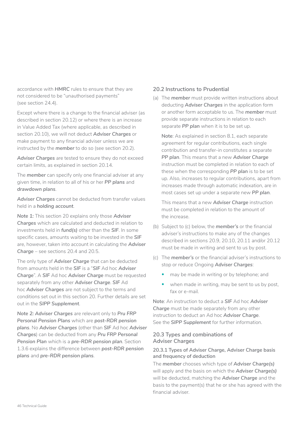accordance with *HMRC* rules to ensure that they are not considered to be "unauthorised payments" (see section 24.4).

Except where there is a change to the financial adviser (as described in section 20.12) or where there is an increase in Value Added Tax (where applicable, as described in section 20.10), we will not deduct *Adviser Charges* or make payment to any financial adviser unless we are instructed by the *member* to do so (see section 20.2).

*Adviser Charges* are tested to ensure they do not exceed certain limits, as explained in section 20.14.

The *member* can specify only one financial adviser at any given time, in relation to all of his or her *PP plans* and *drawdown plans*.

*Adviser Charges* cannot be deducted from transfer values held in a *holding account*.

*Note 1:* This section 20 explains only those *Adviser Charges* which are calculated and deducted in relation to investments held in *fund(s)* other than the *SIF*. In some specific cases, amounts waiting to be invested in the *SIF*  are, however, taken into account in calculating the *Adviser Charge* – see sections 20.4 and 20.5.

The only type of *Adviser Charge* that can be deducted from amounts held in the *SIF* is a "*SIF* Ad hoc *Adviser Charge*". A *SIF* Ad hoc *Adviser Charge* must be requested separately from any other *Adviser Charge*. *SIF* Ad hoc *Adviser Charges* are not subject to the terms and conditions set out in this section 20. Further details are set out in the *SIPP Supplement*.

*Note 2: Adviser Charges* are relevant only to *Pru FRP Personal Pension Plans* which are *post-RDR pension plans*. No *Adviser Charges* (other than *SIF* Ad hoc *Adviser Charges*) can be deducted from any *Pru FRP Personal Pension Plan* which is a *pre-RDR pension plan*. Section 1.3.6 explains the difference between *post-RDR pension plans* and *pre-RDR pension plans*.

### **20.2 Instructions to Prudential**

(a) The *member* must provide written instructions about deducting *Adviser Charges* in the application form or another form acceptable to us. The *member* must provide separate instructions in relation to each separate *PP plan* when it is to be set up.

**Note**: As explained in section 8.1, each separate agreement for regular contributions, each single contribution and transfer-in constitutes a separate *PP plan*. This means that a new *Adviser Charge*  instruction must be completed in relation to each of these when the corresponding *PP plan* is to be set up. Also, increases to regular contributions, apart from increases made through automatic indexation, are in most cases set up under a separate new *PP plan*.

This means that a new *Adviser Charge* instruction must be completed in relation to the amount of the increase.

- (b) Subject to (c) below, the *member's* or the financial adviser's instructions to make any of the changes described in sections 20.9, 20.10, 20.11 and/or 20.12 must be made in writing and sent to us by post.
- (c) The *member's* or the financial adviser's instructions to stop or reduce Ongoing *Adviser Charges*:
	- may be made in writing or by telephone; and
	- when made in writing, may be sent to us by post, fax or e-mail.

**Note**: An instruction to deduct a *SIF* Ad hoc *Adviser Charge* must be made separately from any other instruction to deduct an Ad hoc *Adviser Charge*. See the *SIPP Supplement* for further information.

#### **20.3 Types and combinations of Adviser Charges**

#### **20.3.1 Types of Adviser Charge, Adviser Charge basis and frequency of deduction**

The *member* chooses which type of *Adviser Charge(s)*  will apply and the basis on which the *Adviser Charge(s)*  will be deducted, matching the *Adviser Charge* and the basis to the payment(s) that he or she has agreed with the financial adviser.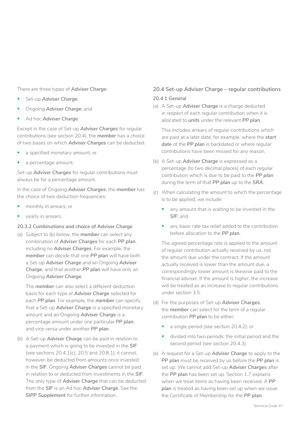There are three types of *Adviser Charge*:

- Set-up *Adviser Charge*;
- Ongoing *Adviser Charge*; and
- Ad hoc *Adviser Charge*.

Except in the case of Set-up *Adviser Charges* for regular contributions (see section 20.4), the *member* has a choice of two bases on which *Adviser Charges* can be deducted:

- a specified monetary amount; or
- a percentage amount.

Set-up *Adviser Charges* for regular contributions must always be for a percentage amount.

In the case of Ongoing *Adviser Charges*, the *member* has the choice of two deduction frequencies:

- monthly in arrears; or
- yearly in arrears.

#### **20.3.2 Combinations and choice of Adviser Charge**

(a) Subject to (b) below, the *member* can select any combination of *Adviser Charges* for each *PP plan*, including no *Adviser Charges*. For example, the *member* can decide that one *PP plan* will have both a Set-up *Adviser Charge* and an Ongoing *Adviser Charge*, and that another *PP plan* will have only an Ongoing *Adviser Charge*.

The *member* can also select a different deduction basis for each type of *Adviser Charge* selected for each *PP plan*. For example, the *member* can specify that a Set-up *Adviser Charge* is a specified monetary amount and an Ongoing *Adviser Charge* is a percentage amount under one particular *PP plan*, and vice versa under another *PP plan*.

(b) A Set-up *Adviser Charge* can be paid in relation to a payment which is going to be invested in the *SIF*  (see sections 20.4.1(c), 20.5 and 20.8.1); it cannot, however, be deducted from amounts once invested in the *SIF*. Ongoing *Adviser Charges* cannot be paid in relation to or deducted from investments in the *SIF*. The only type of *Adviser Charge* that can be deducted from the *SIF* is an Ad hoc *Adviser Charge*. See the *SIPP Supplement* for further information.

## **20.4 Set-up Adviser Charge – regular contributions 20.4.1 General**

(a) A Set-up *Adviser Charge* is a charge deducted in respect of each regular contribution when it is allocated to *units* under the relevant *PP plan*.

This includes arrears of regular contributions which are paid at a later date, for example, where the *start date* of the *PP plan* is backdated or where regular contributions have been missed for any reason.

- (b) A Set-up *Adviser Charge* is expressed as a percentage (to two decimal places) of each regular contribution which is due to be paid to the *PP plan*  during the term of that *PP plan* up to the *SRA*.
- (c) When calculating the amount to which the percentage is to be applied, we include:
	- any amount that is waiting to be invested in the *SIF*; and
	- any basic rate tax relief added to the contribution before allocation to the *PP plan*.

The agreed percentage rate is applied to the amount of regular contribution actually received by us, not the amount due under the contract. If the amount actually received is lower than the amount due, a correspondingly lower amount is likewise paid to the financial adviser. If the amount is higher, the increase will be treated as an increase to regular contributions under section 3.5.

- (d) For the purposes of Set-up *Adviser Charges*, the *member* can select for the term of a regular contribution *PP plan* to be either:
	- a single period (see section 20.4.2): or
	- divided into two periods: the initial period and the second period (see section 20.4.3).
- (e) A request for a Set-up *Adviser Charge* to apply to the *PP plan* must be received by us before the *PP plan* is set up. We cannot add Set-up *Adviser Charges* after the *PP plan* has been set up. Section 1.7 explains when we treat items as having been received. A *PP*  plan is treated as having been set up when we issue the Certificate of Membership for the *PP plan*.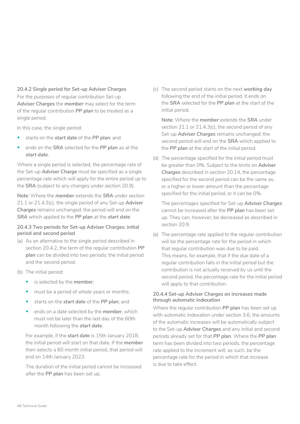#### **20.4.2 Single period for Set-up Adviser Charges**

For the purposes of regular contribution Set-up *Adviser Charges* the *member* may select for the term of the regular contribution *PP plan* to be treated as a single period.

In this case, the single period:

- starts on the *start date* of the *PP plan*; and
- ends on the *SRA* selected for the *PP plan* as at the *start date*.

Where a single period is selected, the percentage rate of the Set-up *Adviser Charge* must be specified as a single percentage rate which will apply for the entire period up to the *SRA* (subject to any changes under section 20.9).

**Note**: Where the *member* extends the *SRA* under section 21.1 or 21.4.3(c), the single period of any Set-up *Adviser Charges* remains unchanged: the period will end on the *SRA* which applied to the *PP plan* at the *start date*.

#### **20.4.3 Two periods for Set-up Adviser Charges: initial period and second period**

- (a) As an alternative to the single period described in section 20.4.2, the term of the regular contribution *PP plan* can be divided into two periods: the initial period and the second period.
- (b) The initial period:
	- is selected by the *member*;
	- must be a period of whole years or months;
	- starts on the *start date* of the *PP plan*; and
	- ends on a date selected by the *member*, which must not be later than the last day of the 60th month following the *start date*.

For example, if the *start date* is 15th January 2018, the initial period will start on that date. If the *member*  then selects a 60 month initial period, that period will end on 14th January 2023.

The duration of the initial period cannot be increased after the *PP plan* has been set up.

(c) The second period starts on the next *working day*  following the end of the initial period. It ends on the *SRA* selected for the *PP plan* at the start of the initial period.

**Note**: Where the *member* extends the *SRA* under section 21.1 or 21.4.3(c), the second period of any Set-up *Adviser Charges* remains unchanged: the second period will end on the *SRA* which applied to the *PP plan* at the start of the initial period.

(d) The percentage specified for the initial period must be greater than 0%. Subject to the limits on *Adviser Charges* described in section 20.14, the percentage specified for the second period can be the same as, or a higher or lower amount than the percentage specified for the initial period, or it can be 0%.

The percentages specified for Set-up *Adviser Charges*  cannot be increased after the *PP plan* has been set up. They can, however, be decreased as described in section 20.9.

(e) The percentage rate applied to the regular contribution will be the percentage rate for the period in which that regular contribution was due to be paid. This means, for example, that if the due date of a regular contribution falls in the initial period but the contribution is not actually received by us until the second period, the percentage rate for the initial period will apply to that contribution.

#### **20.4.4 Set-up Adviser Charges on increases made through automatic indexation**

Where the regular contribution *PP plan* has been set up with automatic indexation under section 3.6, the amounts of the automatic increases will be automatically subject to the Set-up *Adviser Charges* and any initial and second periods already set for that *PP plan*. Where the *PP plan*  term has been divided into two periods, the percentage rate applied to the increment will, as such, be the percentage rate for the period in which that increase is due to take effect.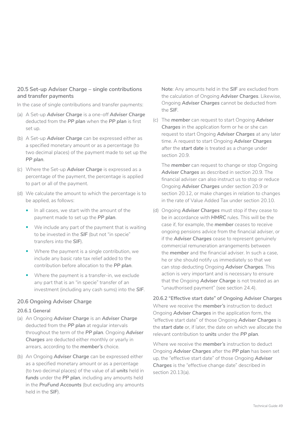#### **20.5 Set-up Adviser Charge – single contributions and transfer payments**

In the case of single contributions and transfer payments:

- (a) A Set-up *Adviser Charge* is a one-off *Adviser Charge*  deducted from the *PP plan* when the *PP plan* is first set up.
- (b) A Set-up *Adviser Charge* can be expressed either as a specified monetary amount or as a percentage (to two decimal places) of the payment made to set up the *PP plan*.
- (c) Where the Set-up *Adviser Charge* is expressed as a percentage of the payment, the percentage is applied to part or all of the payment.
- (d) We calculate the amount to which the percentage is to be applied, as follows:
	- In all cases, we start with the amount of the payment made to set up the *PP plan*.
	- We include any part of the payment that is waiting to be invested in the *SIF* (but not "in specie" transfers into the *SIF*).
	- Where the payment is a single contribution, we include any basic rate tax relief added to the contribution before allocation to the *PP plan*.
	- Where the payment is a transfer-in, we exclude any part that is an "in specie" transfer of an investment (including any cash sums) into the *SIF*.

## **20.6 Ongoing Adviser Charge**

#### **20.6.1 General**

- (a) An Ongoing *Adviser Charge* is an *Adviser Charge*  deducted from the *PP plan* at regular intervals throughout the term of the *PP plan*. Ongoing *Adviser Charges* are deducted either monthly or yearly in arrears, according to the *member's* choice.
- (b) An Ongoing *Adviser Charge* can be expressed either as a specified monetary amount or as a percentage (to two decimal places) of the value of all *units* held in *funds* under the *PP plan*, including any amounts held in the *PruFund Accounts* (but excluding any amounts held in the *SIF*).

**Note**: Any amounts held in the *SIF* are excluded from the calculation of Ongoing *Adviser Charges*. Likewise, Ongoing *Adviser Charges* cannot be deducted from the *SIF*.

(c) The *member* can request to start Ongoing *Adviser Charges* in the application form or he or she can request to start Ongoing *Adviser Charges* at any later time. A request to start Ongoing *Adviser Charges*  after the *start date* is treated as a change under section 20.9.

The *member* can request to change or stop Ongoing *Adviser Charges* as described in section 20.9. The financial adviser can also instruct us to stop or reduce Ongoing *Adviser Charges* under section 20.9 or section 20.12, or make changes in relation to changes in the rate of Value Added Tax under section 20.10.

(d) Ongoing **Adviser Charges** must stop if they cease to be in accordance with *HMRC* rules. This will be the case if, for example, the *member* ceases to receive ongoing pensions advice from the financial adviser, or if the *Adviser Charges* cease to represent genuinely commercial remuneration arrangements between the *member* and the financial adviser. In such a case, he or she should notify us immediately so that we can stop deducting Ongoing *Adviser Charges*. This action is very important and is necessary to ensure that the Ongoing *Adviser Charge* is not treated as an "unauthorised payment" (see section 24.4).

**20.6.2 "Effective start date" of Ongoing Adviser Charges**  Where we receive the *member's* instruction to deduct Ongoing *Adviser Charges* in the application form, the "effective start date" of those Ongoing *Adviser Charges* is the *start date* or, if later, the date on which we allocate the relevant contribution to *units* under the *PP plan*.

Where we receive the *member's* instruction to deduct Ongoing *Adviser Charges* after the *PP plan* has been set up, the "effective start date" of those Ongoing *Adviser Charges* is the "effective change date" described in section 20.13(a).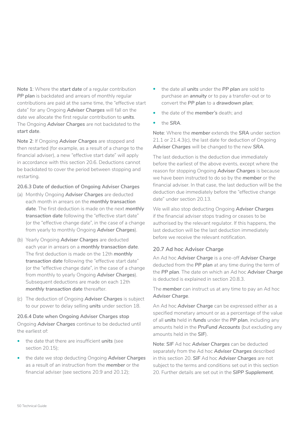**Note 1**: Where the *start date* of a regular contribution **PP plan** is backdated and arrears of monthly regular contributions are paid at the same time, the "effective start date" for any Ongoing *Adviser Charges* will fall on the date we allocate the first regular contribution to *units*. The Ongoing *Adviser Charges* are not backdated to the *start date*.

**Note 2**: If Ongoing *Adviser Charges* are stopped and then restarted (for example, as a result of a change to the financial adviser), a new "effective start date" will apply in accordance with this section 20.6. Deductions cannot be backdated to cover the period between stopping and restarting.

### **20.6.3 Date of deduction of Ongoing Adviser Charges**

- (a) Monthly Ongoing *Adviser Charges* are deducted each month in arrears on the *monthly transaction date*. The first deduction is made on the next *monthly transaction date* following the "effective start date" (or the "effective change date", in the case of a change from yearly to monthly Ongoing *Adviser Charges*).
- (b) Yearly Ongoing *Adviser Charges* are deducted each year in arrears on a *monthly transaction date*. The first deduction is made on the 12th *monthly transaction date* following the "effective start date" (or the "effective change date", in the case of a change from monthly to yearly Ongoing *Adviser Charges*). Subsequent deductions are made on each 12th *monthly transaction date* thereafter.
- (c) The deduction of Ongoing *Adviser Charges* is subject to our power to delay selling *units* under section 18.

# **20.6.4 Date when Ongoing Adviser Charges stop**

Ongoing *Adviser Charges* continue to be deducted until the earliest of:

- the date that there are insufficient *units* (see section 20.15);
- the date we stop deducting Ongoing *Adviser Charges*  as a result of an instruction from the *member* or the financial adviser (see sections 20.9 and 20.12);
- the date all *units* under the *PP plan* are sold to purchase an *annuity* or to pay a transfer-out or to convert the *PP plan* to a *drawdown plan*;
- the date of the *member's* death; and
- the *SRA*.

**Note**: Where the *member* extends the *SRA* under section 21.1 or 21.4.3(c), the last date for deduction of Ongoing *Adviser Charges* will be changed to the new *SRA*.

The last deduction is the deduction due immediately before the earliest of the above events, except where the reason for stopping Ongoing *Adviser Charges* is because we have been instructed to do so by the *member* or the financial adviser. In that case, the last deduction will be the deduction due immediately before the "effective change date" under section 20.13.

We will also stop deducting Ongoing *Adviser Charges*  if the financial adviser stops trading or ceases to be authorised by the relevant regulator. If this happens, the last deduction will be the last deduction immediately before we receive the relevant notification.

## **20.7 Ad hoc Adviser Charge**

An Ad hoc *Adviser Charge* is a one-off *Adviser Charge*  deducted from the *PP plan* at any time during the term of the *PP plan*. The date on which an Ad hoc *Adviser Charge*  is deducted is explained in section 20.8.3.

The *member* can instruct us at any time to pay an Ad hoc *Adviser Charge*.

An Ad hoc *Adviser Charge* can be expressed either as a specified monetary amount or as a percentage of the value of all *units* held in *funds* under the *PP plan*, including any amounts held in the *PruFund Accounts* (but excluding any amounts held in the *SIF*).

**Note**: *SIF* Ad hoc *Adviser Charges* can be deducted separately from the Ad hoc *Adviser Charges* described in this section 20. *SIF* Ad hoc *Adviser Charges* are not subject to the terms and conditions set out in this section 20. Further details are set out in the *SIPP Supplement*.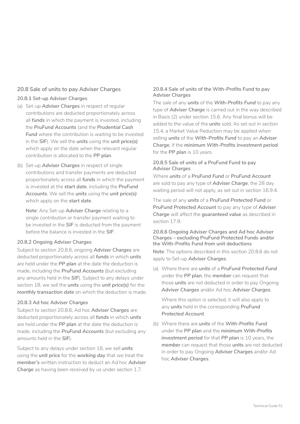#### **20.8 Sale of units to pay Adviser Charges**

#### **20.8.1 Set-up Adviser Charges**

- (a) Set-up *Adviser Charges* in respect of regular contributions are deducted proportionately across all *funds* in which the payment is invested, including the *PruFund Accounts* (and the *Prudential Cash*  **Fund** where the contribution is waiting to be invested in the *SIF*). We sell the *units* using the *unit price(s)*  which apply on the date when the relevant regular contribution is allocated to the *PP plan*.
- (b) Set-up *Adviser Charges* in respect of single contributions and transfer payments are deducted proportionately across all *funds* in which the payment is invested at the *start date*, including the *PruFund Accounts*. We sell the *units* using the *unit price(s)*  which apply on the *start date*.

**Note**: Any Set-up *Adviser Charge* relating to a single contribution or transfer payment waiting to be invested in the *SIF* is deducted from the payment before the balance is invested in the *SIF*.

#### **20.8.2 Ongoing Adviser Charges**

Subject to section 20.8.6, ongoing *Adviser Charges* are deducted proportionately across all *funds* in which *units*  are held under the *PP plan* at the date the deduction is made, including the *PruFund Accounts* (but excluding any amounts held in the *SIF*). Subject to any delays under section 18, we sell the *units* using the *unit price(s)* for the *monthly transaction date* on which the deduction is made.

#### **20.8.3 Ad hoc Adviser Charges**

Subject to section 20.8.6, Ad hoc *Adviser Charges* are deducted proportionately across all *funds* in which *units*  are held under the *PP plan* at the date the deduction is made, including the *PruFund Accounts* (but excluding any amounts held in the *SIF*).

Subject to any delays under section 18, we sell *units*  using the *unit price* for the *working day* that we treat the *member's* written instruction to deduct an Ad hoc *Adviser Charge* as having been received by us under section 1.7.

#### **20.8.4 Sale of units of the With-Profits Fund to pay Adviser Charges**

The sale of any *units* of the *With-Profits Fund* to pay any type of *Adviser Charge* is carried out in the way described in Basis (2) under section 15.6. Any final bonus will be added to the value of the *units* sold. As set out in section 15.4, a Market Value Reduction may be applied when selling *units* of the *With-Profits Fund* to pay an *Adviser Charge*, if the *minimum With-Profits investment period*  for the PP plan is 10 years.

#### **20.8.5 Sale of units of a PruFund Fund to pay Adviser Charges**

Where *units* of a *PruFund Fund* or *PruFund Account*  are sold to pay any type of *Adviser Charge*, the 28 day waiting period will not apply, as set out in section 16.9.4.

The sale of any *units* of a *PruFund Protected Fund* or *PruFund Protected Account* to pay any type of *Adviser Charge* will affect the *guaranteed value* as described in section 17.9.

#### **20.8.6 Ongoing Adviser Charges and Ad hoc Adviser Charges – excluding PruFund Protected Funds and/or the With-Profits Fund from unit deductions**

**Note**: The options described in this section 20.8.6 do not apply to Set-up *Adviser Charges*.

(a) Where there are *units* of a *PruFund Protected Fund*  under the *PP plan*, the *member* can request that those *units* are not deducted in order to pay Ongoing *Adviser Charges* and/or Ad hoc *Adviser Charges*.

Where this option is selected, it will also apply to any *units* held in the corresponding *PruFund Protected Account*.

(b) Where there are *units* of the *With-Profits Fund*  under the *PP plan* and the *minimum With-Profits investment period* for that *PP plan* is 10 years, the *member* can request that those *units* are not deducted in order to pay Ongoing *Adviser Charges* and/or Ad hoc *Adviser Charges*.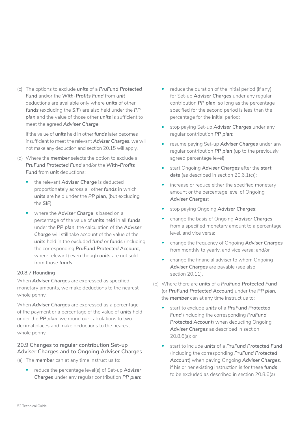(c) The options to exclude *units* of a *PruFund Protected Fund* and/or the *With-Profits Fund* from *unit*  deductions are available only where *units* of other *funds* (excluding the *SIF*) are also held under the *PP plan* and the value of those other *units* is sufficient to meet the agreed *Adviser Charge*.

If the value of *units* held in other *funds* later becomes insufficient to meet the relevant *Adviser Charges*, we will not make any deduction and section 20.15 will apply.

- (d) Where the *member* selects the option to exclude a *PruFund Protected Fund* and/or the *With-Profits*  **Fund** from **unit** deductions:
	- the relevant **Adviser Charge** is deducted proportionately across all other *funds* in which *units* are held under the *PP plan*, (but excluding the *SIF*).
	- where the *Adviser Charge* is based on a percentage of the value of *units* held in all *funds*  under the *PP plan*, the calculation of the *Adviser Charge* will still take account of the value of the *units* held in the excluded *fund* or *funds* (including the corresponding *PruFund Protected Account*, where relevant) even though *units* are not sold from those *funds*.

### **20.8.7 Rounding**

When *Adviser Charge*s are expressed as specified monetary amounts, we make deductions to the nearest whole penny.

When *Adviser Charges* are expressed as a percentage of the payment or a percentage of the value of *units* held under the *PP plan*, we round our calculations to two decimal places and make deductions to the nearest whole penny.

### **20.9 Changes to regular contribution Set-up Adviser Charges and to Ongoing Adviser Charges**

(a) The *member* can at any time instruct us to:

• reduce the percentage level(s) of Set-up *Adviser Charges* under any regular contribution *PP plan*;

- reduce the duration of the initial period (if any) for Set-up *Adviser Charges* under any regular contribution *PP plan*, so long as the percentage specified for the second period is less than the percentage for the initial period;
- stop paying Set-up *Adviser Charges* under any regular contribution *PP plan*;
- resume paying Set-up *Adviser Charges* under any regular contribution *PP plan* (up to the previously agreed percentage level);
- start Ongoing *Adviser Charges* after the *start date* (as described in section 20.6.1(c));
- increase or reduce either the specified monetary amount or the percentage level of Ongoing *Adviser Charges*;
- stop paying Ongoing *Adviser Charges*;
- change the basis of Ongoing *Adviser Charges*  from a specified monetary amount to a percentage level, and vice versa;
- change the frequency of Ongoing *Adviser Charges*  from monthly to yearly, and vice versa; and/or
- change the financial adviser to whom Ongoing *Adviser Charges* are payable (see also section 20.11).
- (b) Where there are *units* of a *PruFund Protected Fund*  (or *PruFund Protected Account*) under the *PP plan*, the *member* can at any time instruct us to:
	- start to exclude *units* of a *PruFund Protected Fund* (including the corresponding *PruFund Protected Account*) when deducting Ongoing *Adviser Charges* as described in section 20.8.6(a); or
	- start to include *units* of a *PruFund Protected Fund*  (including the corresponding *PruFund Protected Account*) when paying Ongoing *Adviser Charges*, if his or her existing instruction is for these *funds*  to be excluded as described in section 20.8.6(a)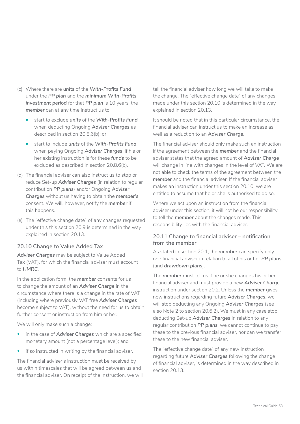- (c) Where there are *units* of the *With-Profits Fund*  under the *PP plan* and the *minimum With-Profits investment period* for that *PP plan* is 10 years, the *member* can at any time instruct us to:
	- start to exclude *units* of the *With-Profits Fund*  when deducting Ongoing *Adviser Charges* as described in section 20.8.6(b); or
	- start to include *units* of the *With-Profits Fund*  when paying Ongoing *Adviser Charges*, if his or her existing instruction is for these *funds* to be excluded as described in section 20.8.6(b).
- (d) The financial adviser can also instruct us to stop or reduce Set-up *Adviser Charges* (in relation to regular contribution *PP plans*) and/or Ongoing *Adviser Charges* without us having to obtain the *member's*  consent. We will, however, notify the *member* if this happens.
- (e) The "effective change date" of any changes requested under this this section 20.9 is determined in the way explained in section 20.13.

### **20.10 Change to Value Added Tax**

*Adviser Charges* may be subject to Value Added Tax (VAT), for which the financial adviser must account to *HMRC*.

In the application form, the *member* consents for us to change the amount of an *Adviser Charge* in the circumstance where there is a change in the rate of VAT (including where previously VAT free *Adviser Charges*  become subject to VAT), without the need for us to obtain further consent or instruction from him or her.

We will only make such a change:

- in the case of *Adviser Charges* which are a specified monetary amount (not a percentage level); and
- if so instructed in writing by the financial adviser.

The financial adviser's instruction must be received by us within timescales that will be agreed between us and the financial adviser. On receipt of the instruction, we will tell the financial adviser how long we will take to make the change. The "effective change date" of any changes made under this section 20.10 is determined in the way explained in section 20.13.

It should be noted that in this particular circumstance, the financial adviser can instruct us to make an increase as well as a reduction to an *Adviser Charge*.

The financial adviser should only make such an instruction if the agreement between the *member* and the financial adviser states that the agreed amount of *Adviser Charge*  will change in line with changes in the level of VAT. We are not able to check the terms of the agreement between the *member* and the financial adviser. If the financial adviser makes an instruction under this section 20.10, we are entitled to assume that he or she is authorised to do so.

Where we act upon an instruction from the financial adviser under this section, it will not be our responsibility to tell the *member* about the changes made. This responsibility lies with the financial adviser.

## **20.11 Change to financial adviser – notification from the member**

As stated in section 20.1, the *member* can specify only one financial adviser in relation to all of his or her *PP plans*  (and *drawdown plans*).

The *member* must tell us if he or she changes his or her financial adviser and must provide a new *Adviser Charge*  instruction under section 20.2. Unless the *member* gives new instructions regarding future *Adviser Charges*, we will stop deducting any Ongoing *Adviser Charges* (see also Note 2 to section 20.6.2). We must in any case stop deducting Set-up *Adviser Charges* in relation to any regular contribution *PP plans*: we cannot continue to pay these to the previous financial adviser, nor can we transfer these to the new financial adviser.

The "effective change date" of any new instruction regarding future *Adviser Charges* following the change of financial adviser, is determined in the way described in section 20.13.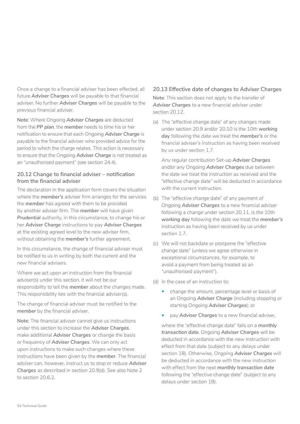Once a change to a financial adviser has been effected, all future *Adviser Charges* will be payable to that financial adviser. No further *Adviser Charges* will be payable to the previous financial adviser.

**Note**: Where Ongoing *Adviser Charges* are deducted from the *PP plan*, the *member* needs to time his or her notification to ensure that each Ongoing *Adviser Charge* is payable to the financial adviser who provided advice for the period to which the charge relates. This action is necessary to ensure that the Ongoing *Adviser Charge* is not treated as an "unauthorised payment" (see section 24.4).

#### **20.12 Change to financial adviser – notification from the financial adviser**

The declaration in the application form covers the situation where the *member's* adviser firm arranges for the services the *member* has agreed with them to be provided by another adviser firm. The *member* will have given **Prudential** authority, in this circumstance, to change his or her *Adviser Charge* instructions to pay *Adviser Charges*  at the existing agreed level to the new adviser firm, without obtaining the *member's* further agreement.

In this circumstance, the change of financial adviser must be notified to us in writing by both the current and the new financial advisers.

Where we act upon an instruction from the financial adviser(s) under this section, it will not be our responsibility to tell the *member* about the changes made. This responsibility lies with the financial adviser(s).

The change of financial adviser must be notified to the *member* by the financial adviser.

**Note**: The financial adviser cannot give us instructions under this section to increase the *Adviser Charges*, make additional *Adviser Charges* or change the basis or frequency of *Adviser Charges*. We can only act upon instructions to make such changes where these instructions have been given by the *member*. The financial adviser can, however, instruct us to stop or reduce *Adviser Charges* as described in section 20.9(d). See also Note 2 to section 20.6.2.

### **20.13 Effective date of changes to Adviser Charges**

**Note**: This section does not apply to the transfer of *Adviser Charges* to a new financial adviser under section 20.12.

(a) The "effective change date" of any changes made under section 20.9 and/or 20.10 is the 10th *working day* following the date we treat the *member's* or the financial adviser's instruction as having been received by us under section 1.7.

Any regular contribution Set-up *Adviser Charges*  and/or any Ongoing *Adviser Charges* due between the date we treat the instruction as received and the "effective change date" will be deducted in accordance with the current instruction.

- (b) The "effective change date" of any payment of Ongoing *Adviser Charges* to a new financial adviser following a change under section 20.11, is the 10th *working day* following the date we treat the *member's*  instruction as having been received by us under section 1.7.
- (c) We will not backdate or postpone the "effective change date" (unless we agree otherwise in exceptional circumstances, for example, to avoid a payment from being treated as an "unauthorised payment").
- (d) In the case of an instruction to:
	- change the amount, percentage level or basis of an Ongoing *Adviser Charge* (including stopping or starting Ongoing *Adviser Charges*); or
	- pay *Adviser Charges* to a new financial adviser,

where the "effective change date" falls on a *monthly transaction date*, Ongoing *Adviser Charges* will be deducted in accordance with the new instruction with effect from that date (subject to any delays under section 18). Otherwise, Ongoing *Adviser Charges* will be deducted in accordance with the new instruction with effect from the next *monthly transaction date*  following the "effective change date" (subject to any delays under section 18).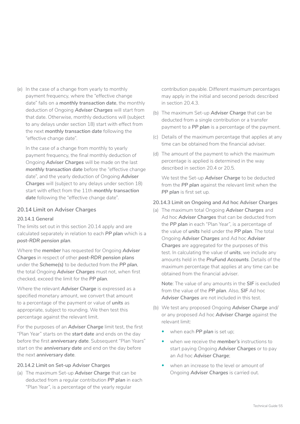(e) In the case of a change from yearly to monthly payment frequency, where the "effective change date" falls on a *monthly transaction date*, the monthly deduction of Ongoing *Adviser Charges* will start from that date. Otherwise, monthly deductions will (subject to any delays under section 18) start with effect from the next *monthly transaction date* following the "effective change date".

In the case of a change from monthly to yearly payment frequency, the final monthly deduction of Ongoing *Adviser Charges* will be made on the last *monthly transaction date* before the "effective change date", and the yearly deduction of Ongoing *Adviser Charges* will (subject to any delays under section 18) start with effect from the 11th *monthly transaction*  date following the "effective change date".

#### **20.14 Limit on Adviser Charges**

#### **20.14.1 General**

The limits set out in this section 20.14 apply and are calculated separately in relation to each *PP plan* which is a *post-RDR pension plan*.

Where the *member* has requested for Ongoing *Adviser Charges* in respect of other *post-RDR pension plans*  under the *Scheme(s)* to be deducted from the *PP plan*, the total Ongoing *Adviser Charges* must not, when first checked, exceed the limit for the *PP plan*.

Where the relevant *Adviser Charge* is expressed as a specified monetary amount, we convert that amount to a percentage of the payment or value of *units* as appropriate, subject to rounding. We then test this percentage against the relevant limit.

For the purposes of an *Adviser Charge* limit test, the first "Plan Year" starts on the *start date* and ends on the day before the first *anniversary date*. Subsequent "Plan Years" start on the *anniversary date* and end on the day before the next *anniversary date*.

#### **20.14.2 Limit on Set-up Adviser Charges**

(a) The maximum Set-up *Adviser Charge* that can be deducted from a regular contribution *PP plan* in each "Plan Year", is a percentage of the yearly regular

contribution payable. Different maximum percentages may apply in the initial and second periods described in section 20.4.3.

- (b) The maximum Set-up *Adviser Charge* that can be deducted from a single contribution or a transfer payment to a *PP plan* is a percentage of the payment.
- (c) Details of the maximum percentage that applies at any time can be obtained from the financial adviser.
- (d) The amount of the payment to which the maximum percentage is applied is determined in the way described in section 20.4 or 20.5.

We test the Set-up *Adviser Charge* to be deducted from the *PP plan* against the relevant limit when the **PP plan** is first set up.

### **20.14.3 Limit on Ongoing and Ad hoc Adviser Charges**

(a) The maximum total Ongoing *Adviser Charges* and Ad hoc *Adviser Charges* that can be deducted from the *PP plan* in each "Plan Year", is a percentage of the value of *units* held under the *PP plan*. The total Ongoing *Adviser Charges* and Ad hoc *Adviser Charges* are aggregated for the purposes of this test. In calculating the value of *units*, we include any amounts held in the *PruFund Accounts*. Details of the maximum percentage that applies at any time can be obtained from the financial adviser.

**Note**: The value of any amounts in the *SIF* is excluded from the value of the *PP plan*. Also, *SIF* Ad hoc *Adviser Charges* are not included in this test.

- (b) We test any proposed Ongoing *Adviser Charge* and/ or any proposed Ad hoc *Adviser Charge* against the relevant limit:
	- when each **PP plan** is set up;
	- when we receive the *member's* instructions to start paying Ongoing *Adviser Charges* or to pay an Ad hoc *Adviser Charge*;
	- when an increase to the level or amount of Ongoing *Adviser Charges* is carried out.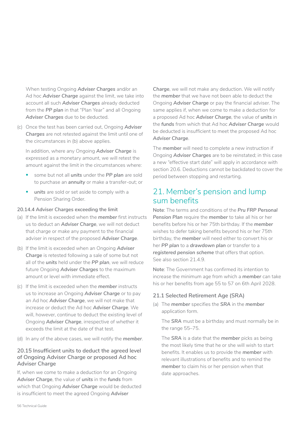When testing Ongoing *Adviser Charges* and/or an Ad hoc *Adviser Charge* against the limit, we take into account all such *Adviser Charges* already deducted from the *PP plan* in that "Plan Year" and all Ongoing *Adviser Charges* due to be deducted.

(c) Once the test has been carried out, Ongoing *Adviser Charges* are not retested against the limit until one of the circumstances in (b) above applies.

In addition, where any Ongoing *Adviser Charge* is expressed as a monetary amount, we will retest the amount against the limit in the circumstances where:

- some but not all *units* under the *PP plan* are sold to purchase an *annuity* or make a transfer-out; or
- *units* are sold or set aside to comply with a Pension Sharing Order.

#### **20.14.4 Adviser Charges exceeding the limit**

- (a) If the limit is exceeded when the *member* first instructs us to deduct an *Adviser Charge*, we will not deduct that charge or make any payment to the financial adviser in respect of the proposed *Adviser Charge*.
- (b) If the limit is exceeded when an Ongoing *Adviser Charge* is retested following a sale of some but not all of the *units* held under the *PP plan*, we will reduce future Ongoing *Adviser Charges* to the maximum amount or level with immediate effect.
- (c) If the limit is exceeded when the *member* instructs us to increase an Ongoing *Adviser Charge* or to pay an Ad hoc *Adviser Charge*, we will not make that increase or deduct the Ad hoc *Adviser Charge*. We will, however, continue to deduct the existing level of Ongoing *Adviser Charge*, irrespective of whether it exceeds the limit at the date of that test.
- (d) In any of the above cases, we will notify the *member*.

### **20.15 Insufficient units to deduct the agreed level of Ongoing Adviser Charge or proposed Ad hoc Adviser Charge**

If, when we come to make a deduction for an Ongoing *Adviser Charge*, the value of *units* in the *funds* from which that Ongoing *Adviser Charge* would be deducted is insufficient to meet the agreed Ongoing *Adviser* 

*Charge*, we will not make any deduction. We will notify the *member* that we have not been able to deduct the Ongoing *Adviser Charge* or pay the financial adviser. The same applies if, when we come to make a deduction for a proposed Ad hoc *Adviser Charge*, the value of *units* in the *funds* from which that Ad hoc *Adviser Charge* would be deducted is insufficient to meet the proposed Ad hoc *Adviser Charge*.

The *member* will need to complete a new instruction if Ongoing *Adviser Charges* are to be reinstated; in this case a new "effective start date" will apply in accordance with section 20.6. Deductions cannot be backdated to cover the period between stopping and restarting.

## 21. Member's pension and lump sum benefits

**Note**: The terms and conditions of the *Pru FRP Personal Pension Plan* require the *member* to take all his or her benefits before his or her 75th birthday. If the *member*  wishes to defer taking benefits beyond his or her 75th birthday, the *member* will need either to convert his or her *PP plan* to a *drawdown plan* or transfer to a *registered pension scheme* that offers that option. See also section 21.4.9.

**Note**: The Government has confirmed its intention to increase the minimum age from which a *member* can take his or her benefits from age 55 to 57 on 6th April 2028.

#### **21.1 Selected Retirement Age (SRA)**

(a) The *member* specifies the *SRA* in the *member*  application form.

The *SRA* must be a birthday and must normally be in the range 55–75.

The *SRA* is a date that the *member* picks as being the most likely time that he or she will wish to start benefits. It enables us to provide the *member* with relevant illustrations of benefits and to remind the *member* to claim his or her pension when that date approaches.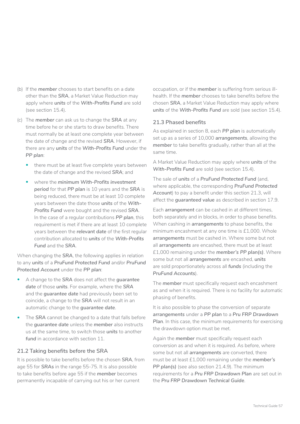- (b) If the *member* chooses to start benefits on a date other than the *SRA*, a Market Value Reduction may apply where *units* of the *With-Profits Fund* are sold (see section 15.4).
- (c) The *member* can ask us to change the *SRA* at any time before he or she starts to draw benefits. There must normally be at least one complete year between the date of change and the revised *SRA*. However, if there are any *units* of the *With-Profits Fund* under the *PP plan*:
	- there must be at least five complete years between the date of change and the revised *SRA*; and
	- where the *minimum With-Profits investment period* for that *PP plan* is 10 years and the *SRA* is being reduced, there must be at least 10 complete years between the date those *units* of the *With-Profits Fund* were bought and the revised *SRA*. In the case of a regular contributions *PP plan*, this requirement is met if there are at least 10 complete years between the *relevant date* of the first regular contribution allocated to *units* of the *With-Profits Fund* and the *SRA*.

When changing the *SRA*, the following applies in relation to any *units* of a *PruFund Protected Fund* and/or *PruFund Protected Account* under the *PP plan*:

- A change to the *SRA* does not affect the *guarantee date* of those *units*. For example, where the *SRA*  and the *guarantee date* had previously been set to coincide, a change to the *SRA* will not result in an automatic change to the *guarantee date*.
- The *SRA* cannot be changed to a date that falls before the *guarantee date* unless the *member* also instructs us at the same time, to switch those *units* to another *fund* in accordance with section 11.

### **21.2 Taking benefits before the SRA**

It is possible to take benefits before the chosen *SRA*, from age 55 for *SRAs* in the range 55-75. It is also possible to take benefits before age 55 if the *member* becomes permanently incapable of carrying out his or her current

occupation, or if the *member* is suffering from serious illhealth. If the *member* chooses to take benefits before the chosen *SRA*, a Market Value Reduction may apply where *units* of the *With-Profits Fund* are sold (see section 15.4).

### **21.3 Phased benefits**

As explained in section 8, each *PP plan* is automatically set up as a series of 10,000 *arrangements*, allowing the *member* to take benefits gradually, rather than all at the same time.

A Market Value Reduction may apply where *units* of the *With-Profits Fund* are sold (see section 15.4).

The sale of *units* of a *PruFund Protected Fund* (and, where applicable, the corresponding *PruFund Protected Account*) to pay a benefit under this section 21.3, will affect the *guaranteed value* as described in section 17.9.

Each *arrangement* can be cashed in at different times, both separately and in blocks, in order to phase benefits. When cashing in *arrangements* to phase benefits, the minimum encashment at any one time is £1,000. Whole *arrangements* must be cashed in. Where some but not all *arrangements* are encashed, there must be at least £1,000 remaining under the *member's PP plan(s)*. Where some but not all *arrangements* are encashed, *units*  are sold proportionately across all *funds* (including the *PruFund Accounts*).

The *member* must specifically request each encashment as and when it is required. There is no facility for automatic phasing of benefits.

It is also possible to phase the conversion of separate *arrangements* under a *PP plan* to a *Pru FRP Drawdown Plan*. In this case, the minimum requirements for exercising the drawdown option must be met.

Again the *member* must specifically request each conversion as and when it is required. As before, where some but not all *arrangements* are converted, there must be at least £1,000 remaining under the *member's PP plan(s)* (see also section 21.4.9). The minimum requirements for a *Pru FRP Drawdown Plan* are set out in the *Pru FRP Drawdown Technical Guide*.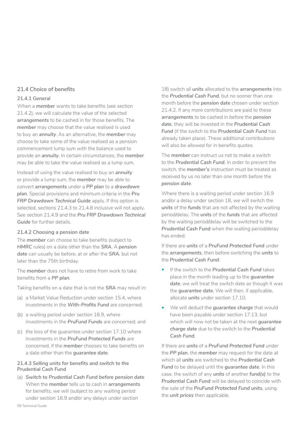#### **21.4 Choice of benefits**

#### **21.4.1 General**

When a *member* wants to take benefits (see section 21.4.2), we will calculate the value of the selected *arrangements* to be cashed in for those benefits. The *member* may choose that the value realised is used to buy an *annuity*. As an alternative, the *member* may choose to take some of the value realised as a pension commencement lump sum with the balance used to provide an *annuity*. In certain circumstances, the *member*  may be able to take the value realised as a lump sum.

Instead of using the value realised to buy an *annuity*  or provide a lump sum, the *member* may be able to convert *arrangements* under a *PP plan* to a *drawdown plan*. Special provisions and minimum criteria in the *Pru FRP Drawdown Technical Guide* apply. If this option is selected, sections 21.4.3 to 21.4.8 inclusive will not apply. See section 21.4.9 and the *Pru FRP Drawdown Technical Guide* for further details.

#### **21.4.2 Choosing a pension date**

The *member* can choose to take benefits (subject to *HMRC* rules) on a date other than the *SRA*. A *pension date* can usually be before, at or after the *SRA*, but not later than the 75th birthday.

The *member* does not have to retire from work to take benefits from a *PP plan*.

Taking benefits on a date that is not the *SRA* may result in:

- (a) a Market Value Reduction under section 15.4, where investments in the *With-Profits Fund* are concerned;
- (b) a waiting period under section 16.9, where investments in the *PruFund Funds* are concerned; and
- (c) the loss of the quarantee under section 17.10 where investments in the *PruFund Protected Funds* are concerned, if the *member* chooses to take benefits on a date other than the *guarantee date*.

#### **21.4.3 Selling units for benefits and switch to the Prudential Cash Fund**

(a) *Switch to Prudential Cash Fund before pension date*  When the *member* tells us to cash in *arrangements*  for benefits, we will (subject to any waiting period under section 16.9 and/or any delays under section

18) switch all *units* allocated to the *arrangements* into the *Prudential Cash Fund*, but no sooner than one month before the *pension date* chosen under section 21.4.2. If any more contributions are paid to these *arrangements* to be cashed in before the *pension date*, they will be invested in the *Prudential Cash Fund* (if the switch to the *Prudential Cash Fund* has already taken place). These additional contributions will also be allowed for in benefits quotes.

The *member* can instruct us not to make a switch to the *Prudential Cash Fund*. In order to prevent the switch, the *member's* instruction must be treated as received by us no later than one month before the *pension date*.

Where there is a waiting period under section 16.9 and/or a delay under section 18, we will switch the *units* of the *funds* that are not affected by the waiting period/delay. The *units* of the *funds* that are affected by the waiting period/delay will be switched to the *Prudential Cash Fund* when the waiting period/delay has ended.

If there are *units* of a *PruFund Protected Fund* under the *arrangements*, then before switching the *units* to the *Prudential Cash Fund*:

- If the switch to the *Prudential Cash Fund* takes place in the month leading up to the *guarantee date*, we will treat the switch date as though it was the *guarantee date*. We will then, if applicable, allocate *units* under section 17.10.
- We will deduct the *guarantee charge* that would have been payable under section 17.13, but which will now not be taken at the next *guarantee charge date* due to the switch to the *Prudential Cash Fund*.

If there are *units* of a *PruFund Protected Fund* under the *PP plan*, the *member* may request for the date at which all *units* are switched to the *Prudential Cash Fund* to be delayed until the *guarantee date*. In this case, the switch of any *units* of another *fund(s)* to the *Prudential Cash Fund* will be delayed to coincide with the sale of the *PruFund Protected Fund units*, using the *unit prices* then applicable.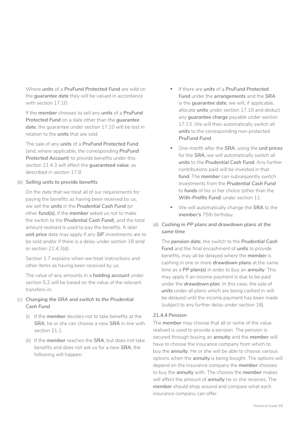Where *units* of a *PruFund Protected Fund* are sold on the *guarantee date* they will be valued in accordance with section 17.10.

If the *member* chooses to sell any *units* of a *PruFund Protected Fund* on a date other than the *guarantee date*, the guarantee under section 17.10 will be lost in relation to the *units* that are sold.

The sale of any *units* of a *PruFund Protected Fund*  (and, where applicable, the corresponding *PruFund Protected Account*) to provide benefits under this section 21.4.3 will affect the *guaranteed value*, as described in section 17.9.

#### (b) *Selling units to provide benefits*

On the date that we treat all of our requirements for paying the benefits as having been received by us, we sell the *units* in the *Prudential Cash Fund* (or other *fund(s)*, if the *member* asked us not to make the switch to the *Prudential Cash Fund*), and the total amount realised is used to pay the benefits. A later *unit price* date may apply if any *SIF* investments are to be sold and/or if there is a delay under section 18 and/ or section 21.4.3(d).

Section 1.7 explains when we treat instructions and other items as having been received by us.

The value of any amounts in a *holding account* under section 5.2 will be based on the value of the relevant transfers-in.

### (c) *Changing the SRA and switch to the Prudential Cash Fund*

- (i) If the *member* decides not to take benefits at the *SRA*, he or she can choose a new *SRA* in line with section 21.1.
- (ii) If the *member* reaches the *SRA*, but does not take benefits and does not ask us for a new *SRA*, the following will happen:
- If there are *units* of a *PruFund Protected Fund* under the *arrangements* and the *SRA*  is the *guarantee date*, we will, if applicable, allocate *units* under section 17.10 and deduct any *guarantee charge* payable under section 17.13. We will then automatically switch all *units* to the corresponding non-protected *PruFund Fund*.
- One month after the *SRA*, using the *unit prices*  for the *SRA*, we will automatically switch all *units* to the *Prudential Cash Fund*. Any further contributions paid will be invested in that *fund*. The *member* can subsequently switch investments from the *Prudential Cash Fund*  to *funds* of his or her choice (other than the *With-Profits Fund*) under section 11.
- We will automatically change the *SRA* to the *member's* 75th birthday.
- (d) *Cashing in PP plans and drawdown plans at the same time*

The *pension date*, the switch to the *Prudential Cash Fund* and the final encashment of *units* to provide benefits, may all be delayed where the *member* is cashing in one or more *drawdown plans* at the same time as a *PP plan(s)* in order to buy an *annuity*. This may apply if an income payment is due to be paid under the *drawdown plan*. In this case, the sale of *units* under all plans which are being cashed in will be delayed until the income payment has been made (subject to any further delay under section 18).

### **21.4.4 Pension**

The *member* may choose that all or some of the value realised is used to provide a pension. The pension is secured through buying an *annuity* and the *member* will have to choose the insurance company from which to buy the *annuity*. He or she will be able to choose various options when the *annuity* is being bought. The options will depend on the insurance company the *member* chooses to buy the *annuity* with. The choices the *member* makes will affect the amount of *annuity* he or she receives. The *member* should shop around and compare what each insurance company can offer.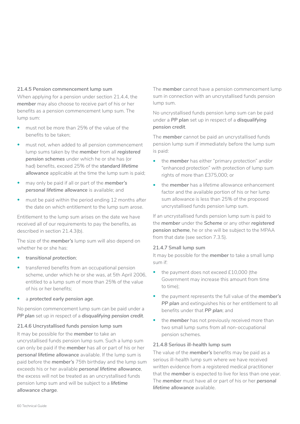#### **21.4.5 Pension commencement lump sum**

When applying for a pension under section 21.4.4, the *member* may also choose to receive part of his or her benefits as a pension commencement lump sum. The lump sum:

- must not be more than 25% of the value of the benefits to be taken;
- must not, when added to all pension commencement lump sums taken by the *member* from all *registered pension schemes* under which he or she has (or had) benefits, exceed 25% of the *standard lifetime allowance* applicable at the time the lump sum is paid;
- may only be paid if all or part of the *member's personal lifetime allowance* is available; and
- must be paid within the period ending 12 months after the date on which entitlement to the lump sum arose.

Entitlement to the lump sum arises on the date we have received all of our requirements to pay the benefits, as described in section 21.4.3(b).

The size of the *member's* lump sum will also depend on whether he or she has:

- *transitional protection*;
- transferred benefits from an occupational pension scheme, under which he or she was, at 5th April 2006, entitled to a lump sum of more than 25% of the value of his or her benefits;
- a *protected early pension age*.

No pension commencement lump sum can be paid under a *PP plan* set up in respect of a *disqualifying pension credit*.

#### **21.4.6 Uncrystallised funds pension lump sum**

It may be possible for the *member* to take an uncrystallised funds pension lump sum. Such a lump sum can only be paid if the *member* has all or part of his or her *personal lifetime allowance* available. If the lump sum is paid before the *member's* 75th birthday and the lump sum exceeds his or her available *personal lifetime allowance*, the excess will not be treated as an uncrystallised funds pension lump sum and will be subject to a *lifetime allowance charge*.

The *member* cannot have a pension commencement lump sum in connection with an uncrystallised funds pension lump sum.

No uncrystallised funds pension lump sum can be paid under a *PP plan* set up in respect of a *disqualifying pension credit*.

The *member* cannot be paid an uncrystallised funds pension lump sum if immediately before the lump sum is paid:

- the *member* has either "primary protection" and/or "enhanced protection" with protection of lump sum rights of more than £375,000; or
- the *member* has a lifetime allowance enhancement factor and the available portion of his or her lump sum allowance is less than 25% of the proposed uncrystallised funds pension lump sum.

If an uncrystallised funds pension lump sum is paid to the *member* under the *Scheme* or any other *registered pension scheme*, he or she will be subject to the MPAA from that date (see section 7.3.5).

#### **21.4.7 Small lump sum**

It may be possible for the *member* to take a small lump sum if:

- the payment does not exceed £10,000 (the Government may increase this amount from time to time);
- the payment represents the full value of the *member's*  **PP plan** and extinguishes his or her entitlement to all benefits under that *PP plan*; and
- the **member** has not previously received more than two small lump sums from all non-occupational pension schemes.

#### **21.4.8 Serious ill-health lump sum**

The value of the *member's* benefits may be paid as a serious ill-health lump sum where we have received written evidence from a registered medical practitioner that the *member* is expected to live for less than one year. The *member* must have all or part of his or her *personal lifetime allowance* available.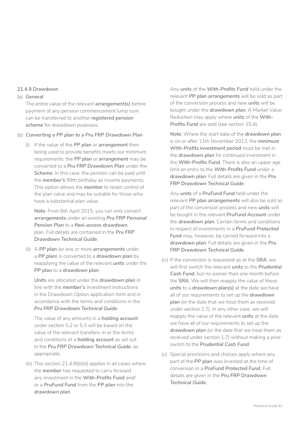#### **21.4.9 Drawdown**

#### (a) *General*

The entire value of the relevant *arrangement(s)* before payment of any pension commencement lump sum can be transferred to another *registered pension*  scheme for drawdown purposes.

#### (b) *Converting a PP plan to a Pru FRP Drawdown Plan*

(i) If the value of the *PP plan* or *arrangement* then being used to provide benefits meets our minimum requirements, the *PP plan* or *arrangement* may be converted to a *Pru FRP Drawdown Plan* under the *Scheme*. In this case, the pension can be paid until the *member's* 99th birthday as income payments. This option allows the *member* to retain control of the plan value and may be suitable for those who have a substantial plan value.

**Note**: From 6th April 2015, you can only convert *arrangements* under an existing *Pru FRP Personal Pension Plan* to a *flexi-access drawdown*  plan. Full details are contained in the *Pru FRP Drawdown Technical Guide*.

(ii) A *PP plan* (or one or more *arrangements* under a *PP plan*) is converted to a *drawdown plan* by reapplying the value of the relevant *units* under the *PP plan* to a *drawdown plan*.

*Units* are allocated under the *drawdown plan* in line with the *member's* investment instructions in the Drawdown Option application form and in accordance with the terms and conditions in the *Pru FRP Drawdown Technical Guide*.

The value of any amounts in a *holding account*  under section 5.2 or 5.3 will be based on the value of the relevant transfers-in or the terms and conditions of a *holding account* as set out in the *Pru FRP Drawdown Technical Guide*, as appropriate.

(iii) This section 21.4.9(b)(iii) applies in all cases where the *member* has requested to carry forward any investment in the *With-Profits Fund* and/ or a *PruFund Fund* from the *PP plan* into the *drawdown plan*.

Any *units* of the *With-Profits Fund* held under the relevant *PP plan arrangements* will be sold as part of the conversion process and new *units* will be bought under the *drawdown plan*. A Market Value Reduction may apply where *units* of the *With-Profits Fund* are sold (see section 15.4).

**Note**: Where the start date of the *drawdown plan*  is on or after 11th November 2013, the *minimum With-Profits investment period* must be met in the *drawdown plan* for continued investment in the *With-Profits Fund*. There is also an upper age limit on entry to the *With-Profits Fund* under a *drawdown plan*. Full details are given in the *Pru FRP Drawdown Technical Guide*.

Any *units* of a *PruFund Fund* held under the relevant *PP plan arrangements* will also be sold as part of the conversion process and new *units* will be bought in the relevant *PruFund Account* under the *drawdown plan*. Certain terms and conditions in respect of investments in a *PruFund Protected Fund* may, however, be carried forward into a *drawdown plan*. Full details are given in the *Pru FRP Drawdown Technical Guide*.

- (iv) If the conversion is requested as at the **SRA**, we will first switch the relevant *units* to the *Prudential Cash Fund*, but no sooner than one month before the *SRA*. We will then reapply the value of these *units* to a *drawdown plan(s)* at the date we have all of our requirements to set up the *drawdown plan* (or the date that we treat them as received under section 1.7). In any other case, we will reapply the value of the relevant *units* at the date we have all of our requirements to set up the drawdown plan (or the date that we treat them as received under section 1.7) without making a prior switch to the *Prudential Cash Fund*.
- (v) Special provisions and choices apply where any part of the *PP plan* was invested at the time of conversion in a *PruFund Protected Fund*. Full details are given in the *Pru FRP Drawdown Technical Guide*.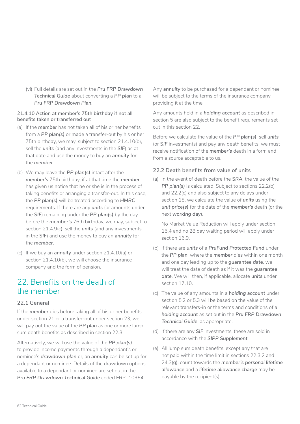(vi) Full details are set out in the *Pru FRP Drawdown Technical Guide* about converting a *PP plan* to a *Pru FRP Drawdown Plan*.

#### **21.4.10 Action at member's 75th birthday if not all benefits taken or transferred out**

- (a) If the *member* has not taken all of his or her benefits from a *PP plan(s)* or made a transfer-out by his or her 75th birthday, we may, subject to section 21.4.10(b), sell the *units* (and any investments in the *SIF*) as at that date and use the money to buy an *annuity* for the *member*.
- (b) We may leave the *PP plan(s)* intact after the *member's* 75th birthday, if at that time the *member*  has given us notice that he or she is in the process of taking benefits or arranging a transfer-out. In this case, the *PP plan(s)* will be treated according to *HMRC*  requirements. If there are any *units* (or amounts under the *SIF*) remaining under the *PP plan(s)* by the day before the *member's* 76th birthday, we may, subject to section 21.4.9(c), sell the *units* (and any investments in the *SIF*) and use the money to buy an *annuity* for the *member*.
- (c) If we buy an *annuity* under section 21.4.10(a) or section 21.4.10(b), we will choose the insurance company and the form of pension.

## 22. Benefits on the death of the member

### **22.1 General**

If the *member* dies before taking all of his or her benefits under section 21 or a transfer-out under section 23, we will pay out the value of the *PP plan* as one or more lump sum death benefits as described in section 22.3.

Alternatively, we will use the value of the *PP plan(s)*  to provide income payments through a dependant's or nominee's *drawdown plan* or, an *annuity* can be set up for a dependant or nominee. Details of the drawdown options available to a dependant or nominee are set out in the *Pru FRP Drawdown Technical Guide* coded FRPT10364.

Any *annuity* to be purchased for a dependant or nominee will be subject to the terms of the insurance company providing it at the time.

Any amounts held in a *holding account* as described in section 5 are also subject to the benefit requirements set out in this section 22.

Before we calculate the value of the *PP plan(s)*, sell *units*  (or *SIF* investments) and pay any death benefits, we must receive notification of the *member's* death in a form and from a source acceptable to us.

## **22.2 Death benefits from value of units**

(a) In the event of death before the *SRA*, the value of the *PP plan(s)* is calculated. Subject to sections 22.2(b) and 22.2(c) and also subject to any delays under section 18, we calculate the value of *units* using the *unit price(s)* for the date of the *member's* death (or the next *working day*).

No Market Value Reduction will apply under section 15.4 and no 28 day waiting period will apply under section 16.9.

- (b) If there are *units* of a *PruFund Protected Fund* under the *PP plan*, where the *member* dies within one month and one day leading up to the *guarantee date*, we will treat the date of death as if it was the *guarantee date*. We will then, if applicable, allocate *units* under section 17.10.
- (c) The value of any amounts in a *holding account* under section 5.2 or 5.3 will be based on the value of the relevant transfers-in or the terms and conditions of a *holding account* as set out in the *Pru FRP Drawdown Technical Guide*, as appropriate.
- (d) If there are any **SIF** investments, these are sold in accordance with the *SIPP Supplement*.
- (e) All lump sum death benefits, except any that are not paid within the time limit in sections 22.3.2 and 24.3(g), count towards the *member's personal lifetime allowance* and a *lifetime allowance charge* may be payable by the recipient(s).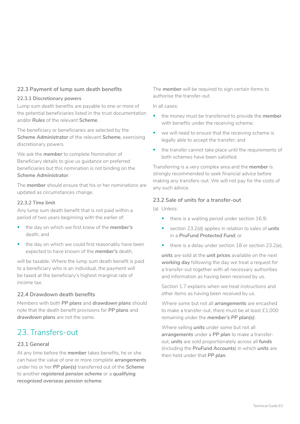## **22.3 Payment of lump sum death benefits**

#### **22.3.1 Discretionary powers**

Lump sum death benefits are payable to one or more of the potential beneficiaries listed in the trust documentation and/or *Rules* of the relevant *Scheme*.

The beneficiary or beneficiaries are selected by the *Scheme Administrator* of the relevant *Scheme*, exercising discretionary powers.

We ask the *member* to complete Nomination of Beneficiary details to give us guidance on preferred beneficiaries but this nomination is not binding on the *Scheme Administrator*.

The *member* should ensure that his or her nominations are updated as circumstances change.

#### **22.3.2 Time limit**

Any lump sum death benefit that is not paid within a period of two years beginning with the earlier of:

- the day on which we first knew of the *member's*  death; and
- the day on which we could first reasonably have been expected to have known of the *member's* death,

will be taxable. Where the lump sum death benefit is paid to a beneficiary who is an individual, the payment will be taxed at the beneficiary's highest marginal rate of income tax.

## **22.4 Drawdown death benefits**

Members with both *PP plans* and *drawdown plans* should note that the death benefit provisions for *PP plans* and *drawdown plans* are not the same.

## 23 Transfers-out

### **23.1 General**

At any time before the *member* takes benefits, he or she can have the value of one or more complete *arrangements*  under his or her *PP plan(s)* transferred out of the *Scheme*  to another *registered pension scheme* or a *qualifying recognised overseas pension scheme*.

The *member* will be required to sign certain forms to authorise the transfer-out.

In all cases:

- the money must be transferred to provide the *member*  with benefits under the receiving scheme;
- we will need to ensure that the receiving scheme is legally able to accept the transfer; and
- the transfer cannot take place until the requirements of both schemes have been satisfied.

Transferring is a very complex area and the *member* is strongly recommended to seek financial advice before making any transfers-out. We will not pay for the costs of any such advice.

## **23.2 Sale of units for a transfer-out**

(a) Unless:

- there is a waiting period under section 16.9;
- section 23.2(d) applies in relation to sales of *units*  in a *PruFund Protected Fund*; or
- there is a delay under section 18 or section 23.2(e),

*units* are sold at the *unit prices* available on the next *working day* following the day we treat a request for a transfer-out together with all necessary authorities and information as having been received by us.

Section 1.7 explains when we treat instructions and other items as having been received by us.

Where some but not all *arrangements* are encashed to make a transfer-out, there must be at least £1,000 remaining under the *member's PP plan(s)*.

Where selling *units* under some but not all *arrangements* under a *PP plan* to make a transferout, *units* are sold proportionately across all *funds*  (including the *PruFund Accounts*) in which *units* are then held under that *PP plan*.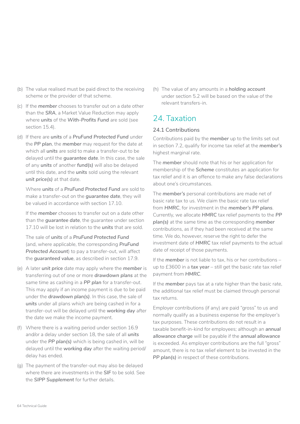- (b) The value realised must be paid direct to the receiving scheme or the provider of that scheme.
- (c) If the *member* chooses to transfer out on a date other than the *SRA*, a Market Value Reduction may apply where *units* of the *With-Profits Fund* are sold (see section 15.4).
- (d) If there are *units* of a *PruFund Protected Fund* under the *PP plan*, the *member* may request for the date at which all *units* are sold to make a transfer-out to be delayed until the *guarantee date*. In this case, the sale of any *units* of another *fund(s)* will also be delayed until this date, and the *units* sold using the relevant *unit price(s)* at that date.

Where *units* of a *PruFund Protected Fund* are sold to make a transfer-out on the *guarantee date*, they will be valued in accordance with section 17.10.

If the *member* chooses to transfer out on a date other than the *guarantee date*, the guarantee under section 17.10 will be lost in relation to the *units* that are sold.

The sale of *units* of a *PruFund Protected Fund*  (and, where applicable, the corresponding *PruFund Protected Account*) to pay a transfer-out, will affect the *guaranteed value*, as described in section 17.9.

- (e) A later *unit price* date may apply where the *member* is transferring out of one or more *drawdown plans* at the same time as cashing in a *PP plan* for a transfer-out. This may apply if an income payment is due to be paid under the *drawdown plan(s)*. In this case, the sale of *units* under all plans which are being cashed in for a transfer-out will be delayed until the *working day* after the date we make the income payment.
- (f) Where there is a waiting period under section 16.9 and/or a delay under section 18, the sale of all *units*  under the *PP plan(s)* which is being cashed in, will be delayed until the *working day* after the waiting period/ delay has ended.
- (g) The payment of the transfer-out may also be delayed where there are investments in the *SIF* to be sold. See the *SIPP Supplement* for further details.

(h) The value of any amounts in a *holding account*  under section 5.2 will be based on the value of the relevant transfers-in.

## 24. Taxation

## **24.1 Contributions**

Contributions paid by the *member* up to the limits set out in section 7.2, qualify for income tax relief at the *member's*  highest marginal rate.

The *member* should note that his or her application for membership of the *Scheme* constitutes an application for tax relief and it is an offence to make any false declarations about one's circumstances.

The *member's* personal contributions are made net of basic rate tax to us. We claim the basic rate tax relief from *HMRC*, for investment in the *member's PP plans*. Currently, we allocate *HMRC* tax relief payments to the *PP plan(s)* at the same time as the corresponding *member*  contributions, as if they had been received at the same time. We do, however, reserve the right to defer the investment date of *HMRC* tax relief payments to the actual date of receipt of those payments.

If the *member* is not liable to tax, his or her contributions – up to £3600 in a **tax year** - still get the basic rate tax relief payment from *HMRC*.

If the *member* pays tax at a rate higher than the basic rate, the additional tax relief must be claimed through personal tax returns.

Employer contributions (if any) are paid "gross" to us and normally qualify as a business expense for the employer's tax purposes. These contributions do not result in a taxable benefit-in-kind for employees; although an *annual allowance charge* will be payable if the *annual allowance*  is exceeded. As employer contributions are the full "gross" amount, there is no tax relief element to be invested in the *PP plan(s)* in respect of these contributions.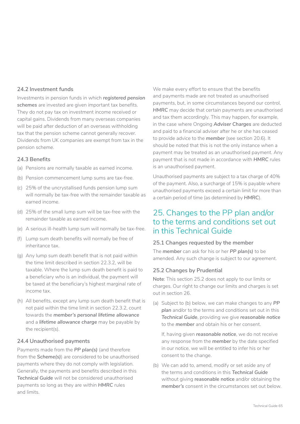### **24.2 Investment funds**

Investments in pension funds in which *registered pension schemes* are invested are given important tax benefits. They do not pay tax on investment income received or capital gains. Dividends from many overseas companies will be paid after deduction of an overseas withholding tax that the pension scheme cannot generally recover. Dividends from UK companies are exempt from tax in the pension scheme.

### **24.3 Benefits**

- (a) Pensions are normally taxable as earned income.
- (b) Pension commencement lump sums are tax-free.
- (c) 25% of the uncrystallised funds pension lump sum will normally be tax-free with the remainder taxable as earned income.
- (d) 25% of the small lump sum will be tax-free with the remainder taxable as earned income.
- (e) A serious ill-health lump sum will normally be tax-free.
- (f) Lump sum death benefits will normally be free of inheritance tax.
- (g) Any lump sum death benefit that is not paid within the time limit described in section 22.3.2, will be taxable. Where the lump sum death benefit is paid to a beneficiary who is an individual, the payment will be taxed at the beneficiary's highest marginal rate of income tax.
- (h) All benefits, except any lump sum death benefit that is not paid within the time limit in section 22.3.2, count towards the *member's personal lifetime allowance*  and a *lifetime allowance charge* may be payable by the recipient(s).

### **24.4 Unauthorised payments**

Payments made from the *PP plan(s)* (and therefore from the *Scheme(s)*) are considered to be unauthorised payments where they do not comply with legislation. Generally, the payments and benefits described in this *Technical Guide* will not be considered unauthorised payments so long as they are within *HMRC* rules and limits.

We make every effort to ensure that the benefits and payments made are not treated as unauthorised payments, but, in some circumstances beyond our control, **HMRC** may decide that certain payments are unauthorised and tax them accordingly. This may happen, for example, in the case where Ongoing *Adviser Charges* are deducted and paid to a financial adviser after he or she has ceased to provide advice to the *member* (see section 20.6). It should be noted that this is not the only instance when a payment may be treated as an unauthorised payment. Any payment that is not made in accordance with *HMRC* rules is an unauthorised payment.

Unauthorised payments are subject to a tax charge of 40% of the payment. Also, a surcharge of 15% is payable where unauthorised payments exceed a certain limit for more than a certain period of time (as determined by *HMRC*).

## 25. Changes to the PP plan and/or to the terms and conditions set out in this Technical Guide

### **25.1 Changes requested by the member**

The *member* can ask for his or her *PP plan(s)* to be amended. Any such change is subject to our agreement.

### **25.2 Changes by Prudential**

**Note**: This section 25.2 does not apply to our limits or charges. Our right to change our limits and charges is set out in section 26.

(a) Subject to (b) below, we can make changes to any *PP plan* and/or to the terms and conditions set out in this *Technical Guide*, providing we give *reasonable notice*  to the *member* and obtain his or her consent.

If, having given *reasonable notice*, we do not receive any response from the *member* by the date specified in our notice, we will be entitled to infer his or her consent to the change.

(b) We can add to, amend, modify or set aside any of the terms and conditions in this *Technical Guide*  without giving **reasonable notice** and/or obtaining the *member's* consent in the circumstances set out below.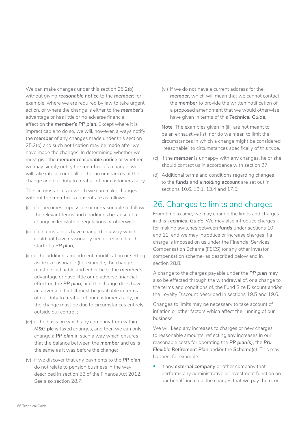We can make changes under this section 25.2(b) without giving *reasonable notice* to the *member*: for example, where we are required by law to take urgent action, or where the change is either to the *member's*  advantage or has little or no adverse financial effect on the *member's PP plan*. Except where it is impracticable to do so, we will, however, always notify the *member* of any changes made under this section 25.2(b) and such notification may be made after we have made the changes. In determining whether we must give the *member reasonable notice* or whether we may simply notify the *member* of a change, we will take into account all of the circumstances of the change and our duty to treat all of our customers fairly.

The circumstances in which we can make changes without the *member's* consent are as follows:

- (i) if it becomes impossible or unreasonable to follow the relevant terms and conditions because of a change in legislation, regulations or otherwise;
- (ii) if circumstances have changed in a way which could not have reasonably been predicted at the start of a *PP plan*;
- (iii) if the addition, amendment, modification or setting aside is reasonable (for example, the change must be justifiable and either be to the *member's*  advantage or have little or no adverse financial effect on the *PP plan*; or if the change does have an adverse effect, it must be justifiable in terms of our duty to treat all of our customers fairly; or the change must be due to circumstances entirely outside our control);
- (iv) if the basis on which any company from within *M&G plc* is taxed changes, and then we can only change a *PP plan* in such a way which ensures that the balance between the *member* and us is the same as it was before the change;
- (v) if we discover that any payments to the *PP plan*  do not relate to pension business in the way described in section 58 of the Finance Act 2012. See also section 28.7;

(vi) if we do not have a current address for the *member*, which will mean that we cannot contact the *member* to provide the written notification of a proposed amendment that we would otherwise have given in terms of this *Technical Guide*.

**Note**: The examples given in (iii) are not meant to be an exhaustive list, nor do we mean to limit the circumstances in which a change might be considered "reasonable" to circumstances specifically of this type.

- (c) If the *member* is unhappy with any changes, he or she should contact us in accordance with section 27.
- (d) Additional terms and conditions regarding changes to the *funds* and a *holding account* are set out in sections 10.6, 13.1, 13.4 and 17.5.

## 26. Changes to limits and charges

From time to time, we may change the limits and charges in this *Technical Guide*. We may also introduce charges for making switches between *funds* under sections 10 and 11, and we may introduce or increase charges if a charge is imposed on us under the Financial Services Compensation Scheme (FSCS) (or any other investor compensation scheme) as described below and in section 28.8.

A change to the charges payable under the *PP plan* may also be effected through the withdrawal of, or a change to the terms and conditions of, the Fund Size Discount and/or the Loyalty Discount described in sections 19.5 and 19.6.

Changes to limits may be necessary to take account of inflation or other factors which affect the running of our business.

We will keep any increases to charges or new charges to reasonable amounts, reflecting any increases in our reasonable costs for operating the *PP plan(s)*, the *Pru Flexible Retirement Plan* and/or the *Scheme(s)*. This may happen, for example:

• if any *external company* or other company that performs any administrative or investment function on our behalf, increase the charges that we pay them; or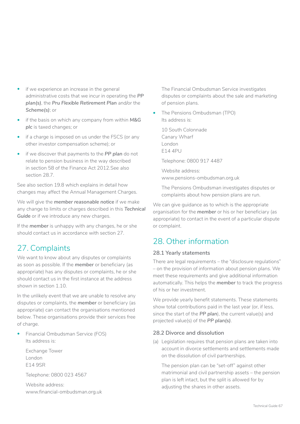- if we experience an increase in the general administrative costs that we incur in operating the *PP plan(s)*, the *Pru Flexible Retirement Plan* and/or the *Scheme(s)*; or
- if the basis on which any company from within *M&G plc* is taxed changes; or
- if a charge is imposed on us under the FSCS (or any other investor compensation scheme); or
- if we discover that payments to the *PP plan* do not relate to pension business in the way described in section 58 of the Finance Act 2012.See also section 28.7.

See also section 19.8 which explains in detail how changes may affect the Annual Management Charges.

We will give the *member reasonable notice* if we make any change to limits or charges described in this *Technical*  Guide or if we introduce any new charges.

If the *member* is unhappy with any changes, he or she should contact us in accordance with section 27.

# 27. Complaints

We want to know about any disputes or complaints as soon as possible. If the *member* or beneficiary (as appropriate) has any disputes or complaints, he or she should contact us in the first instance at the address shown in section 1.10.

In the unlikely event that we are unable to resolve any disputes or complaints, the *member* or beneficiary (as appropriate) can contact the organisations mentioned below. These organisations provide their services free of charge.

• Financial Ombudsman Service (FOS) Its address is:

Exchange Tower London E14 9SR

Telephone: 0800 023 4567

Website address: [www.financial-ombudsman.org.uk](http://www.financial-ombudsman.org.uk/) The Financial Ombudsman Service investigates disputes or complaints about the sale and marketing of pension plans.

The Pensions Ombudsman (TPO) Its address is:

10 South Colonnade Canary Wharf London E14 4PU

Telephone: 0800 917 4487

Website address: [www.pensions-ombudsman.org.uk](http://www.pensions-ombudsman.org.uk/)

The Pensions Ombudsman investigates disputes or complaints about how pension plans are run.

We can give guidance as to which is the appropriate organisation for the *member* or his or her beneficiary (as appropriate) to contact in the event of a particular dispute or complaint.

# 28. Other information

## **28.1 Yearly statements**

There are legal requirements – the "disclosure regulations" – on the provision of information about pension plans. We meet these requirements and give additional information automatically. This helps the *member* to track the progress of his or her investment.

We provide yearly benefit statements. These statements show total contributions paid in the last year (or, if less, since the start of the *PP plan*), the current value(s) and projected value(s) of the *PP plan(s)*.

### **28.2 Divorce and dissolution**

(a) Legislation requires that pension plans are taken into account in divorce settlements and settlements made on the dissolution of civil partnerships.

The pension plan can be "set-off" against other matrimonial and civil partnership assets – the pension plan is left intact, but the split is allowed for by adjusting the shares in other assets.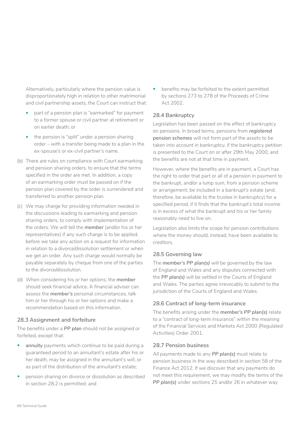Alternatively, particularly where the pension value is disproportionately high in relation to other matrimonial and civil partnership assets, the Court can instruct that:

- part of a pension plan is "earmarked" for payment to a former spouse or civil partner at retirement or on earlier death; or
- the pension is "split" under a pension sharing order – with a transfer being made to a plan in the ex-spouse's or ex-civil partner's name.
- (b) There are rules on compliance with Court earmarking and pension sharing orders, to ensure that the terms specified in the order are met. In addition, a copy of an earmarking order must be passed on if the pension plan covered by the order is surrendered and transferred to another pension plan.
- (c) We may charge for providing information needed in the discussions leading to earmarking and pension sharing orders, to comply with implementation of the orders. We will tell the *member* (and/or his or her representatives) if any such charge is to be applied, before we take any action on a request for information in relation to a divorce/dissolution settlement or when we get an order. Any such charge would normally be payable separately by cheque from one of the parties to the divorce/dissolution.
- (d) When considering his or her options, the *member*  should seek financial advice. A financial adviser can assess the *member's* personal circumstances, talk him or her through his or her options and make a recommendation based on this information.

### **28.3 Assignment and forfeiture**

The benefits under a *PP plan* should not be assigned or forfeited, except that:

- annuity payments which continue to be paid during a guaranteed period to an annuitant's estate after his or her death, may be assigned in the annuitant's will, or as part of the distribution of the annuitant's estate;
- pension sharing on divorce or dissolution as described in section 28.2 is permitted; and

• benefits may be forfeited to the extent permitted by sections 273 to 278 of the Proceeds of Crime Act 2002.

## **28.4 Bankruptcy**

Legislation has been passed on the effect of bankruptcy on pensions. In broad terms, pensions from *registered pension schemes* will not form part of the assets to be taken into account in bankruptcy, if the bankruptcy petition is presented to the Court on or after 29th May 2000, and the benefits are not at that time in payment.

However, where the benefits are in payment, a Court has the right to order that part or all of a pension in payment to the bankrupt, and/or a lump sum, from a pension scheme or arrangement, be included in a bankrupt's estate (and, therefore, be available to the trustee in bankruptcy) for a specified period, if it finds that the bankrupt's total income is in excess of what the bankrupt and his or her family reasonably need to live on.

Legislation also limits the scope for pension contributions where the money should, instead, have been available to creditors.

## **28.5 Governing law**

The *member's PP plan(s)* will be governed by the law of England and Wales and any disputes connected with the *PP plan(s)* will be settled in the Courts of England and Wales. The parties agree irrevocably to submit to the jurisdiction of the Courts of England and Wales.

### **28.6 Contract of long-term insurance**

The benefits arising under the *member's PP plan(s)* relate to a "contract of long-term insurance" within the meaning of the Financial Services and Markets Act 2000 (Regulated Activities) Order 2001.

### **28.7 Pension business**

All payments made to any *PP plan(s)* must relate to pension business in the way described in section 58 of the Finance Act 2012. If we discover that any payments do not meet this requirement, we may modify the terms of the *PP plan(s)* under sections 25 and/or 26 in whatever way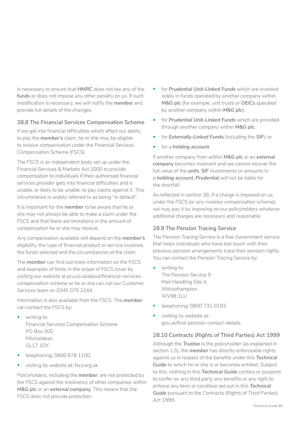is necessary to ensure that *HMRC* does not tax any of the funds or does not impose any other penalty on us. If such modification is necessary, we will notify the *member* and provide full details of the changes.

## **28.8 The Financial Services Compensation Scheme**

If we get into financial difficulties which affect our ability to pay the *member's* claim, he or she may be eligible to receive compensation under the Financial Services Compensation Scheme (FSCS).

The FSCS is an independent body set up under the Financial Services & Markets Act 2000 to provide compensation to individuals if their authorised financial services provider gets into financial difficulties and is unable, or likely to be unable, to pay claims against it. This circumstance is widely referred to as being "in default".

It is important for the *member* to be aware that he or she may not always be able to make a claim under the FSCS and that there are limitations in the amount of compensation he or she may receive.

Any compensation available will depend on the *member's*  eligibility, the type of financial product or service involved, the funds selected and the circumstances of the claim.

The *member* can find out more information on the FSCS and examples of limits in the scope of FSCS cover by visiting our website at [pru.co.uk/about/financial-services](https://www.pru.co.uk/about/financial-services- compensation-scheme)[compensation-scheme](https://www.pru.co.uk/about/financial-services- compensation-scheme) or he or she can call our Customer Services team on 0345 075 2244.

Information is also available from the FSCS. The *member*  can contact the FSCS by:

- writing to: Financial Services Compensation Scheme PO Box 300 Mitcheldean GL17 1DY
- telephoning: 0800 678 1100;
- visiting its website at: [fscs.org.uk](https://www.fscs.org.uk)

Policyholders, including the *member*, are not protected by the FSCS against the insolvency of other companies within *M&G plc* or an *external company*. This means that the FSCS does not provide protection:

- for *Prudential Unit-Linked Funds* which are invested solely in funds operated by another company within *M&G plc* (for example, unit trusts or *OEICs* operated by another company within *M&G plc*);
- for *Prudential Unit-Linked Funds* which are provided through another company within *M&G plc*;
- for *Externally-Linked Funds* (including the *SIF*); or
- for a *holding account*.

If another company from within *M&G plc* or an *external company* becomes insolvent and we cannot recover the full value of the *units*, *SIF* investments or amounts in a *holding account*, *Prudential* will not be liable for the shortfall.

As reflected in section 26, if a charge is imposed on us under the FSCS (or any investor compensation scheme), we may pay it by imposing on our policyholders whatever additional charges are necessary and reasonable.

### **28.9 The Pension Tracing Service**

The Pension Tracing Service is a free Government service that helps individuals who have lost touch with their previous pension arrangements trace their pension rights. You can contact the Pension Tracing Service by:

- writing to: The Pension Service 9 Mail Handling Site A Wolverhampton WV98 1LU
- telephoning: 0800 731 0193
- visiting its website at: [gov.uk/find-pension-contact-details](https://www.gov.uk/find-pension-contact-details).

## **28.10 Contracts (Rights of Third Parties) Act 1999**

Although the *Trustee* is the policyholder (as explained in section 1.5), the *member* has directly enforceable rights against us in respect of the benefits under this *Technical Guide* to which he or she is or becomes entitled. Subject to this, nothing in this *Technical Guide* confers or purports to confer on any third party any benefits or any right to enforce any term or condition set out in this *Technical Guide* pursuant to the Contracts (Rights of Third Parties) Act 1999.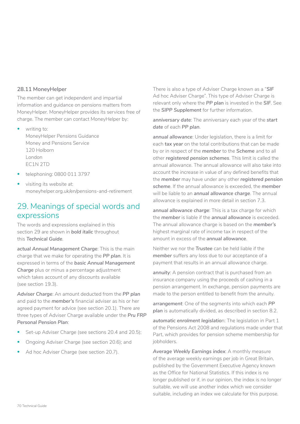#### **28.11 MoneyHelper**

The member can get independent and impartial information and guidance on pensions matters from MoneyHelper. MoneyHelper provides its services free of charge. The member can contact MoneyHelper by:

- writing to: MoneyHelper Pensions Guidance Money and Pensions Service 120 Holborn London EC1N 2TD
- telephoning: 0800 011 3797
- visiting its website at: [moneyhelper.org.uk/en/pensions-and-retirement](http://www.moneyhelper.org.uk/en/pensions-and-retirement)

## 29. Meanings of special words and expressions

The words and expressions explained in this section 29 are shown in *bold italic* throughout this *Technical Guide*.

*actual Annual Management Charge*: This is the main charge that we make for operating the *PP plan*. It is expressed in terms of the *basic Annual Management Charge* plus or minus a percentage adjustment which takes account of any discounts available (see section 19.3).

*Adviser Charge*: An amount deducted from the *PP plan*  and paid to the *member's* financial adviser as his or her agreed payment for advice (see section 20.1). There are three types of Adviser Charge available under the *Pru FRP Personal Pension Plan*:

- Set-up Adviser Charge (see sections 20.4 and 20.5);
- Ongoing Adviser Charge (see section 20.6); and
- Ad hoc Adviser Charge (see section 20.7).

There is also a type of Adviser Charge known as a "*SIF*  Ad hoc Adviser Charge". This type of Adviser Charge is relevant only where the *PP plan* is invested in the *SIF*. See the *SIPP Supplement* for further information.

*anniversary date*: The anniversary each year of the *start date* of each *PP plan*.

*annual allowance*: Under legislation, there is a limit for each *tax year* on the total contributions that can be made by or in respect of the *member* to the *Scheme* and to all other *registered pension schemes*. This limit is called the annual allowance. The annual allowance will also take into account the increase in value of any defined benefits that the *member* may have under any other *registered pension scheme*. If the annual allowance is exceeded, the *member*  will be liable to an *annual allowance charge*. The annual allowance is explained in more detail in section 7.3.

*annual allowance charge*: This is a tax charge for which the *member* is liable if the *annual allowance* is exceeded. The annual allowance charge is based on the *member's*  highest marginal rate of income tax in respect of the amount in excess of the *annual allowance*.

Neither we nor the *Trustee* can be held liable if the *member* suffers any loss due to our acceptance of a payment that results in an annual allowance charge.

*annuity*: A pension contract that is purchased from an insurance company using the proceeds of cashing in a pension arrangement. In exchange, pension payments are made to the person entitled to benefit from the annuity.

*arrangement*: One of the segments into which each *PP*  plan is automatically divided, as described in section 8.2.

*automatic enrolment legislatio*n: The legislation in Part 1 of the Pensions Act 2008 and regulations made under that Part, which provides for pension scheme membership for jobholders.

*Average Weekly Earnings index*: A monthly measure of the average weekly earnings per job in Great Britain, published by the Government Executive Agency known as the Office for National Statistics. If this index is no longer published or if, in our opinion, the index is no longer suitable, we will use another index which we consider suitable, including an index we calculate for this purpose.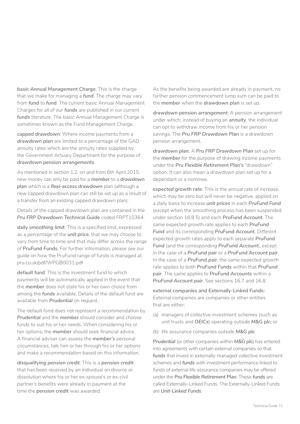*basic Annual Management Charge*: This is the charge that we make for managing a *fund*. The charge may vary from *fund* to *fund*. The current basic Annual Management Charges for all of our *funds* are published in our current funds literature. The basic Annual Management Charge is sometimes known as the Fund Management Charge.

*capped drawdown*: Where income payments from a *drawdown plan* are limited to a percentage of the GAD annuity rates which are the annuity rates supplied by the Government Actuary Department for the purpose of *drawdown pension arrangements*.

As mentioned in section 1.2, on and from 6th April 2015, new money can only be paid for a *member* to a *drawdown plan* which is a *flexi-access drawdown* plan (although a new capped drawdown plan can still be set up as a result of a transfer from an existing capped drawdown plan).

Details of the capped drawdown plan are contained in the *Pru FRP Drawdown Technical Guide* coded FRPT10364.

*daily smoothing limit*: This is a specified limit, expressed as a percentage of the *unit price*, that we may choose to vary from time to time and that may differ across the range of *PruFund Funds*. For further information, please see our guide on how the PruFund range of funds is managed at: [pru.co.uk/pdf/WPGB0031.pdf](https://www.pru.co.uk/pdf/WPGB0031.pdf)

*default fund*: This is the investment fund to which payments will be automatically applied in the event that the *member* does not state his or her own choice from among the *funds* available. Details of the default fund are available from *Prudential* on request.

The default fund does not represent a recommendation by *Prudential* and the *member* should consider and choose funds to suit his or her needs. When considering his or her options, the *member* should seek financial advice. A financial adviser can assess the *member's* personal circumstances, talk him or her through his or her options and make a recommendation based on this information.

*disqualifying pension credit*: This is a *pension credit*  that has been received by an individual on divorce or dissolution where his or her ex-spouse's or ex-civil partner's benefits were already in payment at the time the *pension credit* was awarded.

As the benefits being awarded are already in payment, no further pension commencement lump sum can be paid to the *member* when the *drawdown plan* is set up.

*drawdown pension arrangement*: A pension arrangement under which, instead of buying an *annuity*, the individual can opt to withdraw income from his or her pension savings. The *Pru FRP Drawdown Plan* is a drawdown pension arrangement.

*drawdown plan*: A *Pru FRP Drawdown Plan* set up for the *member* for the purpose of drawing income payments under the *Pru Flexible Retirement Plan's* "drawdown" option. It can also mean a drawdown plan set up for a dependant or a nominee.

*expected growth rate*: This is the annual rate of increase, which may be zero but will never be negative, applied on a daily basis to increase *unit prices* in each *PruFund Fund*  (except when the smoothing process has been suspended under section 16.8.5) and each *PruFund Account*. The same expected growth rate applies to each *PruFund Fund* and its corresponding *PruFund Account*. Different expected growth rates apply to each separate *PruFund*  Fund (and the corresponding PruFund Account), except in the case of a *PruFund pair* or a *PruFund Account pair*. In the case of a *PruFund pair*, the same expected growth rate applies to both *PruFund Funds* within that *PruFund pair*. The same applies to *PruFund Accounts* within a *PruFund Account pair*. See sections 16.7 and 16.8.

*external companies and Externally-Linked Funds:* External companies are companies or other entities that are either:

- (a) managers of collective investment schemes (such as unit trusts and *OEICs*) operating outside *M&G plc*; or
- (b) life assurance companies outside *M&G plc*.

**Prudential** (or other companies within M&G plc) has entered into agreements with certain external companies so that *funds* that invest in externally-managed collective investment schemes and *funds* with investment performance linked to funds of external life assurance companies may be offered under the *Pru Flexible Retirement Plan*. These *funds* are called Externally-Linked Funds. The Externally-Linked Funds are *Unit-Linked Funds*.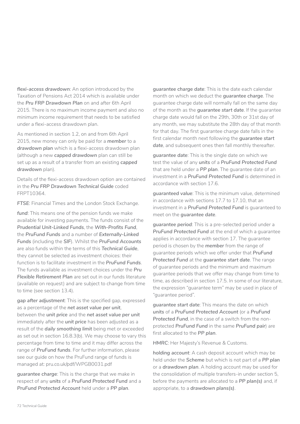*flexi-access drawdown*: An option introduced by the Taxation of Pensions Act 2014 which is available under the *Pru FRP Drawdown Plan* on and after 6th April 2015. There is no maximum income payment and also no minimum income requirement that needs to be satisfied under a flexi-access drawdown plan.

As mentioned in section 1.2, on and from 6th April 2015, new money can only be paid for a *member* to a *drawdown plan* which is a flexi-access drawdown plan (although a new *capped drawdown* plan can still be set up as a result of a transfer from an existing *capped drawdown* plan).

Details of the flexi-access drawdown option are contained in the *Pru FRP Drawdown Technical Guide* coded FRPT10364.

*FTSE*: Financial Times and the London Stock Exchange.

*fund*: This means one of the pension funds we make available for investing payments. The funds consist of the *Prudential Unit-Linked Funds*, the *With-Profits Fund*, the *PruFund Funds* and a number of *Externally-Linked Funds* (including the *SIF*). Whilst the *PruFund Accounts*  are also funds within the terms of this *Technical Guide*, they cannot be selected as investment choices: their function is to facilitate investment in the *PruFund Funds*. The funds available as investment choices under the *Pru Flexible Retirement Plan* are set out in our funds literature (available on request) and are subject to change from time to time (see section 13.4).

*gap after adjustment*: This is the specified gap, expressed as a percentage of the *net asset value per unit*, between the *unit price* and the *net asset value per unit*  immediately after the *unit price* has been adjusted as a result of the *daily smoothing limit* being met or exceeded as set out in section 16.8.3(b). We may choose to vary this percentage from time to time and it may differ across the range of *PruFund funds*. For further information, please see our guide on how the PruFund range of funds is managed at: pru.co.uk/pdf/WPGB0031.pdf

*guarantee charge*: This is the charge that we make in respect of any *units* of a *PruFund Protected Fund* and a *PruFund Protected Account* held under a *PP plan*.

*guarantee charge date*: This is the date each calendar month on which we deduct the *guarantee charge*. The guarantee charge date will normally fall on the same day of the month as the *guarantee start date*. If the guarantee charge date would fall on the 29th, 30th or 31st day of any month, we may substitute the 28th day of that month for that day. The first quarantee charge date falls in the first calendar month next following the *guarantee start date*, and subsequent ones then fall monthly thereafter.

*guarantee date*: This is the single date on which we test the value of any *units* of a *PruFund Protected Fund*  that are held under a *PP plan*. The guarantee date of an investment in a *PruFund Protected Fund* is determined in accordance with section 17.6.

*guaranteed value*: This is the minimum value, determined in accordance with sections 17.7 to 17.10, that an investment in a *PruFund Protected Fund* is guaranteed to meet on the *guarantee date*.

*guarantee period*: This is a pre-selected period under a *PruFund Protected Fund* at the end of which a guarantee applies in accordance with section 17. The guarantee period is chosen by the *member* from the range of guarantee periods which we offer under that *PruFund Protected Fund* at the *guarantee start date*. The range of guarantee periods and the minimum and maximum guarantee periods that we offer may change from time to time, as described in section 17.5. In some of our literature, the expression "guarantee term" may be used in place of "guarantee period".

*guarantee start date*: This means the date on which *units* of a *PruFund Protected Account* (or a *PruFund Protected Fund*, in the case of a switch from the nonprotected *PruFund Fund* in the same *PruFund pair*) are first allocated to the *PP plan*.

*HMRC*: Her Majesty's Revenue & Customs.

*holding account*: A cash deposit account which may be held under the *Scheme* but which is not part of a *PP plan*  or a *drawdown plan*. A holding account may be used for the consolidation of multiple transfers-in under section 5, before the payments are allocated to a *PP plan(s)* and, if appropriate, to a *drawdown plans(s)*.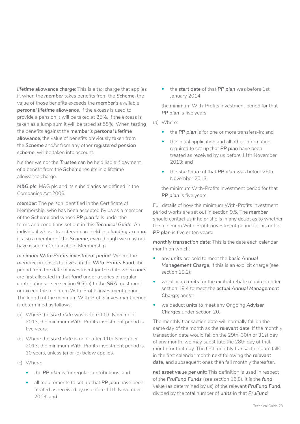*lifetime allowance charge*: This is a tax charge that applies if, when the *member* takes benefits from the *Scheme*, the value of those benefits exceeds the *member's* available *personal lifetime allowance*. If the excess is used to provide a pension it will be taxed at 25%. If the excess is taken as a lump sum it will be taxed at 55%. When testing the benefits against the *member's personal lifetime allowance*, the value of benefits previously taken from the *Scheme* and/or from any other *registered pension scheme*, will be taken into account.

Neither we nor the *Trustee* can be held liable if payment of a benefit from the *Scheme* results in a lifetime allowance charge.

*M&G plc*: M&G plc and its subsidiaries as defined in the Companies Act 2006.

*member*: The person identified in the Certificate of Membership, who has been accepted by us as a member of the *Scheme* and whose *PP plan* falls under the terms and conditions set out in this *Technical Guide*. An individual whose transfers-in are held in a *holding account*  is also a member of the *Scheme*, even though we may not have issued a Certificate of Membership.

*minimum With-Profits investment period*: Where the *member* proposes to invest in the *With-Profits Fund*, the period from the date of investment (or the date when *units*  are first allocated in that *fund* under a series of regular contributions – see section 9.5(d)) to the *SRA* must meet or exceed the minimum With-Profits investment period. The length of the minimum With-Profits investment period is determined as follows:

- (a) Where the *start date* was before 11th November 2013, the minimum With-Profits investment period is five years.
- (b) Where the *start date* is on or after 11th November 2013, the minimum With-Profits investment period is 10 years, unless (c) or (d) below applies.
- (c) Where:
	- the *PP plan* is for regular contributions; and
	- all requirements to set up that *PP plan* have been treated as received by us before 11th November 2013; and

• the *start date* of that *PP plan* was before 1st January 2014,

the minimum With-Profits investment period for that PP plan is five years.

- (d) Where:
	- the *PP plan* is for one or more transfers-in; and
	- the initial application and all other information required to set up that *PP plan* have been treated as received by us before 11th November 2013; and
	- the *start date* of that *PP plan* was before 25th November 2013

the minimum With-Profits investment period for that PP plan is five years.

Full details of how the minimum With-Profits investment period works are set out in section 9.5. The *member*  should contact us if he or she is in any doubt as to whether the minimum With-Profits investment period for his or her PP plan is five or ten years.

*monthly transaction date*: This is the date each calendar month on which:

- any *units* are sold to meet the *basic Annual Management Charge*, if this is an explicit charge (see section 19.2);
- we allocate *units* for the explicit rebate required under section 19.4 to meet the *actual Annual Management Charge*; and/or
- we deduct *units* to meet any Ongoing *Adviser Charges* under section 20.

The monthly transaction date will normally fall on the same day of the month as the *relevant date*. If the monthly transaction date would fall on the 29th, 30th or 31st day of any month, we may substitute the 28th day of that month for that day. The first monthly transaction date falls in the first calendar month next following the *relevant date*, and subsequent ones then fall monthly thereafter.

*net asset value per unit*: This definition is used in respect of the *PruFund Funds* (see section 16.8). It is the *fund*  value (as determined by us) of the relevant *PruFund Fund*, divided by the total number of *units* in that *PruFund*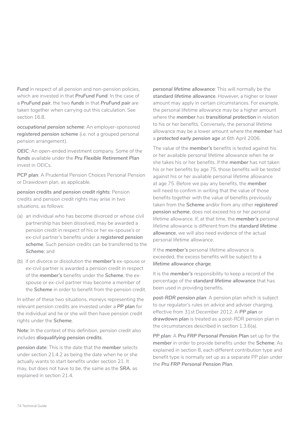**Fund** in respect of all pension and non-pension policies. which are invested in that *PruFund Fund*. In the case of a *PruFund pair*, the two *funds* in that *PruFund pair* are taken together when carrying out this calculation. See section 16.8.

*occupational pension scheme*: An employer-sponsored *registered pension scheme* (i.e. not a grouped personal pension arrangement).

*OEIC*: An open-ended investment company. Some of the *funds* available under the *Pru Flexible Retirement Plan*  invest in OEICs.

*PCP plan*: A Prudential Pension Choices Personal Pension or Drawdown plan, as applicable.

*pension credits and pension credit rights*: Pension credits and pension credit rights may arise in two situations, as follows:

- (a) an individual who has become divorced or whose civil partnership has been dissolved, may be awarded a pension credit in respect of his or her ex-spouse's or ex-civil partner's benefits under a *registered pension scheme*. Such pension credits can be transferred to the *Scheme*; and
- (b) if on divorce or dissolution the *member's* ex-spouse or ex-civil partner is awarded a pension credit in respect of the *member's* benefits under the *Scheme*, the exspouse or ex-civil partner may become a member of the *Scheme* in order to benefit from the pension credit.

In either of these two situations, moneys representing the relevant pension credits are invested under a *PP plan* for the individual and he or she will then have pension credit rights under the *Scheme*.

**Note**: In the context of this definition, pension credit also includes *disqualifying pension credits*.

*pension date*: This is the date that the *member* selects under section 21.4.2 as being the date when he or she actually wants to start benefits under section 21. It may, but does not have to be, the same as the *SRA*, as explained in section 21.4.

*personal lifetime allowance*: This will normally be the *standard lifetime allowance*. However, a higher or lower amount may apply in certain circumstances. For example, the personal lifetime allowance may be a higher amount where the *member* has *transitional protection* in relation to his or her benefits. Conversely, the personal lifetime allowance may be a lower amount where the *member* had a *protected early pension age* at 6th April 2006.

The value of the *member's* benefits is tested against his or her available personal lifetime allowance when he or she takes his or her benefits. If the *member* has not taken his or her benefits by age 75, those benefits will be tested against his or her available personal lifetime allowance at age 75. Before we pay any benefits, the *member*  will need to confirm in writing that the value of those benefits together with the value of benefits previously taken from the *Scheme* and/or from any other *registered pension scheme*, does not exceed his or her personal lifetime allowance. If, at that time, the *member's* personal lifetime allowance is different from the *standard lifetime allowance*, we will also need evidence of the actual personal lifetime allowance.

If the *member's* personal lifetime allowance is exceeded, the excess benefits will be subject to a *lifetime allowance charge*.

It is the *member's* responsibility to keep a record of the percentage of the *standard lifetime allowance* that has been used in providing benefits.

*post-RDR pension plan*: A pension plan which is subject to our regulator's rules on advice and adviser charging, effective from 31st December 2012. A *PP plan* or drawdown plan is treated as a post-RDR pension plan in the circumstances described in section 1.3.6(a).

*PP plan*: A *Pru FRP Personal Pension Plan* set up for the *member* in order to provide benefits under the *Scheme*. As explained in section 8, each different contribution type and benefit type is normally set up as a separate PP plan under the *Pru FRP Personal Pension Plan*.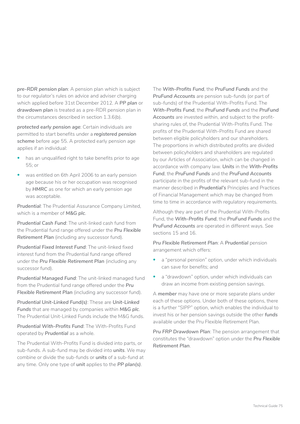*pre-RDR pension plan*: A pension plan which is subject to our regulator's rules on advice and adviser charging which applied before 31st December 2012. A *PP plan* or *drawdown plan* is treated as a pre-RDR pension plan in the circumstances described in section 1.3.6(b).

*protected early pension age*: Certain individuals are permitted to start benefits under a *registered pension scheme* before age 55. A protected early pension age applies if an individual:

- has an unqualified right to take benefits prior to age 55; or
- was entitled on 6th April 2006 to an early pension age because his or her occupation was recognised by *HMRC* as one for which an early pension age was acceptable.

*Prudential*: The Prudential Assurance Company Limited, which is a member of *M&G plc*.

*Prudential Cash Fund*: The unit-linked cash fund from the Prudential fund range offered under the *Pru Flexible Retirement Plan* (including any successor fund).

*Prudential Fixed Interest Fund*: The unit-linked fixed interest fund from the Prudential fund range offered under the *Pru Flexible Retirement Plan* (including any successor fund).

*Prudential Managed Fund*: The unit-linked managed fund from the Prudential fund range offered under the *Pru Flexible Retirement Plan* (including any successor fund).

*Prudential Unit-Linked Fund(s)*: These are *Unit-Linked Funds* that are managed by companies within *M&G plc*. The Prudential Unit-Linked Funds include the M&G funds.

*Prudential With-Profits Fund*: The With-Profits Fund operated by *Prudential* as a whole.

The Prudential With-Profits Fund is divided into parts, or sub-funds. A sub-fund may be divided into *units*. We may combine or divide the sub-funds or *units* of a sub-fund at any time. Only one type of *unit* applies to the *PP plan(s)*.

The *With-Profits Fund*, the *PruFund Funds* and the *PruFund Accounts* are pension sub-funds (or part of sub-funds) of the Prudential With-Profits Fund. The *With-Profits Fund*, the *PruFund Funds* and the *PruFund Accounts* are invested within, and subject to the profitsharing rules of, the Prudential With-Profits Fund. The profits of the Prudential With-Profits Fund are shared between eligible policyholders and our shareholders. The proportions in which distributed profits are divided between policyholders and shareholders are regulated by our Articles of Association, which can be changed in accordance with company law. *Units* in the *With-Profits Fund*, the *PruFund Funds* and the *PruFund Accounts*  participate in the profits of the relevant sub-fund in the manner described in *Prudential's* Principles and Practices of Financial Management which may be changed from time to time in accordance with regulatory requirements.

Although they are part of the Prudential With-Profits Fund, the *With-Profits Fund*, the *PruFund Funds* and the *PruFund Accounts* are operated in different ways. See sections 15 and 16.

**Pru Flexible Retirement Plan: A Prudential pension** arrangement which offers:

- a "personal pension" option, under which individuals can save for benefits; and
- a "drawdown" option, under which individuals can draw an income from existing pension savings.

A *member* may have one or more separate plans under each of these options. Under both of these options, there is a further "SIPP" option, which enables the individual to invest his or her pension savings outside the other *funds*  available under the Pru Flexible Retirement Plan.

*Pru FRP Drawdown Plan*: The pension arrangement that constitutes the "drawdown" option under the *Pru Flexible Retirement Plan*.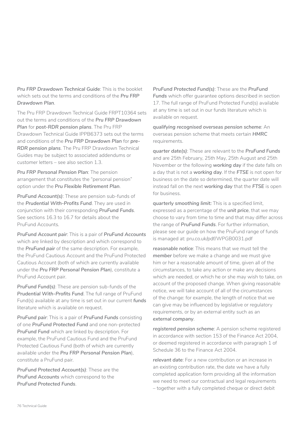*Pru FRP Drawdown Technical Guide*: This is the booklet which sets out the terms and conditions of the *Pru FRP Drawdown Plan*.

The Pru FRP Drawdown Technical Guide FRPT10364 sets out the terms and conditions of the *Pru FRP Drawdown Plan* for *post-RDR pension plans*. The Pru FRP Drawdown Technical Guide IPPB6373 sets out the terms and conditions of the *Pru FRP Drawdown Plan* for *pre-RDR pension plans*. The Pru FRP Drawdown Technical Guides may be subject to associated addendums or customer letters – see also section 1.3.

*Pru FRP Personal Pension Plan*: The pension arrangement that constitutes the "personal pension" option under the *Pru Flexible Retirement Plan*.

*PruFund Account(s)*: These are pension sub-funds of the *Prudential With-Profits Fund*. They are used in conjunction with their corresponding *PruFund Funds*. See sections 16.3 to 16.7 for details about the PruFund Accounts.

*PruFund Account pair*: This is a pair of *PruFund Accounts*  which are linked by description and which correspond to the *PruFund pair* of the same description. For example, the PruFund Cautious Account and the PruFund Protected Cautious Account (both of which are currently available under the *Pru FRP Personal Pension Plan*), constitute a PruFund Account pair.

*PruFund Fund(s)*: These are pension sub-funds of the *Prudential With-Profits Fund*. The full range of PruFund Fund(s) available at any time is set out in our current *funds*  literature which is available on request.

*PruFund pair*: This is a pair of *PruFund Funds* consisting of one *PruFund Protected Fund* and one non-protected *PruFund Fund* which are linked by description. For example, the PruFund Cautious Fund and the PruFund Protected Cautious Fund (both of which are currently available under the *Pru FRP Personal Pension Plan*), constitute a PruFund pair.

*PruFund Protected Account(s)*: These are the *PruFund Accounts* which correspond to the *PruFund Protected Funds*.

*PruFund Protected Fund(s)*: These are the *PruFund Funds* which offer guarantee options described in section 17. The full range of PruFund Protected Fund(s) available at any time is set out in our funds literature which is available on request.

*qualifying recognised overseas pension scheme*: An overseas pension scheme that meets certain *HMRC*  requirements.

*quarter date(s)*: These are relevant to the *PruFund Funds*  and are 25th February, 25th May, 25th August and 25th November or the following *working day* if the date falls on a day that is not a *working day*. If the *FTSE* is not open for business on the date so determined, the quarter date will instead fall on the next *working day* that the *FTSE* is open for business.

*quarterly smoothing limit:* This is a specified limit, expressed as a percentage of the *unit price*, that we may choose to vary from time to time and that may differ across the range of *PruFund Funds*. For further information, please see our guide on how the PruFund range of funds is managed at: pru.co.uk/pdf/WPGB0031.pdf

*reasonable notice*: This means that we must tell the *member* before we make a change and we must give him or her a reasonable amount of time, given all of the circumstances, to take any action or make any decisions which are needed, or which he or she may wish to take, on account of the proposed change. When giving reasonable notice, we will take account of all of the circumstances of the change: for example, the length of notice that we can give may be influenced by legislative or regulatory requirements, or by an external entity such as an *external company*.

*registered pension scheme*: A pension scheme registered in accordance with section 153 of the Finance Act 2004, or deemed registered in accordance with paragraph 1 of Schedule 36 to the Finance Act 2004.

*relevant date*: For a new contribution or an increase in an existing contribution rate, the date we have a fully completed application form providing all the information we need to meet our contractual and legal requirements – together with a fully completed cheque or direct debit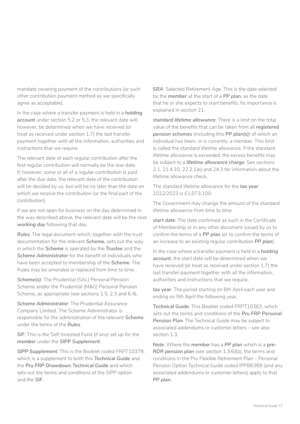mandate covering payment of the contributions (or such other contribution payment method as we specifically agree as acceptable).

In the case where a transfer payment is held in a *holding account* under section 5.2 or 5.3, the relevant date will, however, be determined when we have received (or treat as received under section 1.7) the last transfer payment together with all the information, authorities and instructions that we require.

The relevant date of each regular contribution after the first regular contribution will normally be the due date. If, however, some or all of a regular contribution is paid after the due date, the relevant date of the contribution will be decided by us, but will be no later than the date on which we receive the contribution (or the final part of the contribution).

If we are not open for business on the day determined in the way described above, the relevant date will be the next *working day* following that day.

*Rules*: The legal document which, together with the trust documentation for the relevant *Scheme*, sets out the way in which the *Scheme* is operated by the *Trustee* and the *Scheme Administrator* for the benefit of individuals who have been accepted to membership of the *Scheme*. The Rules may be amended or replaced from time to time.

*Scheme(s)*: The Prudential (SAL) Personal Pension Scheme and/or the Prudential (M&G) Personal Pension Scheme, as appropriate (see sections 1.5, 2.3 and 6.4).

*Scheme Administrator*: The Prudential Assurance Company Limited. The Scheme Administrator is responsible for the administration of the relevant *Scheme*  under the terms of the *Rules*.

*SIF*: This is the Self-Invested Fund (if any) set up for the *member* under the *SIPP Supplement*.

*SIPP Supplement*: This is the Booklet coded FRPT10379, which is a supplement to both this *Technical Guide* and the *Pru FRP Drawdown Technical Guide* and which sets out the terms and conditions of the SIPP option and the *SIF*.

*SRA*: Selected Retirement Age. This is the date selected by the *member* at the start of a *PP plan*, as the date that he or she expects to start benefits. Its importance is explained in section 21.

*standard lifetime allowance*: There is a limit on the total value of the benefits that can be taken from all *registered pension schemes* (including this *PP plan(s)*) of which an individual has been, or is currently, a member. This limit is called the standard lifetime allowance. If the standard lifetime allowance is exceeded, the excess benefits may be subject to a *lifetime allowance charge*. See sections 2.1, 21.4.10, 22.2.1(e) and 24.3 for information about the lifetime allowance check.

The standard lifetime allowance for the *tax year*  2022/2023 is £1,073,100.

The Government may change the amount of the standard lifetime allowance from time to time.

*start date*: The date confirmed as such in the Certificate of Membership or in any other document issued by us to confirm the terms of a *PP plan* (or to confirm the terms of an increase to an existing regular contribution *PP plan*).

In the case where a transfer payment is held in a *holding account*, the start date will be determined when we have received (or treat as received under section 1.7) the last transfer payment together with all the information, authorities and instructions that we require.

*tax year*: The period starting on 6th April each year and ending on 5th April the following year.

*Technical Guide*: This Booklet coded FRPT10363, which sets out the terms and conditions of the *Pru FRP Personal Pension Plan*. The Technical Guide may be subject to associated addendums or customer letters – see also section 1.3.

**Note**: Where the *member* has a *PP plan* which is a *pre-RDR pension plan* (see section 1.3.6(b)), the terms and conditions in the Pru Flexible Retirement Plan – Personal Pension Option Technical Guide coded IPPB6369 (and any associated addendums or customer letters) apply to that *PP plan*.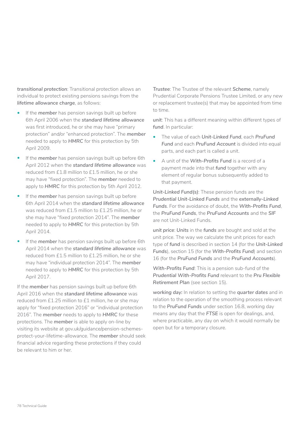*transitional protection*: Transitional protection allows an individual to protect existing pensions savings from the *lifetime allowance charge*, as follows:

- If the *member* has pension savings built up before 6th April 2006 when the *standard lifetime allowance*  was first introduced, he or she may have "primary protection" and/or "enhanced protection". The *member*  needed to apply to *HMRC* for this protection by 5th April 2009.
- If the *member* has pension savings built up before 6th April 2012 when the *standard lifetime allowance* was reduced from £1.8 million to £1.5 million, he or she may have "fixed protection". The *member* needed to apply to *HMRC* for this protection by 5th April 2012.
- If the *member* has pension savings built up before 6th April 2014 when the *standard lifetime allowance*  was reduced from £1.5 million to £1.25 million, he or she may have "fixed protection 2014". The *member*  needed to apply to *HMRC* for this protection by 5th April 2014.
- If the *member* has pension savings built up before 6th April 2014 when the *standard lifetime allowance* was reduced from £1.5 million to £1.25 million, he or she may have "individual protection 2014". The *member*  needed to apply to *HMRC* for this protection by 5th April 2017.

If the *member* has pension savings built up before 6th April 2016 when the *standard lifetime allowance* was reduced from £1.25 million to £1 million, he or she may apply for "fixed protection 2016" or "individual protection 2016". The *member* needs to apply to *HMRC* for these protections. The *member* is able to apply on-line by visiting its website at gov.uk/guidance/pension-schemesprotect-your-lifetime-allowance. The *member* should seek financial advice regarding these protections if they could be relevant to him or her.

*Trustee*: The Trustee of the relevant *Scheme*, namely Prudential Corporate Pensions Trustee Limited, or any new or replacement trustee(s) that may be appointed from time to time.

*unit*: This has a different meaning within different types of *fund*. In particular:

- The value of each *Unit-Linked Fund*, each *PruFund*  Fund and each PruFund Account is divided into equal parts, and each part is called a unit.
- A unit of the *With-Profits Fund* is a record of a payment made into that *fund* together with any element of regular bonus subsequently added to that payment.

*Unit-Linked Fund(s)*: These pension funds are the *Prudential Unit-Linked Funds* and the *externally-Linked Funds*. For the avoidance of doubt, the *With-Profits Fund*, the *PruFund Funds*, the *PruFund Accounts* and the *SIF*  are not Unit-Linked Funds.

*unit price*: *Units* in the *funds* are bought and sold at the unit price. The way we calculate the unit prices for each type of *fund* is described in section 14 (for the *Unit-Linked Funds*), section 15 (for the *With-Profits Fund*) and section 16 (for the *PruFund Funds* and the *PruFund Accounts*).

*With-Profits Fund*: This is a pension sub-fund of the *Prudential With-Profits Fund* relevant to the *Pru Flexible Retirement Plan* (see section 15).

*working day:* In relation to setting the *quarter dates* and in relation to the operation of the smoothing process relevant to the *PruFund Funds* under section 16.8, working day means any day that the *FTSE* is open for dealings, and, where practicable, any day on which it would normally be open but for a temporary closure.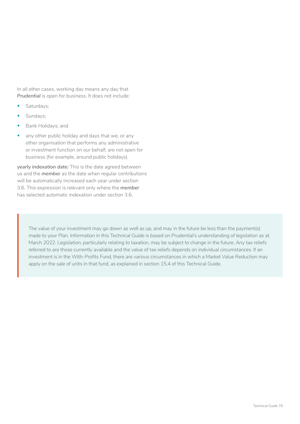In all other cases, working day means any day that *Prudential* is open for business. It does not include:

- Saturdays;
- Sundays;
- Bank Holidays; and
- any other public holiday and days that we, or any other organisation that performs any administrative or investment function on our behalf, are not open for business (for example, around public holidays).

*yearly indexation date:* This is the date agreed between us and the *member* as the date when regular contributions will be automatically increased each year under section 3.6. This expression is relevant only where the *member*  has selected automatic indexation under section 3.6.

The value of your investment may go down as well as up, and may in the future be less than the payment(s) made to your Plan. Information in this Technical Guide is based on Prudential's understanding of legislation as at March 2022. Legislation, particularly relating to taxation, may be subject to change in the future. Any tax reliefs referred to are those currently available and the value of tax reliefs depends on individual circumstances. If an investment is in the With-Profits Fund, there are various circumstances in which a Market Value Reduction may apply on the sale of units in that fund, as explained in section 15.4 of this Technical Guide.